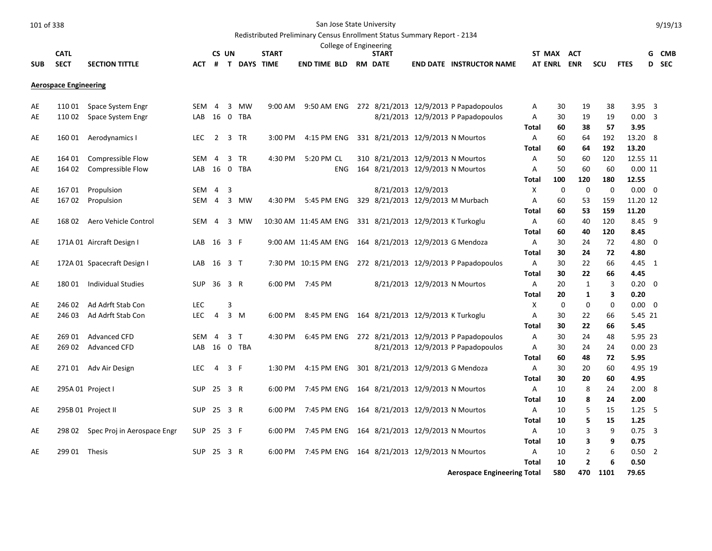Redistributed Preliminary Census Enrollment Status Summary Report - 2134

|            |                              |                             |              |                |     |                    |              | College of Engineering                                   |                |                                   |                                                             |                |      |                |     |                |   |              |
|------------|------------------------------|-----------------------------|--------------|----------------|-----|--------------------|--------------|----------------------------------------------------------|----------------|-----------------------------------|-------------------------------------------------------------|----------------|------|----------------|-----|----------------|---|--------------|
|            | <b>CATL</b>                  |                             |              | CS UN          |     |                    | <b>START</b> |                                                          | <b>START</b>   |                                   |                                                             | <b>ST MAX</b>  |      | ACT            |     |                | G | <b>CMB</b>   |
| <b>SUB</b> | <b>SECT</b>                  | <b>SECTION TITTLE</b>       | <b>ACT</b>   | #              |     | <b>T DAYS TIME</b> |              | <b>END TIME BLD</b>                                      | <b>RM DATE</b> |                                   | <b>END DATE INSTRUCTOR NAME</b>                             | <b>AT ENRL</b> |      | <b>ENR</b>     | SCU | <b>FTES</b>    |   | <b>D</b> SEC |
|            |                              |                             |              |                |     |                    |              |                                                          |                |                                   |                                                             |                |      |                |     |                |   |              |
|            | <b>Aerospace Engineering</b> |                             |              |                |     |                    |              |                                                          |                |                                   |                                                             |                |      |                |     |                |   |              |
| AE         | 110 01                       | Space System Engr           | SEM 4 3 MW   |                |     |                    |              |                                                          |                |                                   | 9:00 AM 9:50 AM ENG 272 8/21/2013 12/9/2013 P Papadopoulos  | A              | 30   | 19             | 38  | $3.95 \quad 3$ |   |              |
| AE         | 110 02                       | Space System Engr           | LAB 16 0 TBA |                |     |                    |              |                                                          |                |                                   | 8/21/2013 12/9/2013 P Papadopoulos                          | Α              | 30   | 19             | 19  | $0.00 \quad 3$ |   |              |
|            |                              |                             |              |                |     |                    |              |                                                          |                |                                   |                                                             | Total          | 60   | 38             | 57  | 3.95           |   |              |
| AE         | 16001                        | Aerodynamics I              | LEC 2 3 TR   |                |     |                    |              | 3:00 PM 4:15 PM ENG                                      |                | 331 8/21/2013 12/9/2013 N Mourtos |                                                             | A              | 60   | 64             | 192 | 13.20 8        |   |              |
|            |                              |                             |              |                |     |                    |              |                                                          |                |                                   |                                                             | Total          | 60   | 64             | 192 | 13.20          |   |              |
| AE         | 164 01                       | Compressible Flow           | SEM 4        |                |     | 3 TR               | 4:30 PM      | 5:20 PM CL                                               |                | 310 8/21/2013 12/9/2013 N Mourtos |                                                             | Α              | 50   | 60             | 120 | 12.55 11       |   |              |
| AE         | 164 02                       | Compressible Flow           | LAB 16       |                |     | 0 TBA              |              | <b>ENG</b>                                               |                | 164 8/21/2013 12/9/2013 N Mourtos |                                                             | A              | 50   | 60             | 60  | 0.0011         |   |              |
|            |                              |                             |              |                |     |                    |              |                                                          |                |                                   |                                                             | Total          | 100  | 120            | 180 | 12.55          |   |              |
| AE         | 16701                        | Propulsion                  | SEM 4        |                | 3   |                    |              |                                                          |                | 8/21/2013 12/9/2013               |                                                             | Х              | 0    | 0              | 0   | $0.00 \quad 0$ |   |              |
| AE         | 16702                        | Propulsion                  |              |                |     | SEM 4 3 MW         | 4:30 PM      | 5:45 PM ENG                                              |                |                                   | 329 8/21/2013 12/9/2013 M Murbach                           | Α              | 60   | 53             | 159 | 11.20 12       |   |              |
|            |                              |                             |              |                |     |                    |              |                                                          |                |                                   |                                                             | Total          | 60   | 53             | 159 | 11.20          |   |              |
| AE         | 168 02                       | Aero Vehicle Control        | SEM 4        |                |     | 3 MW               |              | 10:30 AM 11:45 AM ENG 331 8/21/2013 12/9/2013 K Turkoglu |                |                                   |                                                             | A              | 60   | 40             | 120 | 8.45 9         |   |              |
|            |                              |                             |              |                |     |                    |              |                                                          |                |                                   |                                                             | Total          | 60   | 40             | 120 | 8.45           |   |              |
| AE         |                              | 171A 01 Aircraft Design I   | LAB 16 3 F   |                |     |                    |              | 9:00 AM 11:45 AM ENG 164 8/21/2013 12/9/2013 G Mendoza   |                |                                   |                                                             | Α              | 30   | 24             | 72  | 4.80 0         |   |              |
|            |                              |                             |              |                |     |                    |              |                                                          |                |                                   |                                                             | Total          | 30   | 24             | 72  | 4.80           |   |              |
| AE         |                              | 172A 01 Spacecraft Design I | LAB 16 3 T   |                |     |                    |              |                                                          |                |                                   | 7:30 PM 10:15 PM ENG 272 8/21/2013 12/9/2013 P Papadopoulos | A              | 30   | 22             | 66  | 4.45 1         |   |              |
|            |                              |                             |              |                |     |                    |              |                                                          |                |                                   |                                                             | Total          | 30   | 22             | 66  | 4.45           |   |              |
| AE         | 18001                        | <b>Individual Studies</b>   | SUP 36 3 R   |                |     |                    |              | 6:00 PM 7:45 PM                                          |                | 8/21/2013 12/9/2013 N Mourtos     |                                                             | Α              | 20   | 1              | 3   | $0.20 \ 0$     |   |              |
|            |                              |                             |              |                |     |                    |              |                                                          |                |                                   |                                                             | <b>Total</b>   | 20   | $\mathbf{1}$   | 3   | 0.20           |   |              |
| AE         | 246 02                       | Ad Adrft Stab Con           | <b>LEC</b>   |                | 3   |                    |              |                                                          |                |                                   |                                                             | Χ              | 0    | 0              | 0   | $0.00 \ 0$     |   |              |
| AE         | 246 03                       | Ad Adrft Stab Con           | <b>LEC</b>   | $\overline{4}$ | 3 M |                    | 6:00 PM      | 8:45 PM ENG 164 8/21/2013 12/9/2013 K Turkoglu           |                |                                   |                                                             | Α              | 30   | 22             | 66  | 5.45 21        |   |              |
|            |                              |                             |              |                |     |                    |              |                                                          |                |                                   |                                                             | Total          | 30   | 22             | 66  | 5.45           |   |              |
| AE         | 269 01                       | <b>Advanced CFD</b>         | SEM          | $\overline{4}$ | 3 T |                    | 4:30 PM      |                                                          |                |                                   | 6:45 PM ENG 272 8/21/2013 12/9/2013 P Papadopoulos          | Α              | 30   | 24             | 48  | 5.95 23        |   |              |
| AE         | 269 02                       | <b>Advanced CFD</b>         |              |                |     | LAB 16 0 TBA       |              |                                                          |                |                                   | 8/21/2013 12/9/2013 P Papadopoulos                          | A              | 30   | 24             | 24  | 0.0023         |   |              |
|            |                              |                             |              |                |     |                    |              |                                                          |                |                                   |                                                             | Total          | 60   | 48             | 72  | 5.95           |   |              |
| AE         |                              | 271 01 Adv Air Design       | <b>LEC</b>   | $\overline{4}$ | 3 F |                    | 1:30 PM      | 4:15 PM ENG 301 8/21/2013 12/9/2013 G Mendoza            |                |                                   |                                                             | A              | 30   | 20             | 60  | 4.95 19        |   |              |
|            |                              |                             |              |                |     |                    |              |                                                          |                |                                   |                                                             | Total          | 30   | 20             | 60  | 4.95           |   |              |
| AE         |                              | 295A 01 Project I           | SUP 25 3 R   |                |     |                    | 6:00 PM      | 7:45 PM ENG 164 8/21/2013 12/9/2013 N Mourtos            |                |                                   |                                                             | A              | 10   | 8              | 24  | 2.008          |   |              |
|            |                              |                             |              |                |     |                    |              |                                                          |                |                                   |                                                             | Total          | 10   | 8              | 24  | 2.00           |   |              |
| AE         |                              | 295B 01 Project II          | SUP 25 3 R   |                |     |                    | 6:00 PM      | 7:45 PM ENG 164 8/21/2013 12/9/2013 N Mourtos            |                |                                   |                                                             | A              | 10   | 5              | 15  | $1.25\quad 5$  |   |              |
|            |                              |                             |              |                |     |                    |              |                                                          |                |                                   |                                                             | <b>Total</b>   | 10   | 5              | 15  | 1.25           |   |              |
| AE         | 298 02                       | Spec Proj in Aerospace Engr | SUP 25       |                | 3 F |                    | 6:00 PM      | 7:45 PM ENG                                              |                | 164 8/21/2013 12/9/2013 N Mourtos |                                                             | Α              | 10   | 3              | 9   | $0.75$ 3       |   |              |
|            |                              |                             |              |                |     |                    |              |                                                          |                |                                   |                                                             | Total          | 10   | 3              | 9   | 0.75           |   |              |
| AE         | 299 01 Thesis                |                             | <b>SUP</b>   | 25 3 R         |     |                    | 6:00 PM      | 7:45 PM ENG 164 8/21/2013 12/9/2013 N Mourtos            |                |                                   |                                                             | Α              | 10   | $\overline{2}$ | 6   | $0.50$ 2       |   |              |
|            |                              |                             |              |                |     |                    |              |                                                          |                |                                   |                                                             | Total          | 10   | $\mathbf{2}$   | 6   | 0.50           |   |              |
|            |                              |                             |              |                |     |                    |              |                                                          |                |                                   |                                                             | - - -          | $-0$ |                |     | ---            |   |              |

**Aerospace Engineering Total 580 470 1101 79.65**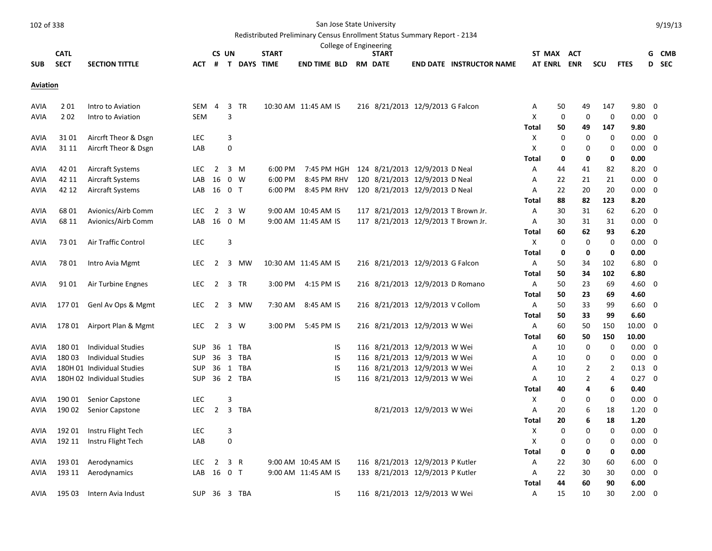|                 |                  |                              |                   |                          |                  |               |              | College of Engineering                     |                                  |                           |                                     |                |             |                |             |                            |   |            |
|-----------------|------------------|------------------------------|-------------------|--------------------------|------------------|---------------|--------------|--------------------------------------------|----------------------------------|---------------------------|-------------------------------------|----------------|-------------|----------------|-------------|----------------------------|---|------------|
|                 | <b>CATL</b>      |                              |                   | CS UN                    |                  |               | <b>START</b> |                                            | <b>START</b>                     |                           |                                     | ST MAX         |             | ACT            |             |                            | G | <b>CMB</b> |
| <b>SUB</b>      | <b>SECT</b>      | <b>SECTION TITTLE</b>        | ACT               |                          |                  | # T DAYS TIME |              | <b>END TIME BLD</b>                        | <b>RM DATE</b>                   |                           | <b>END DATE INSTRUCTOR NAME</b>     | <b>AT ENRL</b> |             | <b>ENR</b>     | <b>SCU</b>  | <b>FTES</b>                | D | <b>SEC</b> |
| <b>Aviation</b> |                  |                              |                   |                          |                  |               |              |                                            |                                  |                           |                                     |                |             |                |             |                            |   |            |
| AVIA            | 201              | Intro to Aviation            | <b>SEM</b>        | 4                        | 3                | TR            |              | 10:30 AM 11:45 AM IS                       | 216 8/21/2013 12/9/2013 G Falcon |                           |                                     | Α              | 50          | 49             | 147         | 9.80                       | 0 |            |
| AVIA            | 202              | Intro to Aviation            | <b>SEM</b>        |                          | 3                |               |              |                                            |                                  |                           |                                     | Χ              | 0           | 0              | 0           | $0.00 \quad 0$             |   |            |
|                 |                  |                              |                   |                          |                  |               |              |                                            |                                  |                           |                                     | Total          | 50          | 49             | 147         | 9.80                       |   |            |
| AVIA            | 3101             | Aircrft Theor & Dsgn         | <b>LEC</b>        |                          | 3                |               |              |                                            |                                  |                           |                                     | X              | $\mathbf 0$ | 0              | 0           | $0.00 \quad 0$             |   |            |
| AVIA            | 31 11            | Aircrft Theor & Dsgn         | LAB               |                          | $\mathbf 0$      |               |              |                                            |                                  |                           |                                     | Χ              | 0           | 0              | 0           | 0.00                       | 0 |            |
|                 |                  |                              |                   |                          |                  |               |              |                                            |                                  |                           |                                     | Total          | 0           | 0              | 0           | 0.00                       |   |            |
| AVIA            | 42 01            | <b>Aircraft Systems</b>      | <b>LEC</b>        | $\overline{2}$           |                  | 3 M           | 6:00 PM      | 7:45 PM HGH                                | 124 8/21/2013 12/9/2013 D Neal   |                           |                                     | Α              | 44          | 41             | 82          | $8.20 \ 0$                 |   |            |
| AVIA            | 42 11            | <b>Aircraft Systems</b>      | LAB               | 16                       | $0 \quad W$      |               | 6:00 PM      | 8:45 PM RHV                                | 120 8/21/2013 12/9/2013 D Neal   |                           |                                     | Α              | 22          | 21             | 21          | $0.00\,$                   | 0 |            |
| <b>AVIA</b>     | 42 12            | <b>Aircraft Systems</b>      | LAB 16 0 T        |                          |                  |               | 6:00 PM      | 8:45 PM RHV                                | 120 8/21/2013 12/9/2013 D Neal   |                           |                                     | Α              | 22          | 20             | 20          | $0.00 \quad 0$             |   |            |
|                 |                  |                              |                   |                          |                  |               |              |                                            |                                  |                           |                                     | Total          | 88          | 82             | 123         | 8.20                       |   |            |
| AVIA            | 68 01            | Avionics/Airb Comm           | <b>LEC</b>        | $\overline{2}$           |                  | $3 \quad W$   |              | 9:00 AM 10:45 AM IS                        |                                  |                           | 117 8/21/2013 12/9/2013 T Brown Jr. | A              | 30          | 31             | 62          | $6.20 \quad 0$             |   |            |
| AVIA            | 68 11            | Avionics/Airb Comm           | LAB               | 16                       | 0 M              |               |              | 9:00 AM 11:45 AM IS                        |                                  |                           | 117 8/21/2013 12/9/2013 T Brown Jr. | Α              | 30          | 31             | 31          | 0.00                       | 0 |            |
|                 |                  |                              |                   |                          |                  |               |              |                                            |                                  |                           |                                     | Total          | 60          | 62             | 93          | 6.20                       |   |            |
| AVIA            | 7301             | Air Traffic Control          | <b>LEC</b>        |                          | 3                |               |              |                                            |                                  |                           |                                     | X              | 0           | 0              | $\mathbf 0$ | $0.00 \quad 0$             |   |            |
|                 |                  |                              |                   |                          |                  |               |              |                                            |                                  |                           |                                     | <b>Total</b>   | 0           | 0              | 0           | 0.00                       |   |            |
| AVIA            | 7801             | Intro Avia Mgmt              | LEC.              | $\overline{2}$           |                  | 3 MW          |              | 10:30 AM 11:45 AM IS                       | 216 8/21/2013 12/9/2013 G Falcon |                           |                                     | Α              | 50          | 34             | 102         | $6.80\quad 0$              |   |            |
|                 |                  |                              |                   |                          |                  |               |              |                                            |                                  |                           |                                     | Total          | 50          | 34             | 102         | 6.80                       |   |            |
| AVIA            | 91 01            | Air Turbine Engnes           | <b>LEC</b>        | $\overline{2}$           |                  | 3 TR          | 3:00 PM      | 4:15 PM IS                                 | 216 8/21/2013 12/9/2013 D Romano |                           |                                     | Α              | 50          | 23             | 69          | $4.60 \quad 0$             |   |            |
|                 |                  |                              |                   |                          |                  |               |              |                                            |                                  |                           |                                     | Total          | 50          | 23             | 69          | 4.60                       |   |            |
| AVIA            |                  | 177 01 Genl Av Ops & Mgmt    | LEC.              | 2                        |                  | 3 MW          | 7:30 AM      | 8:45 AM IS                                 | 216 8/21/2013 12/9/2013 V Collom |                           |                                     | Α              | 50          | 33             | 99          | $6.60 \quad 0$             |   |            |
|                 |                  |                              |                   |                          |                  |               |              |                                            |                                  |                           |                                     | Total          | 50          | 33             | 99          | 6.60                       |   |            |
| AVIA            |                  | 178 01 Airport Plan & Mgmt   | <b>LEC</b>        | $\overline{2}$           |                  | 3 W           | 3:00 PM      | 5:45 PM IS                                 | 216 8/21/2013 12/9/2013 W Wei    |                           |                                     | A              | 60          | 50             | 150         | 10.00                      | 0 |            |
|                 |                  |                              |                   |                          |                  |               |              |                                            |                                  |                           |                                     | Total          | 60          | 50             | 150         | 10.00                      |   |            |
| AVIA            | 18001            | <b>Individual Studies</b>    | <b>SUP</b>        | 36                       |                  | 1 TBA         |              | IS                                         | 116 8/21/2013 12/9/2013 W Wei    |                           |                                     | Α              | 10          | $\mathbf 0$    | $\mathbf 0$ | $0.00 \quad 0$             |   |            |
| AVIA            | 18003            | <b>Individual Studies</b>    | <b>SUP</b>        |                          |                  | 36 3 TBA      |              | IS                                         | 116 8/21/2013 12/9/2013 W Wei    |                           |                                     | A              | 10          | 0              | 0           | $0.00 \ 0$                 |   |            |
| AVIA            |                  | 180H 01 Individual Studies   | <b>SUP</b>        |                          |                  | 36 1 TBA      |              | IS                                         | 116 8/21/2013 12/9/2013 W Wei    |                           |                                     | Α              | 10          | $\overline{2}$ | 2           | 0.13                       | 0 |            |
| AVIA            |                  | 180H 02 Individual Studies   | SUP 36 2 TBA      |                          |                  |               |              | IS                                         | 116 8/21/2013 12/9/2013 W Wei    |                           |                                     | A              | 10          | $\overline{2}$ | 4           | $0.27 \quad 0$             |   |            |
|                 |                  |                              |                   |                          |                  |               |              |                                            |                                  |                           |                                     | Total          | 40          | 4              | 6           | 0.40                       |   |            |
| AVIA            | 190 01           | Senior Capstone              | <b>LEC</b>        |                          | $\overline{3}$   |               |              |                                            |                                  |                           |                                     | X              | $\mathbf 0$ | 0              | $\Omega$    | $0.00\,$                   | 0 |            |
| AVIA            | 190 02           | Senior Capstone              | <b>LEC</b>        | 2                        |                  | 3 TBA         |              |                                            |                                  | 8/21/2013 12/9/2013 W Wei |                                     | Α              | 20          | 6              | 18          | $1.20 \quad 0$             |   |            |
|                 |                  |                              |                   |                          |                  |               |              |                                            |                                  |                           |                                     | Total          | 20          | 6              | 18          | 1.20                       |   |            |
| AVIA            | 19201            | Instru Flight Tech           | <b>LEC</b>        |                          | 3                |               |              |                                            |                                  |                           |                                     | X              | $\Omega$    | 0              | 0           | $0.00 \quad 0$             |   |            |
| AVIA            | 192 11           | Instru Flight Tech           | LAB               |                          | $\boldsymbol{0}$ |               |              |                                            |                                  |                           |                                     | Χ              | 0           | 0              | 0           | 0.00                       | 0 |            |
|                 |                  |                              |                   |                          |                  |               |              |                                            | 116 8/21/2013 12/9/2013 P Kutler |                           |                                     | Total          | 0           | 0              | 0           | 0.00                       |   |            |
| AVIA<br>AVIA    | 193 01<br>193 11 | Aerodynamics<br>Aerodynamics | <b>LEC</b><br>LAB | $\overline{2}$<br>16 O T | 3 R              |               |              | 9:00 AM 10:45 AM IS<br>9:00 AM 11:45 AM IS | 133 8/21/2013 12/9/2013 P Kutler |                           |                                     | Α<br>Α         | 22<br>22    | 30<br>30       | 60<br>30    | $6.00 \quad 0$<br>$0.00\,$ | 0 |            |
|                 |                  |                              |                   |                          |                  |               |              |                                            |                                  |                           |                                     | <b>Total</b>   | 44          | 60             | 90          | 6.00                       |   |            |
| AVIA            | 195 03           | Intern Avia Indust           | SUP               |                          |                  | 36 3 TBA      |              | IS                                         | 116 8/21/2013 12/9/2013 W Wei    |                           |                                     | A              | 15          | 10             | 30          | 2.00                       | 0 |            |
|                 |                  |                              |                   |                          |                  |               |              |                                            |                                  |                           |                                     |                |             |                |             |                            |   |            |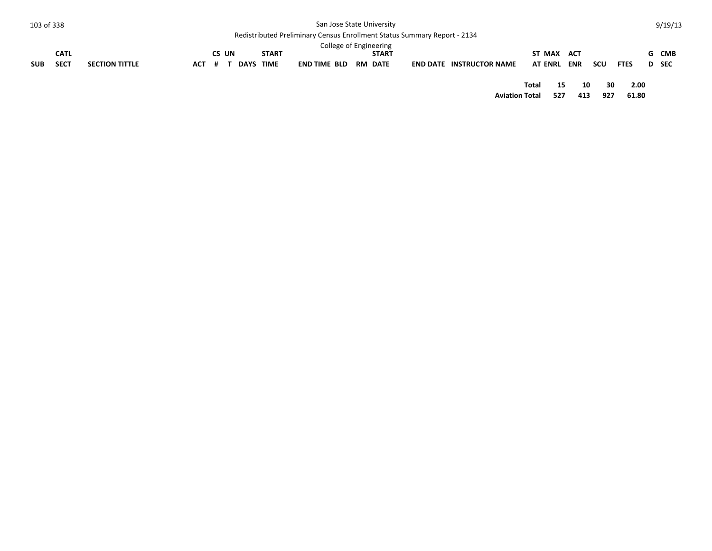| 103 of 338 |             |                       |     |     |       |      |              | San Jose State University                                                       |                |                                 |                       |        |            |     |             | 9/19/13 |
|------------|-------------|-----------------------|-----|-----|-------|------|--------------|---------------------------------------------------------------------------------|----------------|---------------------------------|-----------------------|--------|------------|-----|-------------|---------|
|            |             |                       |     |     |       |      |              | <b>Redistributed Preliminary Census Enrollment Status Summary Report - 2134</b> |                |                                 |                       |        |            |     |             |         |
|            |             |                       |     |     |       |      |              | College of Engineering                                                          |                |                                 |                       |        |            |     |             |         |
|            | <b>CATL</b> |                       |     |     | CS UN |      | <b>START</b> |                                                                                 | <b>START</b>   |                                 |                       | ST MAX | ACT        |     |             | G CMB   |
| <b>SUB</b> | <b>SECT</b> | <b>SECTION TITTLE</b> | ACT | # 1 |       | DAYS | TIME         | END TIME BLD                                                                    | <b>RM DATE</b> | <b>END DATE INSTRUCTOR NAME</b> | <b>AT ENRL</b>        |        | <b>ENR</b> | scu | <b>FTES</b> | D SEC   |
|            |             |                       |     |     |       |      |              |                                                                                 |                |                                 | Total                 | 15     | 10         | 30  | 2.00        |         |
|            |             |                       |     |     |       |      |              |                                                                                 |                |                                 | <b>Aviation Total</b> | 527    | 413        | 927 | 61.80       |         |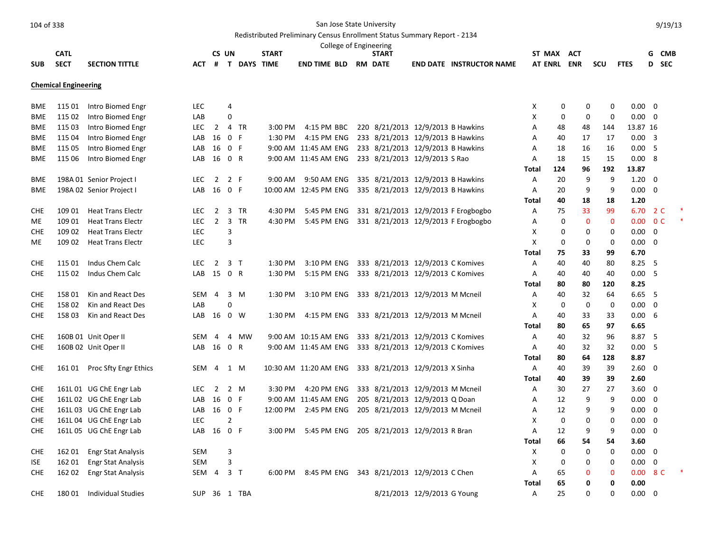## Redistributed Preliminary Census Enrollment Status Summary Report - 2134

|            |                             |                              |            |                |                |                    |              |                       |  | College of Engineering                     |                             |                                     |                |             |             |             |                |                          |                |  |
|------------|-----------------------------|------------------------------|------------|----------------|----------------|--------------------|--------------|-----------------------|--|--------------------------------------------|-----------------------------|-------------------------------------|----------------|-------------|-------------|-------------|----------------|--------------------------|----------------|--|
|            | <b>CATL</b>                 |                              |            |                | CS UN          |                    | <b>START</b> |                       |  | <b>START</b>                               |                             |                                     | ST MAX ACT     |             |             |             |                |                          | G CMB          |  |
| <b>SUB</b> | <b>SECT</b>                 | <b>SECTION TITTLE</b>        | <b>ACT</b> | #              |                | <b>T DAYS TIME</b> |              | <b>END TIME BLD</b>   |  | <b>RM DATE</b>                             |                             | <b>END DATE INSTRUCTOR NAME</b>     |                |             | AT ENRL ENR | SCU         | <b>FTES</b>    |                          | D SEC          |  |
|            | <b>Chemical Engineering</b> |                              |            |                |                |                    |              |                       |  |                                            |                             |                                     |                |             |             |             |                |                          |                |  |
| <b>BME</b> | 115 01                      | Intro Biomed Engr            | <b>LEC</b> |                | 4              |                    |              |                       |  |                                            |                             |                                     | X              | $\mathbf 0$ | 0           | 0           | $0.00 \quad 0$ |                          |                |  |
| <b>BME</b> | 115 02                      | Intro Biomed Engr            | LAB        |                | 0              |                    |              |                       |  |                                            |                             |                                     | Χ              | 0           | 0           | 0           | $0.00 \quad 0$ |                          |                |  |
| <b>BME</b> | 115 03                      | Intro Biomed Engr            | <b>LEC</b> | 2              |                | 4 TR               | 3:00 PM      | 4:15 PM BBC           |  | 220 8/21/2013 12/9/2013 B Hawkins          |                             |                                     | Α              | 48          | 48          | 144         | 13.87 16       |                          |                |  |
| <b>BME</b> | 115 04                      | Intro Biomed Engr            | LAB        | 16             |                | 0 F                | 1:30 PM      | 4:15 PM ENG           |  | 233 8/21/2013 12/9/2013 B Hawkins          |                             |                                     | A              | 40          | 17          | 17          | $0.00 \quad 3$ |                          |                |  |
| <b>BME</b> | 115 05                      | Intro Biomed Engr            | LAB        | 16             | 0 F            |                    |              | 9:00 AM 11:45 AM ENG  |  | 233 8/21/2013 12/9/2013 B Hawkins          |                             |                                     | A              | 18          | 16          | 16          | 0.00           | 5                        |                |  |
| <b>BME</b> | 115 06                      | Intro Biomed Engr            | LAB        | 16             | 0 R            |                    |              | 9:00 AM 11:45 AM ENG  |  | 233 8/21/2013 12/9/2013 S Rao              |                             |                                     | Α              | 18          | 15          | 15          | 0.008          |                          |                |  |
|            |                             |                              |            |                |                |                    |              |                       |  |                                            |                             |                                     | Total          | 124         | 96          | 192         | 13.87          |                          |                |  |
| <b>BME</b> |                             | 198A 01 Senior Project I     | <b>LEC</b> | $\overline{2}$ | 2 F            |                    | 9:00 AM      | 9:50 AM ENG           |  | 335 8/21/2013 12/9/2013 B Hawkins          |                             |                                     | $\overline{A}$ | 20          | 9           | 9           | $1.20 \ 0$     |                          |                |  |
| <b>BME</b> |                             | 198A 02 Senior Project I     | LAB        | 16             | 0 F            |                    |              | 10:00 AM 12:45 PM ENG |  | 335 8/21/2013 12/9/2013 B Hawkins          |                             |                                     | A              | 20          | 9           | 9           | $0.00 \quad 0$ |                          |                |  |
|            |                             |                              |            |                |                |                    |              |                       |  |                                            |                             |                                     | Total          | 40          | 18          | 18          | 1.20           |                          |                |  |
| <b>CHE</b> | 109 01                      | <b>Heat Trans Electr</b>     | <b>LEC</b> | $\overline{2}$ |                | 3 TR               | 4:30 PM      | 5:45 PM ENG           |  |                                            |                             | 331 8/21/2013 12/9/2013 F Erogbogbo | A              | 75          | 33          | 99          | 6.70           |                          | 2 C            |  |
| ME         | 109 01                      | <b>Heat Trans Electr</b>     | <b>LEC</b> | $\overline{2}$ |                | 3 TR               | 4:30 PM      | 5:45 PM ENG           |  |                                            |                             | 331 8/21/2013 12/9/2013 F Erogbogbo | Α              | 0           | $\bf{0}$    | $\mathbf 0$ | 0.00           |                          | 0 <sup>C</sup> |  |
| <b>CHE</b> | 109 02                      | <b>Heat Trans Electr</b>     | LEC        |                | 3              |                    |              |                       |  |                                            |                             |                                     | Х              | $\Omega$    | 0           | 0           | $0.00 \ 0$     |                          |                |  |
| ME.        | 109 02                      | <b>Heat Trans Electr</b>     | <b>LEC</b> |                | 3              |                    |              |                       |  |                                            |                             |                                     | X              | $\mathbf 0$ | 0           | 0           | $0.00 \quad 0$ |                          |                |  |
|            |                             |                              |            |                |                |                    |              |                       |  |                                            |                             |                                     | Total          | 75          | 33          | 99          | 6.70           |                          |                |  |
| <b>CHE</b> | 115 01                      | Indus Chem Calc              | <b>LEC</b> | $\overline{2}$ |                | 3 <sub>T</sub>     | 1:30 PM      | 3:10 PM ENG           |  | 333 8/21/2013 12/9/2013 C Komives          |                             |                                     | Α              | 40          | 40          | 80          | 8.25           | - 5                      |                |  |
| <b>CHE</b> | 115 02                      | Indus Chem Calc              | LAB        | 15 0 R         |                |                    | 1:30 PM      | 5:15 PM ENG           |  | 333 8/21/2013 12/9/2013 C Komives          |                             |                                     | Α              | 40          | 40          | 40          | 0.00           | - 5                      |                |  |
|            |                             |                              |            |                |                |                    |              |                       |  |                                            |                             |                                     | Total          | 80          | 80          | 120         | 8.25           |                          |                |  |
| <b>CHE</b> | 158 01                      | Kin and React Des            | SEM        | 4              |                | 3 M                | 1:30 PM      | 3:10 PM ENG           |  | 333 8/21/2013 12/9/2013 M Mcneil           |                             |                                     | Α              | 40          | 32          | 64          | $6.65$ 5       |                          |                |  |
| <b>CHE</b> | 15802                       | Kin and React Des            | LAB        |                | 0              |                    |              |                       |  |                                            |                             |                                     | X              | $\mathbf 0$ | $\mathbf 0$ | 0           | 0.00           | $\overline{0}$           |                |  |
| <b>CHE</b> | 15803                       | Kin and React Des            | LAB        | 16             |                | 0 W                | 1:30 PM      | 4:15 PM ENG           |  | 333 8/21/2013 12/9/2013 M Mcneil           |                             |                                     | A              | 40          | 33          | 33          | 0.006          |                          |                |  |
|            |                             |                              |            |                |                |                    |              |                       |  |                                            |                             |                                     | Total          | 80          | 65          | 97          | 6.65           |                          |                |  |
| <b>CHE</b> |                             | 160B 01 Unit Oper II         | <b>SEM</b> | $\overline{4}$ |                | 4 MW               |              | 9:00 AM 10:15 AM ENG  |  | 333 8/21/2013 12/9/2013 C Komives          |                             |                                     | Α              | 40          | 32          | 96          | 8.87 5         |                          |                |  |
| <b>CHE</b> |                             | 160B 02 Unit Oper II         | LAB        | 16 0 R         |                |                    |              | 9:00 AM 11:45 AM ENG  |  | 333 8/21/2013 12/9/2013 C Komives          |                             |                                     | A              | 40          | 32          | 32          | 0.005          |                          |                |  |
|            |                             |                              |            |                |                |                    |              |                       |  |                                            |                             |                                     | Total          | 80          | 64          | 128         | 8.87           |                          |                |  |
| <b>CHE</b> |                             | 161 01 Proc Sfty Engr Ethics | <b>SEM</b> | 4              |                | 1 M                |              | 10:30 AM 11:20 AM ENG |  | 333 8/21/2013 12/9/2013 X Sinha            |                             |                                     | Α              | 40          | 39          | 39          | $2.60 \quad 0$ |                          |                |  |
|            |                             |                              |            |                |                |                    |              |                       |  |                                            |                             |                                     | Total          | 40          | 39          | 39          | 2.60           |                          |                |  |
| <b>CHE</b> |                             | 161L 01 UG ChE Engr Lab      | <b>LEC</b> | 2              |                | 2 M                | 3:30 PM      | 4:20 PM ENG           |  | 333 8/21/2013 12/9/2013 M Mcneil           |                             |                                     | A              | 30          | 27          | 27          | $3.60 \quad 0$ |                          |                |  |
| <b>CHE</b> |                             | 161L 02 UG ChE Engr Lab      | LAB        | 16             | 0 F            |                    |              | 9:00 AM 11:45 AM ENG  |  | 205 8/21/2013 12/9/2013 Q Doan             |                             |                                     | Α              | 12          | 9           | 9           | 0.00           | $\overline{\phantom{0}}$ |                |  |
| <b>CHE</b> |                             | 161L 03 UG ChE Engr Lab      | LAB        | 16 0 F         |                |                    | 12:00 PM     | 2:45 PM ENG           |  | 205 8/21/2013 12/9/2013 M Mcneil           |                             |                                     | Α              | 12          | 9           | 9           | $0.00 \quad 0$ |                          |                |  |
| <b>CHE</b> |                             | 161L 04 UG ChE Engr Lab      | <b>LEC</b> |                | $\overline{2}$ |                    |              |                       |  |                                            |                             |                                     | X              | 0           | $\mathbf 0$ | 0           | 0.00           | $\overline{\mathbf{0}}$  |                |  |
| <b>CHE</b> |                             | 161L 05 UG ChE Engr Lab      | LAB        | 16             | 0 F            |                    | 3:00 PM      | 5:45 PM ENG           |  | 205 8/21/2013 12/9/2013 R Bran             |                             |                                     | A              | 12          | 9           | 9           | 0.00           | $\overline{\phantom{0}}$ |                |  |
|            |                             |                              |            |                |                |                    |              |                       |  |                                            |                             |                                     | Total          | 66          | 54          | 54          | 3.60           |                          |                |  |
| <b>CHE</b> | 162 01                      | <b>Engr Stat Analysis</b>    | <b>SEM</b> |                | 3              |                    |              |                       |  |                                            |                             |                                     | X              | $\mathbf 0$ | $\mathbf 0$ | $\mathbf 0$ | $0.00 \quad 0$ |                          |                |  |
| <b>ISE</b> | 162 01                      | <b>Engr Stat Analysis</b>    | <b>SEM</b> |                | 3              |                    |              |                       |  |                                            |                             |                                     | X              | 0           | 0           | 0           | 0.00           | 0                        |                |  |
| <b>CHE</b> | 162 02                      | <b>Engr Stat Analysis</b>    | SEM 4      |                |                | 3 <sub>T</sub>     | 6:00 PM      |                       |  | 8:45 PM ENG 343 8/21/2013 12/9/2013 C Chen |                             |                                     | Α              | 65          | 0           | $\mathbf 0$ | 0.00           |                          | 8 C            |  |
|            |                             |                              |            |                |                |                    |              |                       |  |                                            |                             |                                     | <b>Total</b>   | 65          | 0           | 0           | 0.00           |                          |                |  |
| <b>CHE</b> | 18001                       | Individual Studies           | <b>SUP</b> |                |                | 36 1 TBA           |              |                       |  |                                            | 8/21/2013 12/9/2013 G Young |                                     | A              | 25          | $\Omega$    | $\Omega$    | $0.00\,$       | - 0                      |                |  |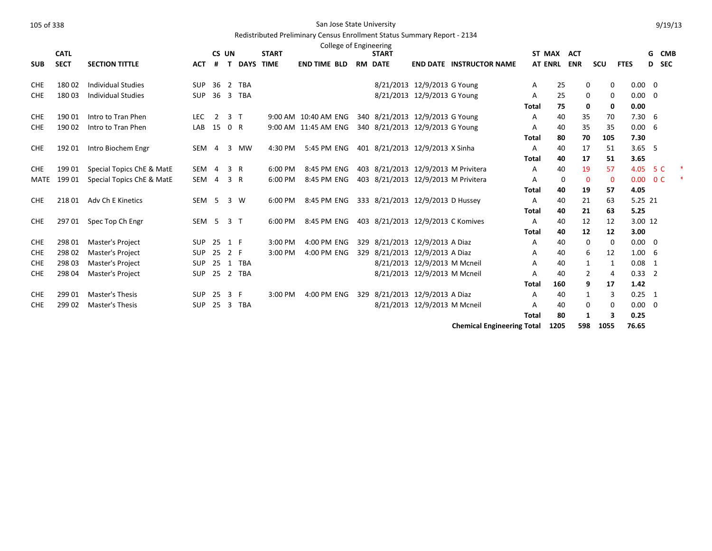|            | <b>CATL</b> |                           |                  | CS UN          |                |                    | <b>START</b> |                      | College of Engineering |     | <b>START</b>                        |                              |                                   | ST MAX         |      | <b>ACT</b>     |             |                | G CMB          |  |
|------------|-------------|---------------------------|------------------|----------------|----------------|--------------------|--------------|----------------------|------------------------|-----|-------------------------------------|------------------------------|-----------------------------------|----------------|------|----------------|-------------|----------------|----------------|--|
| <b>SUB</b> | <b>SECT</b> | <b>SECTION TITTLE</b>     | <b>ACT</b>       | #              |                | <b>T DAYS TIME</b> |              | <b>END TIME BLD</b>  |                        |     | <b>RM DATE</b>                      |                              | <b>END DATE INSTRUCTOR NAME</b>   | <b>AT ENRL</b> |      | <b>ENR</b>     | scu         | <b>FTES</b>    | D SEC          |  |
|            |             |                           |                  |                |                |                    |              |                      |                        |     |                                     |                              |                                   |                |      |                |             |                |                |  |
| <b>CHE</b> | 18002       | <b>Individual Studies</b> | <b>SUP</b>       | 36             |                | 2 TBA              |              |                      |                        |     |                                     | 8/21/2013 12/9/2013 G Young  |                                   | A              | 25   | 0              | 0           | $0.00 \quad 0$ |                |  |
| <b>CHE</b> | 18003       | <b>Individual Studies</b> | <b>SUP</b>       |                |                | 36 3 TBA           |              |                      |                        |     |                                     | 8/21/2013 12/9/2013 G Young  |                                   | Α              | 25   | 0              | 0           | $0.00 \quad 0$ |                |  |
|            |             |                           |                  |                |                |                    |              |                      |                        |     |                                     |                              |                                   | Total          | 75   | 0              | 0           | 0.00           |                |  |
| <b>CHE</b> | 190 01      | Intro to Tran Phen        | <b>LEC</b>       | 2              | 3 <sub>1</sub> |                    |              | 9:00 AM 10:40 AM ENG |                        |     | 340 8/21/2013 12/9/2013 G Young     |                              |                                   | A              | 40   | 35             | 70          | $7.30\quad 6$  |                |  |
| <b>CHE</b> | 190 02      | Intro to Tran Phen        | LAB              | 15 0 R         |                |                    |              | 9:00 AM 11:45 AM ENG |                        |     | 340 8/21/2013 12/9/2013 G Young     |                              |                                   | A              | 40   | 35             | 35          | 0.006          |                |  |
|            |             |                           |                  |                |                |                    |              |                      |                        |     |                                     |                              |                                   | Total          | 80   | 70             | 105         | 7.30           |                |  |
| <b>CHE</b> | 192 01      | Intro Biochem Engr        | SEM              | $\overline{4}$ | 3              | <b>MW</b>          | 4:30 PM      | 5:45 PM ENG          |                        |     | 401 8/21/2013 12/9/2013 X Sinha     |                              |                                   | Α              | 40   | 17             | 51          | $3.65$ 5       |                |  |
|            |             |                           |                  |                |                |                    |              |                      |                        |     |                                     |                              |                                   | <b>Total</b>   | 40   | 17             | 51          | 3.65           |                |  |
| <b>CHE</b> | 199 01      | Special Topics ChE & MatE | SEM 4            |                | 3              | R                  | 6:00 PM      | 8:45 PM ENG          |                        |     | 403 8/21/2013 12/9/2013 M Privitera |                              |                                   | Α              | 40   | 19             | 57          | 4.05           | 5 C            |  |
| MATE       | 19901       | Special Topics ChE & MatE | SEM              | 4              | 3              | R                  | 6:00 PM      | 8:45 PM ENG          |                        |     | 403 8/21/2013 12/9/2013 M Privitera |                              |                                   | A              | 0    | $\mathbf 0$    | $\mathbf 0$ | 0.00           | 0 <sup>C</sup> |  |
|            |             |                           |                  |                |                |                    |              |                      |                        |     |                                     |                              |                                   | Total          | 40   | 19             | 57          | 4.05           |                |  |
| <b>CHE</b> | 21801       | Adv Ch E Kinetics         | SEM <sub>5</sub> |                |                | 3 W                | 6:00 PM      | 8:45 PM ENG          |                        |     | 333 8/21/2013 12/9/2013 D Hussey    |                              |                                   | A              | 40   | 21             | 63          | 5.25 21        |                |  |
|            |             |                           |                  |                |                |                    |              |                      |                        |     |                                     |                              |                                   | Total          | 40   | 21             | 63          | 5.25           |                |  |
| <b>CHE</b> | 29701       | Spec Top Ch Engr          | SEM              | 5              | 3 <sub>1</sub> |                    | 6:00 PM      | 8:45 PM ENG          |                        |     | 403 8/21/2013 12/9/2013 C Komives   |                              |                                   | A              | 40   | 12             | 12          | 3.00 12        |                |  |
|            |             |                           |                  |                |                |                    |              |                      |                        |     |                                     |                              |                                   | Total          | 40   | 12             | 12          | 3.00           |                |  |
| <b>CHE</b> | 298 01      | Master's Project          | <b>SUP</b>       | 25             | 1 F            |                    | 3:00 PM      | 4:00 PM ENG          |                        |     | 329 8/21/2013 12/9/2013 A Diaz      |                              |                                   | A              | 40   | 0              | 0           | $0.00 \quad 0$ |                |  |
| <b>CHE</b> | 298 02      | Master's Project          | <b>SUP</b>       | 25             | 2 F            |                    | 3:00 PM      | 4:00 PM ENG          |                        |     | 329 8/21/2013 12/9/2013 A Diaz      |                              |                                   | Α              | 40   | 6              | 12          | $1.00\quad 6$  |                |  |
| <b>CHE</b> | 298 03      | Master's Project          | SUP              |                |                | 25 1 TBA           |              |                      |                        |     |                                     | 8/21/2013 12/9/2013 M Mcneil |                                   | Α              | 40   | 1              | 1           | $0.08$ 1       |                |  |
| <b>CHE</b> | 298 04      | Master's Project          | <b>SUP</b>       |                |                | 25 2 TBA           |              |                      |                        |     |                                     | 8/21/2013 12/9/2013 M Mcneil |                                   | A              | 40   | $\overline{2}$ | 4           | $0.33$ 2       |                |  |
|            |             |                           |                  |                |                |                    |              |                      |                        |     |                                     |                              |                                   | Total          | 160  | 9              | 17          | 1.42           |                |  |
| <b>CHE</b> | 299 01      | <b>Master's Thesis</b>    | <b>SUP</b>       | 25             | 3 F            |                    | 3:00 PM      | 4:00 PM ENG          |                        | 329 | 8/21/2013 12/9/2013 A Diaz          |                              |                                   | A              | 40   | 1              | 3           | $0.25 \quad 1$ |                |  |
| <b>CHE</b> | 299 02      | Master's Thesis           | <b>SUP</b>       |                |                | 25 3 TBA           |              |                      |                        |     |                                     | 8/21/2013 12/9/2013 M Mcneil |                                   | Α              | 40   | 0              | 0           | $0.00 \quad 0$ |                |  |
|            |             |                           |                  |                |                |                    |              |                      |                        |     |                                     |                              |                                   | <b>Total</b>   | 80   | 1              | 3           | 0.25           |                |  |
|            |             |                           |                  |                |                |                    |              |                      |                        |     |                                     |                              | <b>Chemical Engineering Total</b> |                | 1205 | 598            | 1055        | 76.65          |                |  |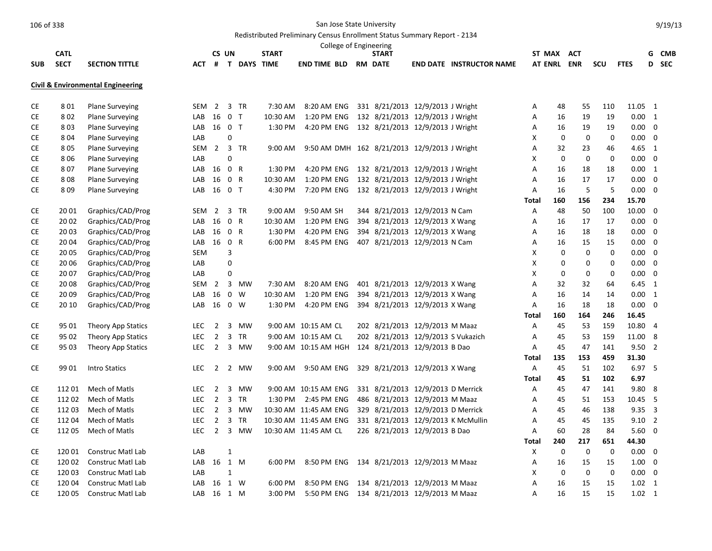|            |             |                                              |            |                |              |               |              | College of Engineering                       |                                    |                                    |              |             |             |             |                |                          |            |
|------------|-------------|----------------------------------------------|------------|----------------|--------------|---------------|--------------|----------------------------------------------|------------------------------------|------------------------------------|--------------|-------------|-------------|-------------|----------------|--------------------------|------------|
|            | <b>CATL</b> |                                              |            | CS UN          |              |               | <b>START</b> |                                              | <b>START</b>                       |                                    |              |             | ST MAX ACT  |             |                | G                        | <b>CMB</b> |
| <b>SUB</b> | <b>SECT</b> | <b>SECTION TITTLE</b>                        | <b>ACT</b> |                |              | # T DAYS TIME |              | <b>END TIME BLD</b>                          | <b>RM DATE</b>                     | <b>END DATE INSTRUCTOR NAME</b>    |              |             | AT ENRL ENR | <b>SCU</b>  | <b>FTES</b>    | D                        | SEC        |
|            |             | <b>Civil &amp; Environmental Engineering</b> |            |                |              |               |              |                                              |                                    |                                    |              |             |             |             |                |                          |            |
| <b>CE</b>  | 801         | <b>Plane Surveying</b>                       | <b>SEM</b> | $\overline{2}$ |              | 3 TR          | 7:30 AM      | 8:20 AM ENG                                  | 331 8/21/2013 12/9/2013 J Wright   |                                    | Α            | 48          | 55          | 110         | 11.05 1        |                          |            |
| CE         | 802         | <b>Plane Surveying</b>                       | LAB        | 16 0 T         |              |               | 10:30 AM     | 1:20 PM ENG                                  | 132 8/21/2013 12/9/2013 J Wright   |                                    | Α            | 16          | 19          | 19          | $0.00 \quad 1$ |                          |            |
| <b>CE</b>  | 803         | <b>Plane Surveying</b>                       | LAB        | 16 0 T         |              |               | 1:30 PM      | 4:20 PM ENG                                  | 132 8/21/2013 12/9/2013 J Wright   |                                    | Α            | 16          | 19          | 19          | $0.00 \ 0$     |                          |            |
| CE         | 804         | <b>Plane Surveying</b>                       | LAB        |                | 0            |               |              |                                              |                                    |                                    | X            | 0           | 0           | $\mathbf 0$ | $0.00 \quad 0$ |                          |            |
| <b>CE</b>  | 805         | <b>Plane Surveying</b>                       | SEM        |                |              | 2 3 TR        | 9:00 AM      | 9:50 AM DMH 162 8/21/2013 12/9/2013 J Wright |                                    |                                    | A            | 32          | 23          | 46          | $4.65 \quad 1$ |                          |            |
| CE         | 806         | Plane Surveying                              | LAB        |                | $\Omega$     |               |              |                                              |                                    |                                    | X            | $\mathbf 0$ | 0           | $\mathbf 0$ | $0.00 \quad 0$ |                          |            |
| СE         | 807         | <b>Plane Surveying</b>                       | LAB        | 16 0 R         |              |               | 1:30 PM      | 4:20 PM ENG                                  | 132 8/21/2013 12/9/2013 J Wright   |                                    | Α            | 16          | 18          | 18          | $0.00 \quad 1$ |                          |            |
| CE         | 808         | <b>Plane Surveying</b>                       | LAB        | 16             | 0 R          |               | 10:30 AM     | 1:20 PM ENG                                  | 132 8/21/2013 12/9/2013 J Wright   |                                    | Α            | 16          | 17          | 17          | 0.00           | $\mathbf 0$              |            |
| <b>CE</b>  | 809         | <b>Plane Surveying</b>                       | LAB        | 16 0 T         |              |               | 4:30 PM      | 7:20 PM ENG                                  | 132 8/21/2013 12/9/2013 J Wright   |                                    | Α            | 16          | 5           | 5           | $0.00\,$       | $\overline{\phantom{0}}$ |            |
|            |             |                                              |            |                |              |               |              |                                              |                                    |                                    | Total        | 160         | 156         | 234         | 15.70          |                          |            |
| CE         | 20 01       | Graphics/CAD/Prog                            | <b>SEM</b> | $\overline{2}$ |              | 3 TR          | 9:00 AM      | 9:50 AM SH                                   | 344 8/21/2013 12/9/2013 N Cam      |                                    | Α            | 48          | 50          | 100         | 10.00          | $\mathbf 0$              |            |
| CE         | 20 02       | Graphics/CAD/Prog                            | LAB        | 16             | 0 R          |               | 10:30 AM     | 1:20 PM ENG                                  | 394 8/21/2013 12/9/2013 X Wang     |                                    | Α            | 16          | 17          | 17          | 0.00           | 0                        |            |
| CE         | 20 03       | Graphics/CAD/Prog                            | LAB        | 16             | 0 R          |               | 1:30 PM      | 4:20 PM ENG                                  | 394 8/21/2013 12/9/2013 X Wang     |                                    | Α            | 16          | 18          | 18          | 0.00           | $\overline{\mathbf{0}}$  |            |
| CE         | 20 04       | Graphics/CAD/Prog                            | LAB        | 16 0 R         |              |               | 6:00 PM      | 8:45 PM ENG                                  | 407 8/21/2013 12/9/2013 N Cam      |                                    | Α            | 16          | 15          | 15          | $0.00 \quad 0$ |                          |            |
| CE         | 20 05       | Graphics/CAD/Prog                            | <b>SEM</b> |                | 3            |               |              |                                              |                                    |                                    | X            | $\mathbf 0$ | $\mathbf 0$ | $\mathbf 0$ | 0.00           | $\mathbf 0$              |            |
| CE         | 20 06       | Graphics/CAD/Prog                            | LAB        |                | $\mathbf 0$  |               |              |                                              |                                    |                                    | X            | 0           | $\mathbf 0$ | $\mathbf 0$ | $0.00 \quad 0$ |                          |            |
| <b>CE</b>  | 20 07       | Graphics/CAD/Prog                            | LAB        |                | 0            |               |              |                                              |                                    |                                    | X            | 0           | 0           | 0           | $0.00 \quad 0$ |                          |            |
| CE         | 20 08       | Graphics/CAD/Prog                            | <b>SEM</b> | $\overline{2}$ |              | 3 MW          | 7:30 AM      | 8:20 AM ENG                                  | 401 8/21/2013 12/9/2013 X Wang     |                                    | Α            | 32          | 32          | 64          | $6.45 \quad 1$ |                          |            |
| CE         | 2009        | Graphics/CAD/Prog                            | LAB        | 16 0 W         |              |               | 10:30 AM     | 1:20 PM ENG                                  | 394 8/21/2013 12/9/2013 X Wang     |                                    | Α            | 16          | 14          | 14          | $0.00 \quad 1$ |                          |            |
| СE         | 20 10       | Graphics/CAD/Prog                            | LAB 16 0 W |                |              |               | 1:30 PM      | 4:20 PM ENG                                  | 394 8/21/2013 12/9/2013 X Wang     |                                    | Α            | 16          | 18          | 18          | $0.00 \quad 0$ |                          |            |
|            |             |                                              |            |                |              |               |              |                                              |                                    |                                    | <b>Total</b> | 160         | 164         | 246         | 16.45          |                          |            |
| <b>CE</b>  | 95 01       | Theory App Statics                           | LEC.       | $\overline{2}$ |              | 3 MW          |              | 9:00 AM 10:15 AM CL                          | 202 8/21/2013 12/9/2013 M Maaz     |                                    | A            | 45          | 53          | 159         | 10.80          | $\overline{4}$           |            |
| CE         | 95 02       | Theory App Statics                           | <b>LEC</b> | $\overline{2}$ |              | 3 TR          |              | 9:00 AM 10:15 AM CL                          | 202 8/21/2013 12/9/2013 S Vukazich |                                    | Α            | 45          | 53          | 159         | 11.00          | 8                        |            |
| CE         | 95 03       | Theory App Statics                           | <b>LEC</b> | $\overline{2}$ |              | 3 MW          |              | 9:00 AM 10:15 AM HGH                         | 124 8/21/2013 12/9/2013 B Dao      |                                    | Α            | 45          | 47          | 141         | 9.502          |                          |            |
|            |             |                                              |            |                |              |               |              |                                              |                                    |                                    | <b>Total</b> | 135         | 153         | 459         | 31.30          |                          |            |
| <b>CE</b>  | 99 01       | <b>Intro Statics</b>                         | <b>LEC</b> |                |              | 2 2 MW        | 9:00 AM      | 9:50 AM ENG                                  | 329 8/21/2013 12/9/2013 X Wang     |                                    | Α            | 45          | 51          | 102         | 6.97 5         |                          |            |
|            |             |                                              |            |                |              |               |              |                                              |                                    |                                    | <b>Total</b> | 45          | 51          | 102         | 6.97           |                          |            |
| CE         | 112 01      | Mech of Matls                                | <b>LEC</b> | $\overline{2}$ |              | 3 MW          |              | 9:00 AM 10:15 AM ENG                         | 331 8/21/2013 12/9/2013 D Merrick  |                                    | Α            | 45          | 47          | 141         | 9.80 8         |                          |            |
| СE         | 112 02      | Mech of Matls                                | <b>LEC</b> | $\overline{2}$ |              | 3 TR          |              | 1:30 PM 2:45 PM ENG                          | 486 8/21/2013 12/9/2013 M Maaz     |                                    | Α            | 45          | 51          | 153         | 10.45 5        |                          |            |
| CE         | 112 03      | Mech of Matls                                | <b>LEC</b> | $\overline{2}$ |              | 3 MW          |              | 10:30 AM 11:45 AM ENG                        | 329 8/21/2013 12/9/2013 D Merrick  |                                    | Α            | 45          | 46          | 138         | $9.35 \quad 3$ |                          |            |
| <b>CE</b>  | 112 04      | Mech of Matls                                | <b>LEC</b> | $\overline{2}$ |              | 3 TR          |              | 10:30 AM 11:45 AM ENG                        |                                    | 331 8/21/2013 12/9/2013 K McMullin | Α            | 45          | 45          | 135         | $9.10 \quad 2$ |                          |            |
| CE         | 11205       | Mech of Matls                                | <b>LEC</b> | $2^{\circ}$    |              | 3 MW          |              | 10:30 AM 11:45 AM CL                         | 226 8/21/2013 12/9/2013 B Dao      |                                    | A            | 60          | 28          | 84          | 5.60           | $\overline{\mathbf{0}}$  |            |
|            |             |                                              |            |                |              |               |              |                                              |                                    |                                    | <b>Total</b> | 240         | 217         | 651         | 44.30          |                          |            |
| CE         | 120 01      | Construc Matl Lab                            | LAB        |                | 1            |               |              |                                              |                                    |                                    | Х            | 0           | 0           | 0           | 0.00           | $\overline{0}$           |            |
| СE         | 120 02      | <b>Construc Matl Lab</b>                     | LAB        | 16 1 M         |              |               | 6:00 PM      | 8:50 PM ENG                                  | 134 8/21/2013 12/9/2013 M Maaz     |                                    | Α            | 16          | 15          | 15          | $1.00 \t 0$    |                          |            |
| CE         | 12003       | Construc Matl Lab                            | LAB        |                | $\mathbf{1}$ |               |              |                                              |                                    |                                    | X            | 0           | 0           | 0           | 0.00           | $\mathbf 0$              |            |
| CE         | 120 04      | Construc Matl Lab                            | LAB        | 16 1 W         |              |               | 6:00 PM      | 8:50 PM ENG                                  | 134 8/21/2013 12/9/2013 M Maaz     |                                    | A            | 16          | 15          | 15          | $1.02 \quad 1$ |                          |            |
| <b>CE</b>  | 120 05      | Construc Matl Lab                            | LAB        | 16 1 M         |              |               | 3:00 PM      | 5:50 PM ENG                                  | 134 8/21/2013 12/9/2013 M Maaz     |                                    | A            | 16          | 15          | 15          | $1.02 \quad 1$ |                          |            |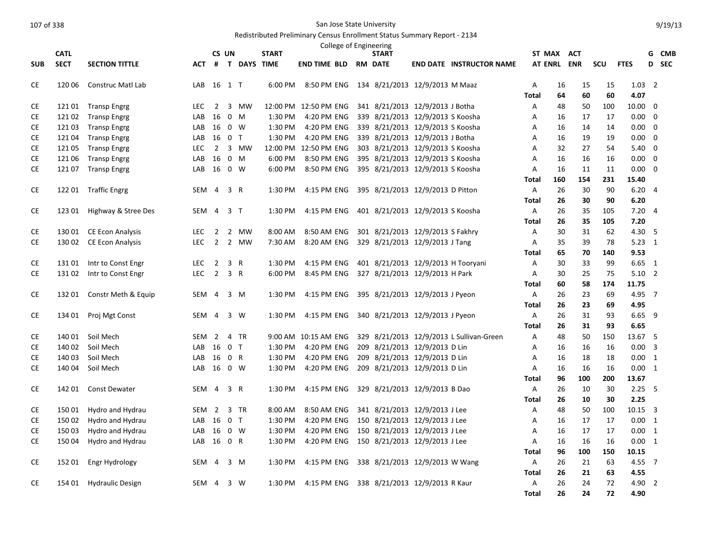|            | <b>CATL</b>      |                                      |            | CS UN          |                |               | <b>START</b>       |                             | College of Engineering | <b>START</b>                     |                                          |                   | ST MAX ACT     |            |           |                 | G              | <b>CMB</b> |
|------------|------------------|--------------------------------------|------------|----------------|----------------|---------------|--------------------|-----------------------------|------------------------|----------------------------------|------------------------------------------|-------------------|----------------|------------|-----------|-----------------|----------------|------------|
| <b>SUB</b> | <b>SECT</b>      | <b>SECTION TITTLE</b>                | <b>ACT</b> |                |                | # T DAYS TIME |                    | <b>END TIME BLD RM DATE</b> |                        |                                  | <b>END DATE INSTRUCTOR NAME</b>          |                   | <b>AT ENRL</b> | <b>ENR</b> | SCU       | <b>FTES</b>     |                | D SEC      |
| CE         | 120 06           | Construc Matl Lab                    | LAB        | 16 1 T         |                |               | 6:00 PM            | 8:50 PM ENG                 |                        | 134 8/21/2013 12/9/2013 M Maaz   |                                          | Α                 | 16             | 15         | 15        | $1.03 \quad 2$  |                |            |
|            |                  |                                      |            |                |                |               |                    |                             |                        |                                  |                                          | <b>Total</b>      | 64             | 60         | 60        | 4.07            |                |            |
| <b>CE</b>  | 121 01           | <b>Transp Engrg</b>                  | <b>LEC</b> | $\overline{2}$ |                | 3 MW          |                    | 12:00 PM 12:50 PM ENG       |                        | 341 8/21/2013 12/9/2013 J Botha  |                                          | Α                 | 48             | 50         | 100       | 10.00 0         |                |            |
| CE         | 121 02           | <b>Transp Engrg</b>                  | LAB        | 16             |                | $0 \t M$      | 1:30 PM            | 4:20 PM ENG                 |                        | 339 8/21/2013 12/9/2013 S Koosha |                                          | Α                 | 16             | 17         | 17        | $0.00\,$        | $\overline{0}$ |            |
| CE         | 12103            | <b>Transp Engrg</b>                  | LAB        | 16 0 W         |                |               | 1:30 PM            | 4:20 PM ENG                 |                        | 339 8/21/2013 12/9/2013 S Koosha |                                          | Α                 | 16             | 14         | 14        | $0.00 \quad 0$  |                |            |
| <b>CE</b>  | 121 04           | <b>Transp Engrg</b>                  | LAB        | 16 0 T         |                |               | 1:30 PM            | 4:20 PM ENG                 |                        | 339 8/21/2013 12/9/2013 J Botha  |                                          | A                 | 16             | 19         | 19        | 0.00            | $\overline{0}$ |            |
| CE         | 121 05           | <b>Transp Engrg</b>                  | <b>LEC</b> |                |                | 2 3 MW        | 12:00 PM           | 12:50 PM ENG                |                        | 303 8/21/2013 12/9/2013 S Koosha |                                          | A                 | 32             | 27         | 54        | $5.40 \quad 0$  |                |            |
| <b>CE</b>  | 121 06           | <b>Transp Engrg</b>                  | LAB        | 16             |                | $0$ M         | 6:00 PM            | 8:50 PM ENG                 |                        | 395 8/21/2013 12/9/2013 S Koosha |                                          | A                 | 16             | 16         | 16        | $0.00 \quad 0$  |                |            |
| CE         | 121 07           | <b>Transp Engrg</b>                  | LAB        | 16 0 W         |                |               | 6:00 PM            | 8:50 PM ENG                 |                        | 395 8/21/2013 12/9/2013 S Koosha |                                          | Α                 | 16             | 11         | 11        | $0.00 \quad 0$  |                |            |
|            |                  |                                      |            |                |                |               |                    |                             |                        |                                  |                                          | <b>Total</b>      | 160            | 154        | 231       | 15.40           |                |            |
| <b>CE</b>  |                  | 122 01 Traffic Engrg                 | SEM 4      |                | 3 R            |               | 1:30 PM            | 4:15 PM ENG                 |                        | 395 8/21/2013 12/9/2013 D Pitton |                                          | Α                 | 26             | 30         | 90        | 6.204           |                |            |
|            |                  |                                      |            |                |                |               |                    |                             |                        |                                  |                                          | <b>Total</b>      | 26             | 30         | 90        | 6.20            |                |            |
| <b>CE</b>  | 123 01           | Highway & Stree Des                  | SEM        | $\overline{4}$ | 3 T            |               | 1:30 PM            | 4:15 PM ENG                 |                        | 401 8/21/2013 12/9/2013 S Koosha |                                          | A                 | 26<br>26       | 35<br>35   | 105       | 7.20<br>7.20    | $\overline{4}$ |            |
| CE         | 130 01           | <b>CE Econ Analysis</b>              | LEC.       | $\overline{2}$ |                | 2 MW          | 8:00 AM            | 8:50 AM ENG                 |                        | 301 8/21/2013 12/9/2013 S Fakhry |                                          | Total<br>Α        | 30             | 31         | 105<br>62 | 4.30            | - 5            |            |
| <b>CE</b>  | 130 02           | <b>CE Econ Analysis</b>              | <b>LEC</b> | $2^{\circ}$    |                | 2 MW          | 7:30 AM            | 8:20 AM ENG                 |                        | 329 8/21/2013 12/9/2013 J Tang   |                                          | Α                 | 35             | 39         | 78        | $5.23 \quad 1$  |                |            |
|            |                  |                                      |            |                |                |               |                    |                             |                        |                                  |                                          | <b>Total</b>      | 65             | 70         | 140       | 9.53            |                |            |
| CE         | 131 01           | Intr to Const Engr                   | <b>LEC</b> | $\overline{2}$ | 3 R            |               | 1:30 PM            | 4:15 PM ENG                 |                        |                                  | 401 8/21/2013 12/9/2013 H Tooryani       | Α                 | 30             | 33         | 99        | $6.65$ 1        |                |            |
| <b>CE</b>  | 13102            | Intr to Const Engr                   | <b>LEC</b> | $\overline{2}$ | 3 R            |               | 6:00 PM            | 8:45 PM ENG                 |                        | 327 8/21/2013 12/9/2013 H Park   |                                          | Α                 | 30             | 25         | 75        | $5.10$ 2        |                |            |
|            |                  |                                      |            |                |                |               |                    |                             |                        |                                  |                                          | Total             | 60             | 58         | 174       | 11.75           |                |            |
| <b>CE</b>  | 132 01           | Constr Meth & Equip                  | SEM        | $\overline{4}$ |                | 3 M           | 1:30 PM            | 4:15 PM ENG                 |                        | 395 8/21/2013 12/9/2013 J Pyeon  |                                          | A                 | 26             | 23         | 69        | 4.95 7          |                |            |
|            |                  |                                      |            |                |                |               |                    |                             |                        |                                  |                                          | Total             | 26             | 23         | 69        | 4.95            |                |            |
| <b>CE</b>  | 134 01           | Proj Mgt Const                       | SEM 4      |                |                | 3 W           | 1:30 PM            | 4:15 PM ENG                 |                        | 340 8/21/2013 12/9/2013 J Pyeon  |                                          | A                 | 26             | 31         | 93        | $6.65$ 9        |                |            |
|            |                  |                                      |            |                |                |               |                    |                             |                        |                                  |                                          | Total             | 26             | 31         | 93        | 6.65            |                |            |
| CE         | 140 01           | Soil Mech                            | SEM        | 2              |                | 4 TR          |                    | 9:00 AM 10:15 AM ENG        |                        |                                  | 329 8/21/2013 12/9/2013 L Sullivan-Green | А                 | 48             | 50         | 150       | 13.67 5         |                |            |
| <b>CE</b>  | 140 02           | Soil Mech                            | LAB        | 16             | 0 <sub>T</sub> |               | 1:30 PM            | 4:20 PM ENG                 |                        | 209 8/21/2013 12/9/2013 D Lin    |                                          | Α                 | 16             | 16         | 16        | $0.00 \quad 3$  |                |            |
| CE         | 140 03           | Soil Mech                            | LAB        | 16             | 0 R            |               | 1:30 PM            | 4:20 PM ENG                 |                        | 209 8/21/2013 12/9/2013 D Lin    |                                          | А                 | 16             | 18         | 18        | $0.00 \quad 1$  |                |            |
| <b>CE</b>  | 140 04           | Soil Mech                            | LAB        | 16 0 W         |                |               | 1:30 PM            | 4:20 PM ENG                 |                        | 209 8/21/2013 12/9/2013 D Lin    |                                          | Α                 | 16             | 16         | 16        | 0.00 1          |                |            |
|            |                  |                                      |            |                |                |               |                    |                             |                        |                                  |                                          | <b>Total</b>      | 96             | 100        | 200       | 13.67           |                |            |
| <b>CE</b>  | 142 01           | <b>Const Dewater</b>                 | SEM        | 4              | 3 R            |               | 1:30 PM            | 4:15 PM ENG                 |                        | 329 8/21/2013 12/9/2013 B Dao    |                                          | Α                 | 26             | 10         | 30        | $2.25 \quad 5$  |                |            |
|            |                  |                                      | SEM 2      |                |                | 3 TR          |                    |                             |                        | 341 8/21/2013 12/9/2013 J Lee    |                                          | <b>Total</b><br>Α | 26<br>48       | 10         | 30<br>100 | 2.25<br>10.15 3 |                |            |
| CE<br>CE   | 150 01<br>150 02 | Hydro and Hydrau<br>Hydro and Hydrau | LAB        | 16             | 0 <sub>T</sub> |               | 8:00 AM<br>1:30 PM | 8:50 AM ENG<br>4:20 PM ENG  |                        | 150 8/21/2013 12/9/2013 J Lee    |                                          | Α                 | 16             | 50<br>17   | 17        | $0.00 \quad 1$  |                |            |
| <b>CE</b>  | 150 03           | Hydro and Hydrau                     | LAB        | 16             |                | $0 \quad W$   | 1:30 PM            | 4:20 PM ENG                 |                        | 150 8/21/2013 12/9/2013 J Lee    |                                          | A                 | 16             | 17         | 17        | $0.00 \quad 1$  |                |            |
| CE         | 150 04           | Hydro and Hydrau                     | LAB        | 16             | 0 R            |               | 1:30 PM            | 4:20 PM ENG                 |                        | 150 8/21/2013 12/9/2013 J Lee    |                                          | Α                 | 16             | 16         | 16        | 0.00 1          |                |            |
|            |                  |                                      |            |                |                |               |                    |                             |                        |                                  |                                          | <b>Total</b>      | 96             | 100        | 150       | 10.15           |                |            |
| CE         | 152 01           | Engr Hydrology                       | SEM        | 4              |                | 3 M           | 1:30 PM            | 4:15 PM ENG                 |                        | 338 8/21/2013 12/9/2013 W Wang   |                                          | Α                 | 26             | 21         | 63        | 4.55 7          |                |            |
|            |                  |                                      |            |                |                |               |                    |                             |                        |                                  |                                          | <b>Total</b>      | 26             | 21         | 63        | 4.55            |                |            |
| CE         | 154 01           | <b>Hydraulic Design</b>              | SEM 4      |                |                | 3 W           | 1:30 PM            | 4:15 PM ENG                 |                        | 338 8/21/2013 12/9/2013 R Kaur   |                                          | А                 | 26             | 24         | 72        | 4.90 2          |                |            |
|            |                  |                                      |            |                |                |               |                    |                             |                        |                                  |                                          | <b>Total</b>      | 26             | 24         | 72        | 4.90            |                |            |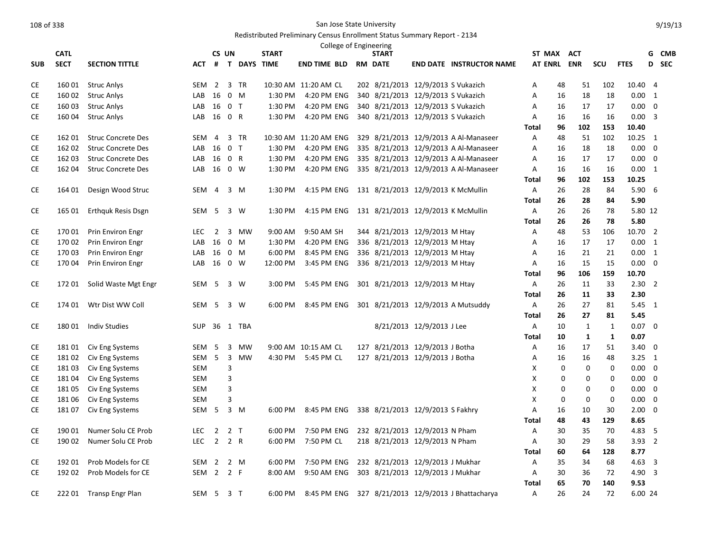|                        | <b>CATL</b>      |                                          |                  |                | CS UN                   |                   | <b>START</b>       | College of Engineering      | <b>START</b>                                                         |                           |                                        | ST MAX ACT     |             |              |              |                        | G | <b>CMB</b> |
|------------------------|------------------|------------------------------------------|------------------|----------------|-------------------------|-------------------|--------------------|-----------------------------|----------------------------------------------------------------------|---------------------------|----------------------------------------|----------------|-------------|--------------|--------------|------------------------|---|------------|
|                        |                  |                                          |                  |                |                         |                   |                    |                             |                                                                      |                           |                                        |                |             |              |              |                        |   | D SEC      |
| <b>SUB</b>             | <b>SECT</b>      | <b>SECTION TITTLE</b>                    |                  |                |                         | ACT # T DAYS TIME |                    | <b>END TIME BLD RM DATE</b> |                                                                      |                           | <b>END DATE INSTRUCTOR NAME</b>        | <b>AT ENRL</b> |             | <b>ENR</b>   | SCU          | <b>FTES</b>            |   |            |
| CE                     | 16001            | <b>Struc Anlys</b>                       | SEM 2            |                |                         | 3 TR              |                    | 10:30 AM 11:20 AM CL        | 202 8/21/2013 12/9/2013 S Vukazich                                   |                           |                                        | Α              | 48          | 51           | 102          | 10.40 4                |   |            |
| <b>CE</b>              | 160 02           | <b>Struc Anlys</b>                       | LAB              | 16 0 M         |                         |                   | 1:30 PM            | 4:20 PM ENG                 | 340 8/21/2013 12/9/2013 S Vukazich                                   |                           |                                        | Α              | 16          | 18           | 18           | $0.00 \quad 1$         |   |            |
| CE                     | 160 03           | <b>Struc Anlys</b>                       | LAB              | 16 0 T         |                         |                   | 1:30 PM            | 4:20 PM ENG                 | 340 8/21/2013 12/9/2013 S Vukazich                                   |                           |                                        | А              | 16          | 17           | 17           | $0.00 \quad 0$         |   |            |
| CE                     | 16004            | <b>Struc Anlys</b>                       | LAB              | 16 0 R         |                         |                   | 1:30 PM            | 4:20 PM ENG                 | 340 8/21/2013 12/9/2013 S Vukazich                                   |                           |                                        | Α              | 16          | 16           | 16           | $0.00 \quad 3$         |   |            |
|                        |                  |                                          |                  |                |                         |                   |                    |                             |                                                                      |                           |                                        | <b>Total</b>   | 96          | 102          | 153          | 10.40                  |   |            |
| <b>CE</b>              | 162 01           | <b>Struc Concrete Des</b>                | SEM              | 4              |                         | 3 TR              |                    | 10:30 AM 11:20 AM ENG       |                                                                      |                           | 329 8/21/2013 12/9/2013 A Al-Manaseer  | Α              | 48          | 51           | 102          | 10.25 1                |   |            |
| <b>CE</b>              | 162 02           | <b>Struc Concrete Des</b>                | LAB              | 16 0 T         |                         |                   | 1:30 PM            | 4:20 PM ENG                 |                                                                      |                           | 335 8/21/2013 12/9/2013 A Al-Manaseer  | А              | 16          | 18           | 18           | $0.00 \ 0$             |   |            |
| CE                     | 162 03           | <b>Struc Concrete Des</b>                | LAB              | 16 0 R         |                         |                   | 1:30 PM            | 4:20 PM ENG                 |                                                                      |                           | 335 8/21/2013 12/9/2013 A Al-Manaseer  | Α              | 16          | 17           | 17           | $0.00 \quad 0$         |   |            |
| <b>CE</b>              | 162 04           | <b>Struc Concrete Des</b>                | LAB              | 16 0 W         |                         |                   | 1:30 PM            | 4:20 PM ENG                 |                                                                      |                           | 335 8/21/2013 12/9/2013 A Al-Manaseer  | Α              | 16          | 16           | 16           | 0.00 1                 |   |            |
|                        |                  |                                          |                  |                |                         |                   |                    |                             |                                                                      |                           |                                        | Total          | 96          | 102          | 153          | 10.25                  |   |            |
| CE                     | 164 01           | Design Wood Struc                        | SEM 4            |                |                         | $3 \, M$          | 1:30 PM            | 4:15 PM ENG                 |                                                                      |                           | 131 8/21/2013 12/9/2013 K McMullin     | Α              | 26          | 28           | 84           | $5.90\quad 6$          |   |            |
|                        |                  |                                          |                  |                |                         |                   |                    |                             |                                                                      |                           |                                        | Total          | 26          | 28           | 84           | 5.90                   |   |            |
| CE                     | 165 01           | <b>Erthquk Resis Dsgn</b>                | SEM 5            |                |                         | 3 W               | 1:30 PM            | 4:15 PM ENG                 |                                                                      |                           | 131 8/21/2013 12/9/2013 K McMullin     | Α              | 26          | 26           | 78           | 5.80 12                |   |            |
|                        |                  |                                          |                  |                |                         |                   |                    |                             |                                                                      |                           |                                        | Total          | 26          | 26           | 78           | 5.80                   |   |            |
| CE                     | 170 01           | Prin Environ Engr                        | <b>LEC</b>       | $\overline{2}$ |                         | 3 MW              | 9:00 AM            | 9:50 AM SH                  | 344 8/21/2013 12/9/2013 M Htay                                       |                           |                                        | Α              | 48          | 53           | 106          | 10.70 2                |   |            |
| CE                     | 170 02           | Prin Environ Engr                        | LAB              | 16             | 0 M                     |                   | 1:30 PM            | 4:20 PM ENG                 | 336 8/21/2013 12/9/2013 M Htay                                       |                           |                                        | Α              | 16          | 17           | 17           | $0.00 \quad 1$         |   |            |
| CE                     | 170 03           | <b>Prin Environ Engr</b>                 | LAB              | 16             | 0 M                     |                   | 6:00 PM            | 8:45 PM ENG                 | 336 8/21/2013 12/9/2013 M Htay                                       |                           |                                        | Α              | 16          | 21           | 21           | 0.00 1                 |   |            |
| CE                     | 170 04           | Prin Environ Engr                        | LAB              | 16 0 W         |                         |                   | 12:00 PM           | 3:45 PM ENG                 | 336 8/21/2013 12/9/2013 M Htay                                       |                           |                                        | Α              | 16          | 15           | 15           | $0.00 \quad 0$         |   |            |
|                        |                  |                                          |                  |                |                         |                   |                    |                             |                                                                      |                           |                                        | <b>Total</b>   | 96          | 106          | 159          | 10.70                  |   |            |
| <b>CE</b>              | 172 01           | Solid Waste Mgt Engr                     | SEM              | 5              |                         | 3 W               | 3:00 PM            | 5:45 PM ENG                 | 301 8/21/2013 12/9/2013 M Htay                                       |                           |                                        | Α              | 26          | 11           | 33           | $2.30$ 2               |   |            |
|                        |                  |                                          |                  |                |                         |                   |                    |                             |                                                                      |                           |                                        | <b>Total</b>   | 26          | 11           | 33           | 2.30                   |   |            |
| CE.                    | 174 01           | Wtr Dist WW Coll                         | SEM 5            |                |                         | 3 W               | 6:00 PM            | 8:45 PM ENG                 |                                                                      |                           | 301 8/21/2013 12/9/2013 A Mutsuddy     | Α              | 26          | 27           | 81           | 5.45 1                 |   |            |
|                        |                  |                                          |                  |                |                         |                   |                    |                             |                                                                      |                           |                                        | <b>Total</b>   | 26          | 27           | 81           | 5.45                   |   |            |
| CE                     | 18001            | <b>Indiv Studies</b>                     | <b>SUP</b>       |                |                         | 36 1 TBA          |                    |                             |                                                                      | 8/21/2013 12/9/2013 J Lee |                                        | Α              | 10          | $\mathbf{1}$ | $\mathbf{1}$ | $0.07$ 0               |   |            |
|                        |                  |                                          |                  |                |                         |                   |                    |                             |                                                                      |                           |                                        | <b>Total</b>   | 10          | $\mathbf{1}$ | $\mathbf{1}$ | 0.07                   |   |            |
| <b>CE</b>              | 18101            | Civ Eng Systems                          | SEM              | 5              | 3                       | MW                |                    | 9:00 AM 10:15 AM CL         | 127 8/21/2013 12/9/2013 J Botha                                      |                           |                                        | А              | 16          | 17           | 51           | $3.40 \quad 0$         |   |            |
| CE                     | 18102            | Civ Eng Systems                          | SEM              | 5              |                         | 3 MW              | 4:30 PM            | 5:45 PM CL                  | 127 8/21/2013 12/9/2013 J Botha                                      |                           |                                        | Α              | 16          | 16           | 48           | $3.25 \quad 1$         |   |            |
| CE                     | 18103            | Civ Eng Systems                          | SEM              |                | 3                       |                   |                    |                             |                                                                      |                           |                                        | х              | 0           | 0            | 0            | $0.00 \quad 0$         |   |            |
| CE                     | 18104            | Civ Eng Systems                          | SEM              |                | 3                       |                   |                    |                             |                                                                      |                           |                                        | х              | 0           | 0            | 0            | $0.00 \quad 0$         |   |            |
| CE                     | 18105            | Civ Eng Systems                          | SEM              |                | $\mathsf 3$             |                   |                    |                             |                                                                      |                           |                                        | х              | 0           | 0            | 0            | $0.00 \quad 0$         |   |            |
| СE                     | 181 06           | Civ Eng Systems                          | <b>SEM</b>       |                | $\overline{\mathbf{3}}$ |                   |                    |                             |                                                                      |                           |                                        | X              | $\mathbf 0$ | $\mathbf 0$  | $\Omega$     | $0.00\,$               | 0 |            |
| CE                     | 18107            | Civ Eng Systems                          | SEM 5            |                |                         | $3 \, M$          | 6:00 PM            | 8:45 PM ENG                 | 338 8/21/2013 12/9/2013 S Fakhry                                     |                           |                                        | Α              | 16          | 10           | 30           | $2.00 \quad 0$         |   |            |
|                        |                  |                                          |                  |                |                         |                   |                    |                             |                                                                      |                           |                                        | Total          | 48          | 43           | 129          | 8.65                   |   |            |
| <b>CE</b>              | 190 01           | Numer Solu CE Prob                       | <b>LEC</b>       | $\overline{2}$ | 2 <sub>T</sub>          |                   | 6:00 PM            | 7:50 PM ENG                 | 232 8/21/2013 12/9/2013 N Pham                                       |                           |                                        | А              | 30          | 35           | 70           | 4.83 5                 |   |            |
| <b>CE</b>              | 190 02           | Numer Solu CE Prob                       | <b>LEC</b>       |                | $2 \quad 2 \quad R$     |                   | 6:00 PM            | 7:50 PM CL                  | 218 8/21/2013 12/9/2013 N Pham                                       |                           |                                        | Α              | 30          | 29           | 58           | $3.93$ 2               |   |            |
|                        |                  |                                          |                  |                |                         |                   |                    |                             |                                                                      |                           |                                        | <b>Total</b>   | 60          | 64<br>34     | 128          | 8.77                   |   |            |
| <b>CE</b><br><b>CE</b> | 192 01<br>192 02 | Prob Models for CE<br>Prob Models for CE | SEM<br>SEM 2 2 F | $\overline{2}$ |                         | 2 M               | 6:00 PM<br>8:00 AM | 7:50 PM ENG<br>9:50 AM ENG  | 232 8/21/2013 12/9/2013 J Mukhar<br>303 8/21/2013 12/9/2013 J Mukhar |                           |                                        | Α<br>Α         | 35<br>30    | 36           | 68<br>72     | $4.63 \quad 3$<br>4.90 | 3 |            |
|                        |                  |                                          |                  |                |                         |                   |                    |                             |                                                                      |                           |                                        | Total          | 65          | 70           | 140          | 9.53                   |   |            |
| CE                     | 222 01           | Transp Engr Plan                         | SEM 5            |                | 3 <sub>T</sub>          |                   | 6:00 PM            | 8:45 PM ENG                 |                                                                      |                           | 327 8/21/2013 12/9/2013 J Bhattacharya | A              | 26          | 24           | 72           | 6.00 24                |   |            |
|                        |                  |                                          |                  |                |                         |                   |                    |                             |                                                                      |                           |                                        |                |             |              |              |                        |   |            |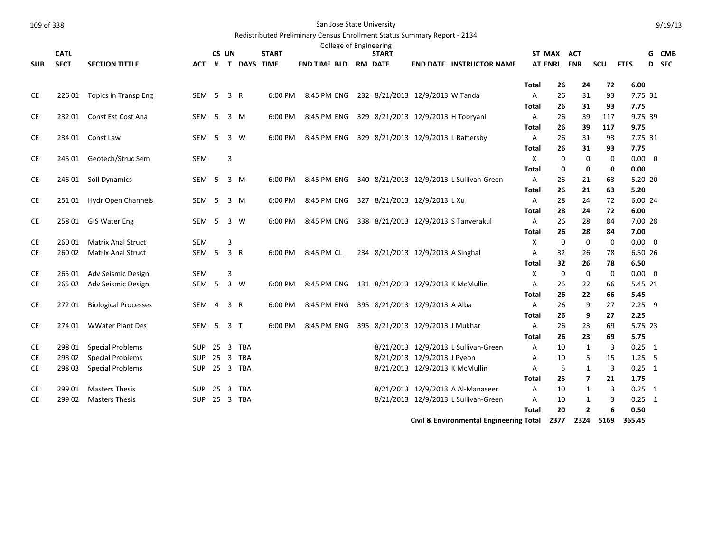| 109 of 338 |             |                             |                  |                |     |               |              | San Jose State University                                                |                                   |                             |                                                    |                   |             |                |             |                  |       | 9/19/13 |
|------------|-------------|-----------------------------|------------------|----------------|-----|---------------|--------------|--------------------------------------------------------------------------|-----------------------------------|-----------------------------|----------------------------------------------------|-------------------|-------------|----------------|-------------|------------------|-------|---------|
|            |             |                             |                  |                |     |               |              | Redistributed Preliminary Census Enrollment Status Summary Report - 2134 |                                   |                             |                                                    |                   |             |                |             |                  |       |         |
|            |             |                             |                  |                |     |               |              | College of Engineering                                                   |                                   |                             |                                                    |                   |             |                |             |                  |       |         |
|            | <b>CATL</b> |                             |                  | CS UN          |     |               | <b>START</b> |                                                                          | <b>START</b>                      |                             |                                                    |                   | ST MAX ACT  |                |             |                  | G CMB |         |
| <b>SUB</b> | <b>SECT</b> | <b>SECTION TITTLE</b>       | ACT              |                |     | # T DAYS TIME |              | <b>END TIME BLD</b>                                                      | <b>RM DATE</b>                    |                             | <b>END DATE INSTRUCTOR NAME</b>                    |                   |             | AT ENRL ENR    | scu         | <b>FTES</b>      | D SEC |         |
|            |             |                             |                  |                |     |               |              |                                                                          |                                   |                             |                                                    |                   |             |                |             |                  |       |         |
|            |             |                             |                  |                |     |               |              |                                                                          |                                   |                             |                                                    | Total             | 26<br>26    | 24<br>31       | 72<br>93    | 6.00<br>7.75 31  |       |         |
| CE         | 226 01      | <b>Topics in Transp Eng</b> | SEM <sub>5</sub> |                | 3 R |               | 6:00 PM      | 8:45 PM ENG 232 8/21/2013 12/9/2013 W Tanda                              |                                   |                             |                                                    | A<br>Total        | 26          | 31             | 93          | 7.75             |       |         |
| CE         | 23201       | Const Est Cost Ana          | SEM              | 5              |     | 3 M           | 6:00 PM      | 8:45 PM ENG                                                              |                                   |                             | 329 8/21/2013 12/9/2013 H Tooryani                 | A                 | 26          | 39             | 117         | 9.75 39          |       |         |
|            |             |                             |                  |                |     |               |              |                                                                          |                                   |                             |                                                    | Total             | 26          | 39             | 117         | 9.75             |       |         |
| CE         | 234 01      | Const Law                   | SEM <sub>5</sub> |                |     | 3 W           | 6:00 PM      | 8:45 PM ENG                                                              |                                   |                             | 329 8/21/2013 12/9/2013 L Battersby                | $\mathsf{A}$      | 26          | 31             | 93          | 7.75 31          |       |         |
|            |             |                             |                  |                |     |               |              |                                                                          |                                   |                             |                                                    | Total             | 26          | 31             | 93          | 7.75             |       |         |
| CE         | 245 01      | Geotech/Struc Sem           | <b>SEM</b>       |                | 3   |               |              |                                                                          |                                   |                             |                                                    | $\times$          | $\mathbf 0$ | $\mathbf 0$    | $\mathbf 0$ | $0.00 \quad 0$   |       |         |
|            |             |                             |                  |                |     |               |              |                                                                          |                                   |                             |                                                    | <b>Total</b>      | 0           | 0              | $\mathbf 0$ | 0.00             |       |         |
| CE         | 246 01      | Soil Dynamics               | SEM <sub>5</sub> |                |     | 3 M           | 6:00 PM      | 8:45 PM ENG                                                              |                                   |                             | 340 8/21/2013 12/9/2013 L Sullivan-Green           | $\mathsf{A}$      | 26          | 21             | 63          | 5.20 20          |       |         |
|            |             |                             |                  |                |     |               |              |                                                                          |                                   |                             |                                                    | Total             | 26          | 21             | 63          | 5.20             |       |         |
| CE         | 251 01      | Hydr Open Channels          | SEM <sub>5</sub> |                | 3 M |               | 6:00 PM      | 8:45 PM ENG 327 8/21/2013 12/9/2013 L Xu                                 |                                   |                             |                                                    | $\overline{A}$    | 28          | 24             | 72          | 6.00 24          |       |         |
|            |             |                             |                  |                |     |               |              |                                                                          |                                   |                             |                                                    | Total             | 28          | 24             | 72          | 6.00             |       |         |
| CE         | 258 01      | <b>GIS Water Eng</b>        | SEM 5 3 W        |                |     |               | 6:00 PM      | 8:45 PM ENG 338 8/21/2013 12/9/2013 S Tanverakul                         |                                   |                             |                                                    | A                 | 26          | 28             | 84          | 7.00 28          |       |         |
|            |             |                             |                  |                |     |               |              |                                                                          |                                   |                             |                                                    | <b>Total</b>      | 26          | 28             | 84          | 7.00             |       |         |
| CE         | 260 01      | <b>Matrix Anal Struct</b>   | <b>SEM</b>       |                | 3   |               |              |                                                                          |                                   |                             |                                                    | X                 | 0           | $\mathbf 0$    | 0           | $0.00 \quad 0$   |       |         |
| <b>CE</b>  | 260 02      | <b>Matrix Anal Struct</b>   | SEM <sub>5</sub> |                | 3 R |               | 6:00 PM      | 8:45 PM CL                                                               | 234 8/21/2013 12/9/2013 A Singhal |                             |                                                    | A                 | 32          | 26             | 78          | 6.50 26          |       |         |
|            |             |                             |                  |                |     |               |              |                                                                          |                                   |                             |                                                    | <b>Total</b>      | 32          | 26             | 78          | 6.50             |       |         |
| <b>CE</b>  | 265 01      | Adv Seismic Design          | <b>SEM</b>       |                | 3   |               |              |                                                                          |                                   |                             |                                                    | $\mathsf{x}$      | 0           | $\mathbf 0$    | $\mathbf 0$ | $0.00 \t 0$      |       |         |
| CE         | 265 02      | Adv Seismic Design          | SEM <sub>5</sub> |                |     | 3 W           | 6:00 PM      | 8:45 PM ENG                                                              |                                   |                             | 131 8/21/2013 12/9/2013 K McMullin                 | Α                 | 26          | 22             | 66          | 5.45 21          |       |         |
|            |             |                             |                  |                |     |               |              |                                                                          |                                   |                             |                                                    | Total             | 26          | 22             | 66          | 5.45             |       |         |
| CE         | 27201       | <b>Biological Processes</b> | SEM              | $\overline{4}$ | 3 R |               | 6:00 PM      | 8:45 PM ENG                                                              | 395 8/21/2013 12/9/2013 A Alba    |                             |                                                    | A<br><b>Total</b> | 26<br>26    | 9<br>9         | 27<br>27    | $2.25$ 9<br>2.25 |       |         |
| CE         | 274 01      | <b>WWater Plant Des</b>     | SEM 5 3 T        |                |     |               | 6:00 PM      | 8:45 PM ENG 395 8/21/2013 12/9/2013 J Mukhar                             |                                   |                             |                                                    | A                 | 26          | 23             | 69          | 5.75 23          |       |         |
|            |             |                             |                  |                |     |               |              |                                                                          |                                   |                             |                                                    | Total             | 26          | 23             | 69          | 5.75             |       |         |
| CE         | 298 01      | <b>Special Problems</b>     | <b>SUP</b>       | 25             |     | 3 TBA         |              |                                                                          |                                   |                             | 8/21/2013 12/9/2013 L Sullivan-Green               | A                 | 10          | $\mathbf{1}$   | 3           | $0.25$ 1         |       |         |
| <b>CE</b>  | 298 02      | <b>Special Problems</b>     | <b>SUP</b>       |                |     | 25 3 TBA      |              |                                                                          |                                   | 8/21/2013 12/9/2013 J Pyeon |                                                    | A                 | 10          | 5              | 15          | $1.25 - 5$       |       |         |
| <b>CE</b>  | 298 03      | <b>Special Problems</b>     |                  |                |     | SUP 25 3 TBA  |              |                                                                          |                                   |                             | 8/21/2013 12/9/2013 K McMullin                     | A                 | 5           | $\mathbf{1}$   | 3           | $0.25 \quad 1$   |       |         |
|            |             |                             |                  |                |     |               |              |                                                                          |                                   |                             |                                                    | Total             | 25          | $\overline{ }$ | 21          | 1.75             |       |         |
| <b>CE</b>  | 299 01      | <b>Masters Thesis</b>       | <b>SUP</b>       | 25             |     | 3 TBA         |              |                                                                          |                                   |                             | 8/21/2013 12/9/2013 A Al-Manaseer                  | Α                 | 10          | 1              | 3           | $0.25$ 1         |       |         |
| CE         | 299 02      | <b>Masters Thesis</b>       | <b>SUP</b>       |                |     | 25 3 TBA      |              |                                                                          |                                   |                             | 8/21/2013 12/9/2013 L Sullivan-Green               | A                 | 10          | 1              | 3           | $0.25$ 1         |       |         |
|            |             |                             |                  |                |     |               |              |                                                                          |                                   |                             |                                                    | <b>Total</b>      | 20          | $\overline{2}$ | 6           | 0.50             |       |         |
|            |             |                             |                  |                |     |               |              |                                                                          |                                   |                             | <b>Civil &amp; Environmental Engineering Total</b> |                   | 2377        | 2324           | 5169        | 365.45           |       |         |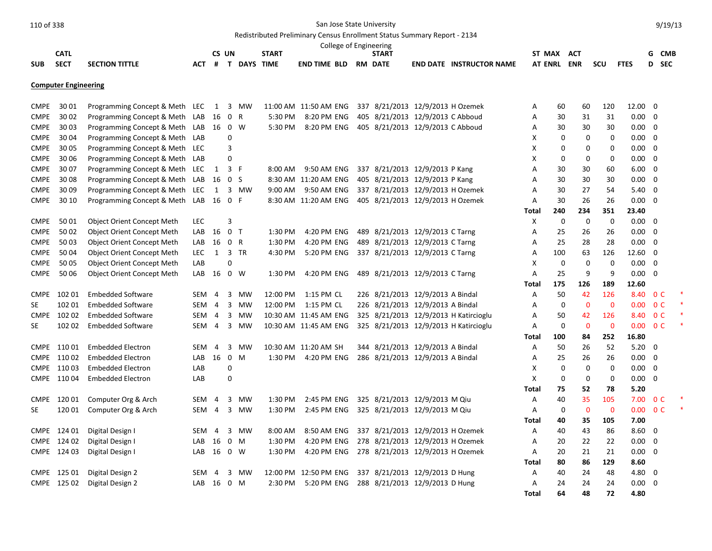|             |                             |                                   |            |                |                |                   |                       | College of Engineering | Redistributed Preliminary Census Enrollment Status Summary Report - 2134 |                                       |             |             |             |             |                |                          |       |  |
|-------------|-----------------------------|-----------------------------------|------------|----------------|----------------|-------------------|-----------------------|------------------------|--------------------------------------------------------------------------|---------------------------------------|-------------|-------------|-------------|-------------|----------------|--------------------------|-------|--|
|             | <b>CATL</b>                 |                                   |            | CS UN          |                |                   | <b>START</b>          |                        | <b>START</b>                                                             |                                       | ST MAX ACT  |             |             |             |                |                          | G CMB |  |
| <b>SUB</b>  | <b>SECT</b>                 | <b>SECTION TITTLE</b>             |            |                |                | ACT # T DAYS TIME |                       | <b>END TIME BLD</b>    | <b>RM DATE</b>                                                           | <b>END DATE INSTRUCTOR NAME</b>       | AT ENRL ENR |             |             | scu         | <b>FTES</b>    |                          | D SEC |  |
|             | <b>Computer Engineering</b> |                                   |            |                |                |                   |                       |                        |                                                                          |                                       |             |             |             |             |                |                          |       |  |
| <b>CMPE</b> | 30 01                       | Programming Concept & Meth LEC    |            |                |                | 1 3 MW            | 11:00 AM 11:50 AM ENG |                        | 337 8/21/2013 12/9/2013 H Ozemek                                         |                                       | Α           | 60          | 60          | 120         | 12.00 0        |                          |       |  |
| <b>CMPE</b> | 30 02                       | Programming Concept & Meth        | LAB        | 16             | 0 R            |                   | 5:30 PM               | 8:20 PM ENG            | 405 8/21/2013 12/9/2013 C Abboud                                         |                                       | A           | 30          | 31          | 31          | $0.00 \quad 0$ |                          |       |  |
| <b>CMPE</b> | 30 03                       | Programming Concept & Meth        | LAB 16     |                | 0 W            |                   | 5:30 PM               | 8:20 PM ENG            | 405 8/21/2013 12/9/2013 C Abboud                                         |                                       | Α           | 30          | 30          | 30          | $0.00 \quad 0$ |                          |       |  |
| <b>CMPE</b> | 30 04                       | Programming Concept & Meth        | LAB        |                | 0              |                   |                       |                        |                                                                          |                                       | X           | 0           | 0           | 0           | $0.00 \t 0$    |                          |       |  |
| <b>CMPE</b> | 30 05                       | Programming Concept & Meth        | LEC.       |                | 3              |                   |                       |                        |                                                                          |                                       | X           | 0           | 0           | 0           | $0.00 \quad 0$ |                          |       |  |
| <b>CMPE</b> | 3006                        | Programming Concept & Meth        | LAB        |                | 0              |                   |                       |                        |                                                                          |                                       | X           | 0           | 0           | 0           | $0.00\,$       | $\overline{\phantom{0}}$ |       |  |
| <b>CMPE</b> | 30 07                       | Programming Concept & Meth        | LEC        | 1              | 3 F            |                   | 8:00 AM               | 9:50 AM ENG            | 337 8/21/2013 12/9/2013 P Kang                                           |                                       | Α           | 30          | 30          | 60          | 6.00           | $\overline{\mathbf{0}}$  |       |  |
| <b>CMPE</b> | 30 08                       | Programming Concept & Meth        | LAB        | 16             | 0 <sup>5</sup> |                   |                       | 8:30 AM 11:20 AM ENG   | 405 8/21/2013 12/9/2013 P Kang                                           |                                       | Α           | 30          | 30          | 30          | 0.00           | $\overline{\mathbf{0}}$  |       |  |
| <b>CMPE</b> | 30 09                       | Programming Concept & Meth        | LEC        | 1              |                | 3 MW              | 9:00 AM               | 9:50 AM ENG            | 337 8/21/2013 12/9/2013 H Ozemek                                         |                                       | Α           | 30          | 27          | 54          | 5.40           | $\overline{\phantom{0}}$ |       |  |
| <b>CMPE</b> | 30 10                       | Programming Concept & Meth        | $LAB$ 16   |                | 0 F            |                   |                       | 8:30 AM 11:20 AM ENG   | 405 8/21/2013 12/9/2013 H Ozemek                                         |                                       | Α           | 30          | 26          | 26          | 0.00           | $\overline{\mathbf{0}}$  |       |  |
|             |                             |                                   |            |                |                |                   |                       |                        |                                                                          |                                       | Total       | 240         | 234         | 351         | 23.40          |                          |       |  |
| <b>CMPE</b> | 5001                        | <b>Object Orient Concept Meth</b> | <b>LEC</b> |                | 3              |                   |                       |                        |                                                                          |                                       | Х           | 0           | 0           | 0           | $0.00 \quad 0$ |                          |       |  |
| <b>CMPE</b> | 5002                        | <b>Object Orient Concept Meth</b> | LAB        | 16             | 0 <sub>T</sub> |                   | 1:30 PM               | 4:20 PM ENG            | 489 8/21/2013 12/9/2013 C Tarng                                          |                                       | Α           | 25          | 26          | 26          | 0.00           | $\overline{\mathbf{0}}$  |       |  |
| <b>CMPE</b> | 5003                        | <b>Object Orient Concept Meth</b> | LAB        | 16             | 0 R            |                   | 1:30 PM               | 4:20 PM ENG            | 489 8/21/2013 12/9/2013 C Tarng                                          |                                       | A           | 25          | 28          | 28          | $0.00 \quad 0$ |                          |       |  |
| <b>CMPE</b> | 50 04                       | <b>Object Orient Concept Meth</b> | <b>LEC</b> | 1              |                | 3 TR              | 4:30 PM               | 5:20 PM ENG            | 337 8/21/2013 12/9/2013 C Tarng                                          |                                       | Α           | 100         | 63          | 126         | 12.60 0        |                          |       |  |
| <b>CMPE</b> | 50 05                       | <b>Object Orient Concept Meth</b> | LAB        |                | 0              |                   |                       |                        |                                                                          |                                       | X           | $\mathbf 0$ | $\mathbf 0$ | $\mathbf 0$ | 0.00           | $\overline{\mathbf{0}}$  |       |  |
| <b>CMPE</b> | 50 06                       | <b>Object Orient Concept Meth</b> | $LAB$ 16   |                |                | 0 W               | 1:30 PM               | 4:20 PM ENG            | 489 8/21/2013 12/9/2013 C Tarng                                          |                                       | A           | 25          | 9           | 9           | 0.00           | $\overline{\phantom{0}}$ |       |  |
|             |                             |                                   |            |                |                |                   |                       |                        |                                                                          |                                       | Total       | 175         | 126         | 189         | 12.60          |                          |       |  |
| <b>CMPE</b> | 102 01                      | <b>Embedded Software</b>          | SEM        | $\overline{4}$ |                | 3 MW              | 12:00 PM              | 1:15 PM CL             | 226 8/21/2013 12/9/2013 A Bindal                                         |                                       | A           | 50          | 42          | 126         | 8.40 OC        |                          |       |  |
| SE          | 102 01                      | <b>Embedded Software</b>          | SEM        | $\overline{4}$ |                | 3 MW              | 12:00 PM              | 1:15 PM CL             | 226 8/21/2013 12/9/2013 A Bindal                                         |                                       | Α           | $\mathbf 0$ | $\Omega$    | $\mathbf 0$ | $0.00 \t 0 C$  |                          |       |  |
| <b>CMPE</b> | 102 02                      | <b>Embedded Software</b>          | SEM 4      |                |                | 3 MW              | 10:30 AM 11:45 AM ENG |                        |                                                                          | 325 8/21/2013 12/9/2013 H Katircioglu | A           | 50          | 42          | 126         | 8.40 0 C       |                          |       |  |
| SE          | 102 02                      | <b>Embedded Software</b>          | SEM 4      |                |                | 3 MW              | 10:30 AM 11:45 AM ENG |                        |                                                                          | 325 8/21/2013 12/9/2013 H Katircioglu | A           | 0           | $\mathbf 0$ | $\mathbf 0$ | $0.00 \t 0 C$  |                          |       |  |
|             |                             |                                   |            |                |                |                   |                       |                        |                                                                          |                                       | Total       | 100         | 84          | 252         | 16.80          |                          |       |  |
|             | CMPE 110 01                 | <b>Embedded Electron</b>          | SEM        | $\overline{4}$ | 3              | MW                | 10:30 AM 11:20 AM SH  |                        | 344 8/21/2013 12/9/2013 A Bindal                                         |                                       | A           | 50          | 26          | 52          | $5.20 \ 0$     |                          |       |  |
|             | CMPE 110 02                 | Embedded Electron                 | LAB        | 16             |                | $0 \t M$          |                       | 1:30 PM 4:20 PM ENG    | 286 8/21/2013 12/9/2013 A Bindal                                         |                                       | Α           | 25          | 26          | 26          | $0.00 \quad 0$ |                          |       |  |
|             | CMPE 110 03                 | <b>Embedded Electron</b>          | LAB        |                | 0              |                   |                       |                        |                                                                          |                                       | X           | $\mathbf 0$ | $\mathbf 0$ | 0           | 0.00           | $\overline{\mathbf{0}}$  |       |  |
|             | CMPE 110 04                 | <b>Embedded Electron</b>          | LAB        |                | 0              |                   |                       |                        |                                                                          |                                       | X           | 0           | 0           | 0           | 0.00           | $\overline{\mathbf{0}}$  |       |  |
|             |                             |                                   |            |                |                |                   |                       |                        |                                                                          |                                       | Total       | 75          | 52          | 78          | 5.20           |                          |       |  |
| <b>CMPE</b> | 12001                       | Computer Org & Arch               | SEM        | $\overline{4}$ | $\mathbf{3}$   | MW                | 1:30 PM               | 2:45 PM ENG            | 325 8/21/2013 12/9/2013 M Qiu                                            |                                       | Α           | 40          | 35          | 105         | 7.00           | 0 <sup>C</sup>           |       |  |
| <b>SE</b>   | 120 01                      | Computer Org & Arch               | SEM        | $\overline{4}$ |                | 3 MW              | 1:30 PM               | 2:45 PM ENG            | 325 8/21/2013 12/9/2013 M Qiu                                            |                                       | A           | $\mathbf 0$ | $\Omega$    | $\mathbf 0$ | $0.00 \t 0 C$  |                          |       |  |
|             |                             |                                   |            |                |                |                   |                       |                        |                                                                          |                                       | Total       | 40          | 35          | 105         | 7.00           |                          |       |  |
| <b>CMPE</b> | 124 01                      | Digital Design I                  | SEM        | $\overline{4}$ | 3              | MW                | 8:00 AM               | 8:50 AM ENG            | 337 8/21/2013 12/9/2013 H Ozemek                                         |                                       | Α           | 40          | 43          | 86          | $8.60 \quad 0$ |                          |       |  |
|             | CMPE 124 02                 | Digital Design I                  | LAB 16     |                | $0$ M          |                   | 1:30 PM               |                        | 4:20 PM ENG 278 8/21/2013 12/9/2013 H Ozemek                             |                                       | A           | 20          | 22          | 22          | 0.00           | $\Omega$                 |       |  |

CMPE 124 03 Digital Design I LAB 16 0 W 1:30 PM 4:20 PM ENG 278 8/21/2013 12/9/2013 H Ozemek A 20 21 21 0.00 0 CMPE 125 01 Digital Design 2 SEM 4 3 MW 12:00 PM 12:50 PM ENG 337 8/21/2013 12/9/2013 D Hung A 40 24 48 4.80 0 CMPE 125 02 Digital Design 2 CMB 16 0 M 2:30 PM 5:20 PM ENG 288 8/21/2013 12/9/2013 D Hung A 24 24 24 0.00 0

9/19/13

**Total 80 86 129 8.60**

**Total 64 48 72 4.80**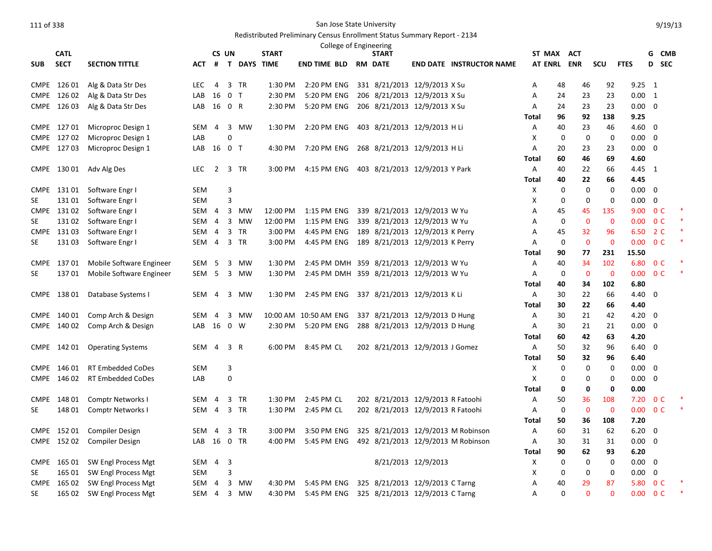# Redistributed Preliminary Census Enrollment Status Summary Report - 2134

|             |             |                          |                  |                |                |               |              | College of Engineering                   |                                   |                     |                                    |              |                |                               |                          |                         |                |  |
|-------------|-------------|--------------------------|------------------|----------------|----------------|---------------|--------------|------------------------------------------|-----------------------------------|---------------------|------------------------------------|--------------|----------------|-------------------------------|--------------------------|-------------------------|----------------|--|
|             | <b>CATL</b> |                          |                  |                | CS UN          |               | <b>START</b> |                                          | <b>START</b>                      |                     |                                    | ST MAX ACT   |                |                               |                          |                         | G CMB          |  |
| <b>SUB</b>  | <b>SECT</b> | <b>SECTION TITTLE</b>    | АСТ              |                |                | # T DAYS TIME |              | END TIME BLD                             | <b>RM DATE</b>                    |                     | <b>END DATE INSTRUCTOR NAME</b>    | AT ENRL ENR  |                | <b>SCU</b>                    | <b>FTES</b>              |                         | D SEC          |  |
|             | CMPE 126 01 | Alg & Data Str Des       | <b>LEC</b>       | $\overline{4}$ |                | 3 TR          | 1:30 PM      | 2:20 PM ENG                              | 331 8/21/2013 12/9/2013 X Su      |                     |                                    | Α            | 48<br>46       | 92                            | $9.25 \quad 1$           |                         |                |  |
|             | CMPE 126 02 | Alg & Data Str Des       | LAB              | 16             | 0 <sub>T</sub> |               | 2:30 PM      | 5:20 PM ENG                              | 206 8/21/2013 12/9/2013 X Su      |                     |                                    | Α            | 24<br>23       | 23                            | 0.00 1                   |                         |                |  |
|             | CMPE 126 03 | Alg & Data Str Des       | LAB              | 16             | 0 R            |               | 2:30 PM      | 5:20 PM ENG                              | 206 8/21/2013 12/9/2013 X Su      |                     |                                    | Α            | 23<br>24       | 23                            | $0.00 \ 0$               |                         |                |  |
|             |             |                          |                  |                |                |               |              |                                          |                                   |                     |                                    | Total        | 96<br>92       | 138                           | 9.25                     |                         |                |  |
|             | CMPE 127 01 | Microproc Design 1       | SEM              | $\overline{4}$ |                | 3 MW          | 1:30 PM      | 2:20 PM ENG                              | 403 8/21/2013 12/9/2013 H Li      |                     |                                    | A            | 40<br>23       | 46                            | $4.60$ 0                 |                         |                |  |
|             | CMPE 127 02 | Microproc Design 1       | LAB              |                | $\Omega$       |               |              |                                          |                                   |                     |                                    | X            | $\mathbf 0$    | $\mathbf 0$<br>0              | 0.00                     | $\overline{\mathbf{0}}$ |                |  |
|             | CMPE 127 03 | Microproc Design 1       | LAB 16 0 T       |                |                |               | 4:30 PM      | 7:20 PM ENG                              | 268 8/21/2013 12/9/2013 H Li      |                     |                                    | A            | 20<br>23       | 23                            | $0.00 \quad 0$           |                         |                |  |
|             |             |                          |                  |                |                |               |              |                                          |                                   |                     |                                    | Total        | 46<br>60       | 69                            | 4.60                     |                         |                |  |
| <b>CMPE</b> | 130 01      | Adv Alg Des              | LEC              | $\overline{2}$ |                | 3 TR          | 3:00 PM      | 4:15 PM ENG                              | 403 8/21/2013 12/9/2013 Y Park    |                     |                                    | A            | 40<br>22       | 66                            | 4.45 1                   |                         |                |  |
|             |             |                          |                  |                |                |               |              |                                          |                                   |                     |                                    | <b>Total</b> | 22<br>40       | 66                            | 4.45                     |                         |                |  |
| <b>CMPE</b> | 131 01      | Software Engr I          | <b>SEM</b>       |                | 3              |               |              |                                          |                                   |                     |                                    | Х            | 0              | 0<br>0                        | $0.00 \quad 0$           |                         |                |  |
| <b>SE</b>   | 13101       | Software Engr I          | <b>SEM</b>       |                | 3              |               |              |                                          |                                   |                     |                                    | X            | $\mathbf 0$    | $\mathbf 0$<br>$\mathbf 0$    | 0.00                     | $\overline{0}$          |                |  |
| <b>CMPE</b> | 131 02      | Software Engr I          | SEM 4            |                |                | 3 MW          | 12:00 PM     | 1:15 PM ENG                              | 339 8/21/2013 12/9/2013 W Yu      |                     |                                    | Α            | 45<br>45       | 135                           | 9.00                     |                         | 0 <sup>C</sup> |  |
| <b>SE</b>   | 13102       | Software Engr I          | SEM              | $\overline{4}$ |                | 3 MW          | 12:00 PM     | 1:15 PM ENG                              | 339 8/21/2013 12/9/2013 W Yu      |                     |                                    | A            | $\mathbf 0$    | $\mathbf{0}$<br>$\mathbf 0$   | $0.00 \quad 0 \text{ C}$ |                         |                |  |
|             | CMPE 13103  | Software Engr I          | SEM              | -4             |                | 3 TR          | 3:00 PM      | 4:45 PM ENG                              | 189 8/21/2013 12/9/2013 K Perry   |                     |                                    | A            | 45<br>32       | 96                            | 6.50                     |                         | 2 C            |  |
| <b>SE</b>   | 13103       | Software Engr I          | SEM              | $\overline{4}$ |                | 3 TR          | 3:00 PM      | 4:45 PM ENG                              | 189 8/21/2013 12/9/2013 K Perry   |                     |                                    | A            | $\mathbf 0$    | $\mathbf{0}$<br>$\mathbf{0}$  | 0.00 <sub>1</sub>        | 0 <sup>C</sup>          |                |  |
|             |             |                          |                  |                |                |               |              |                                          |                                   |                     |                                    | Total        | 90<br>77       | 231                           | 15.50                    |                         |                |  |
|             | CMPE 137 01 | Mobile Software Engineer | SEM              | 5              | $\overline{3}$ | <b>MW</b>     | 1:30 PM      | 2:45 PM DMH 359 8/21/2013 12/9/2013 W Yu |                                   |                     |                                    | Α            | 34<br>40       | 102                           | 6.80                     |                         | 0 <sup>C</sup> |  |
| SE          | 13701       | Mobile Software Engineer | SEM <sub>5</sub> |                |                | 3 MW          | 1:30 PM      | 2:45 PM DMH 359 8/21/2013 12/9/2013 W Yu |                                   |                     |                                    | A            | 0              | $\mathbf 0$<br>$\mathbf 0$    | 0.00                     | 0 <sup>C</sup>          |                |  |
|             |             |                          |                  |                |                |               |              |                                          |                                   |                     |                                    | Total        | 40<br>34       | 102                           | 6.80                     |                         |                |  |
|             | CMPE 138 01 | Database Systems I       | SEM              | $\overline{4}$ |                | 3 MW          | 1:30 PM      | 2:45 PM ENG                              | 337 8/21/2013 12/9/2013 KLi       |                     |                                    | A            | 22<br>30       | 66                            | 4.40 0                   |                         |                |  |
|             |             |                          |                  |                |                |               |              |                                          |                                   |                     |                                    | Total        | 22<br>30       | 66                            | 4.40                     |                         |                |  |
| <b>CMPE</b> | 140 01      | Comp Arch & Design       | SEM              | 4              | 3              | MW            |              | 10:00 AM 10:50 AM ENG                    | 337 8/21/2013 12/9/2013 D Hung    |                     |                                    | Α            | 21<br>30       | 42                            | $4.20 \ 0$               |                         |                |  |
| <b>CMPE</b> | 140 02      | Comp Arch & Design       | LAB              | 16             |                | $0 \quad W$   | 2:30 PM      | 5:20 PM ENG                              | 288 8/21/2013 12/9/2013 D Hung    |                     |                                    | Α            | 21<br>30<br>60 | 21                            | 0.00                     | $\overline{\mathbf{0}}$ |                |  |
| <b>CMPE</b> | 142 01      | <b>Operating Systems</b> | SEM              | $\overline{4}$ |                | 3 R           | 6:00 PM      | 8:45 PM CL                               | 202 8/21/2013 12/9/2013 J Gomez   |                     |                                    | Total<br>Α   | 42<br>32<br>50 | 63<br>96                      | 4.20<br>$6.40 \quad 0$   |                         |                |  |
|             |             |                          |                  |                |                |               |              |                                          |                                   |                     |                                    | Total        | 50<br>32       | 96                            | 6.40                     |                         |                |  |
|             | CMPE 146 01 | <b>RT Embedded CoDes</b> | <b>SEM</b>       |                | 3              |               |              |                                          |                                   |                     |                                    | X            | $\mathbf 0$    | $\mathbf 0$<br>0              | $0.00 \quad 0$           |                         |                |  |
| <b>CMPE</b> | 146 02      | <b>RT Embedded CoDes</b> | LAB              |                | $\pmb{0}$      |               |              |                                          |                                   |                     |                                    | X            | 0              | 0<br>0                        | $0.00 \quad 0$           |                         |                |  |
|             |             |                          |                  |                |                |               |              |                                          |                                   |                     |                                    | Total        | 0              | 0<br>0                        | 0.00                     |                         |                |  |
| <b>CMPE</b> | 148 01      | Comptr Networks I        | SEM              | $\overline{4}$ |                | 3 TR          | 1:30 PM      | 2:45 PM CL                               | 202 8/21/2013 12/9/2013 R Fatoohi |                     |                                    | Α            | 36<br>50       | 108                           | 7.20                     |                         | 0 <sup>C</sup> |  |
| <b>SE</b>   | 148 01      | Comptr Networks I        | SEM              | $\overline{4}$ |                | 3 TR          | 1:30 PM      | 2:45 PM CL                               | 202 8/21/2013 12/9/2013 R Fatoohi |                     |                                    | Α            | $\mathbf 0$    | $\overline{0}$<br>$\mathbf 0$ | 0.00                     | 0 <sup>C</sup>          |                |  |
|             |             |                          |                  |                |                |               |              |                                          |                                   |                     |                                    | Total        | 50<br>36       | 108                           | 7.20                     |                         |                |  |
|             | CMPE 152 01 | <b>Compiler Design</b>   | <b>SEM</b>       | $\overline{4}$ |                | 3 TR          | 3:00 PM      | 3:50 PM ENG                              |                                   |                     | 325 8/21/2013 12/9/2013 M Robinson | A            | 60<br>31       | 62                            | 6.20                     | $\overline{\mathbf{0}}$ |                |  |
|             | CMPE 152 02 | <b>Compiler Design</b>   | LAB              | 16             |                | 0 TR          | 4:00 PM      | 5:45 PM ENG                              |                                   |                     | 492 8/21/2013 12/9/2013 M Robinson | Α            | 30<br>31       | 31                            | $0.00 \quad 0$           |                         |                |  |
|             |             |                          |                  |                |                |               |              |                                          |                                   |                     |                                    | Total        | 90<br>62       | 93                            | 6.20                     |                         |                |  |
|             | CMPE 165 01 | SW Engl Process Mgt      | SEM 4            |                | 3              |               |              |                                          |                                   | 8/21/2013 12/9/2013 |                                    | Х            | 0              | 0<br>0                        | $0.00 \quad 0$           |                         |                |  |
| SE          | 165 01      | SW Engl Process Mgt      | <b>SEM</b>       |                | 3              |               |              |                                          |                                   |                     |                                    | X            | 0              | 0<br>0                        | 0.00                     | $\mathbf 0$             |                |  |
| <b>CMPE</b> | 165 02      | SW Engl Process Mgt      | SEM              | $\overline{4}$ |                | 3 MW          | 4:30 PM      | 5:45 PM ENG                              | 325 8/21/2013 12/9/2013 C Tarng   |                     |                                    | Α            | 40<br>29       | 87                            | 5.80                     | 0 <sup>C</sup>          |                |  |
| SE          | 165 02      | SW Engl Process Mgt      | SEM 4            |                |                | 3 MW          | 4:30 PM      | 5:45 PM ENG                              | 325 8/21/2013 12/9/2013 C Tarng   |                     |                                    | A            | $\Omega$       | $\Omega$<br>$\Omega$          | 0.00                     | 0 <sup>C</sup>          |                |  |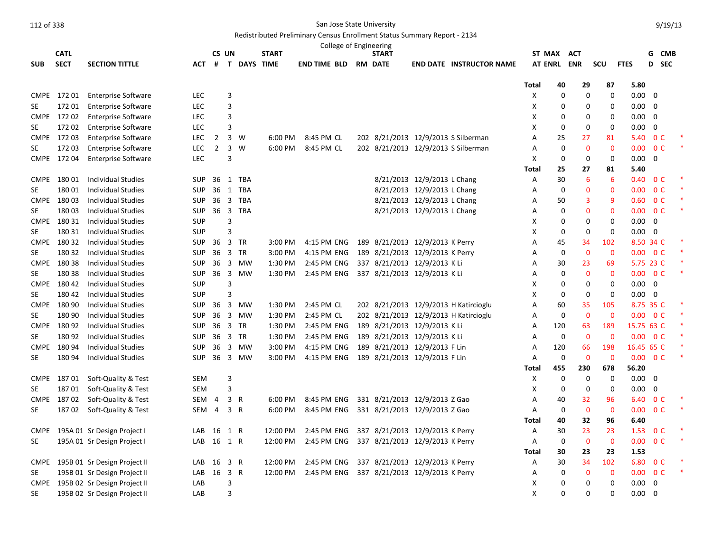Redistributed Preliminary Census Enrollment Status Summary Report - 2134

|             |             |                                   |            |                |                |           |                    |              |  | College of Engineering          |                             |                                       |                |                   |                   |                   |               |                         |                |  |
|-------------|-------------|-----------------------------------|------------|----------------|----------------|-----------|--------------------|--------------|--|---------------------------------|-----------------------------|---------------------------------------|----------------|-------------------|-------------------|-------------------|---------------|-------------------------|----------------|--|
|             | <b>CATL</b> |                                   |            | CS UN          |                |           | <b>START</b>       |              |  | <b>START</b>                    |                             |                                       | ST MAX         |                   | <b>ACT</b>        |                   |               |                         | G CMB          |  |
| <b>SUB</b>  | <b>SECT</b> | <b>SECTION TITTLE</b>             | АСТ        | #              |                |           | <b>T DAYS TIME</b> | end time bld |  | <b>RM DATE</b>                  |                             | <b>END DATE INSTRUCTOR NAME</b>       | <b>AT ENRL</b> |                   | <b>ENR</b>        | scu               | <b>FTES</b>   | D                       | <b>SEC</b>     |  |
|             |             |                                   |            |                |                |           |                    |              |  |                                 |                             |                                       |                |                   |                   |                   |               |                         |                |  |
|             |             |                                   |            |                |                |           |                    |              |  |                                 |                             |                                       | <b>Total</b>   | 40<br>$\mathbf 0$ | 29<br>$\mathbf 0$ | 87<br>$\mathbf 0$ | 5.80          | $\overline{0}$          |                |  |
|             | CMPE 172 01 | <b>Enterprise Software</b>        | <b>LEC</b> |                | 3              |           |                    |              |  |                                 |                             |                                       | X              |                   |                   |                   | 0.00          |                         |                |  |
| SE.         | 17201       | <b>Enterprise Software</b>        | LEC        |                | 3              |           |                    |              |  |                                 |                             |                                       | X              | 0                 | 0                 | 0                 | 0.00          | 0                       |                |  |
|             | CMPE 172 02 | <b>Enterprise Software</b>        | LEC        |                | 3              |           |                    |              |  |                                 |                             |                                       | х              | 0                 | 0                 | 0                 | 0.00          | $\mathbf 0$             |                |  |
| <b>SE</b>   | 17202       | <b>Enterprise Software</b>        | <b>LEC</b> |                | 3              |           |                    |              |  |                                 |                             |                                       | X              | $\mathbf 0$       | $\mathbf 0$       | 0                 | 0.00          | $\mathbf 0$             |                |  |
|             | CMPE 172 03 | <b>Enterprise Software</b>        | <b>LEC</b> | $\overline{2}$ | $\overline{3}$ | W         | 6:00 PM            | 8:45 PM CL   |  |                                 |                             | 202 8/21/2013 12/9/2013 S Silberman   | A              | 25                | 27                | 81                | 5.40          |                         | 0 <sup>c</sup> |  |
| <b>SE</b>   | 17203       | <b>Enterprise Software</b>        | <b>LEC</b> | $\overline{2}$ | 3 W            |           | 6:00 PM            | 8:45 PM CL   |  |                                 |                             | 202 8/21/2013 12/9/2013 S Silberman   | A              | $\mathbf 0$       | $\mathbf 0$       | $\mathbf{0}$      | 0.00          |                         | 0 <sup>C</sup> |  |
|             | CMPE 172 04 | <b>Enterprise Software</b>        | <b>LEC</b> |                | 3              |           |                    |              |  |                                 |                             |                                       | X              | $\mathbf 0$       | 0                 | 0                 | 0.00          | $\overline{0}$          |                |  |
|             |             |                                   |            |                |                |           |                    |              |  |                                 |                             |                                       | Total          | 25                | 27                | 81                | 5.40          |                         |                |  |
| <b>CMPE</b> | 18001       | <b>Individual Studies</b>         | <b>SUP</b> | 36             | 1              | TBA       |                    |              |  |                                 | 8/21/2013 12/9/2013 L Chang |                                       | Α              | 30                | $6\phantom{1}6$   | 6                 | 0.40          |                         | 0 <sup>C</sup> |  |
| SE          | 18001       | <b>Individual Studies</b>         | <b>SUP</b> | 36             |                | 1 TBA     |                    |              |  |                                 | 8/21/2013 12/9/2013 L Chang |                                       | Α              | $\mathbf 0$       | $\mathbf 0$       | $\mathbf{0}$      | 0.00          |                         | 0 <sup>C</sup> |  |
|             | CMPE 180 03 | Individual Studies                | <b>SUP</b> | 36             |                | 3 TBA     |                    |              |  |                                 | 8/21/2013 12/9/2013 L Chang |                                       | Α              | 50                | 3                 | 9                 | 0.60          |                         | 0 <sup>C</sup> |  |
| <b>SE</b>   | 18003       | <b>Individual Studies</b>         | <b>SUP</b> | 36             |                | 3 TBA     |                    |              |  |                                 | 8/21/2013 12/9/2013 L Chang |                                       | A              | 0                 | $\mathbf 0$       | $\mathbf{0}$      | 0.00          |                         | 0 <sup>C</sup> |  |
|             | CMPE 180 31 | <b>Individual Studies</b>         | <b>SUP</b> |                | 3              |           |                    |              |  |                                 |                             |                                       | х              | 0                 | 0                 | 0                 | $0.00\,$      | $\overline{\mathbf{0}}$ |                |  |
| <b>SE</b>   | 180 31      | <b>Individual Studies</b>         | <b>SUP</b> |                | 3              |           |                    |              |  |                                 |                             |                                       | X              | $\mathbf 0$       | 0                 | 0                 | $0.00\,$      | $\overline{0}$          |                |  |
|             | CMPE 180 32 | <b>Individual Studies</b>         | <b>SUP</b> | 36             | 3 TR           |           | 3:00 PM            | 4:15 PM ENG  |  | 189 8/21/2013 12/9/2013 K Perry |                             |                                       | Α              | 45                | 34                | 102               | 8.50 34 C     |                         |                |  |
| <b>SE</b>   | 180 32      | <b>Individual Studies</b>         | <b>SUP</b> | 36             | 3 TR           |           | 3:00 PM            | 4:15 PM ENG  |  | 189 8/21/2013 12/9/2013 K Perry |                             |                                       | Α              | $\mathbf 0$       | $\mathbf 0$       | $\mathbf{0}$      | 0.00          |                         | 0 <sup>C</sup> |  |
|             | CMPE 180 38 | <b>Individual Studies</b>         | <b>SUP</b> | 36             |                | 3 MW      | 1:30 PM            | 2:45 PM ENG  |  | 337 8/21/2013 12/9/2013 K Li    |                             |                                       | A              | 30                | 23                | 69                | 5.75 23 C     |                         |                |  |
| <b>SE</b>   | 18038       | Individual Studies                | <b>SUP</b> | 36             |                | 3 MW      | 1:30 PM            | 2:45 PM ENG  |  | 337 8/21/2013 12/9/2013 KLi     |                             |                                       | A              | 0                 | $\mathbf{0}$      | $\mathbf 0$       | 0.00          | 0 <sup>C</sup>          |                |  |
|             | CMPE 180 42 | <b>Individual Studies</b>         | <b>SUP</b> |                | 3              |           |                    |              |  |                                 |                             |                                       | X              | $\mathbf 0$       | 0                 | 0                 | 0.00          | $\overline{0}$          |                |  |
| SE          | 180 42      | <b>Individual Studies</b>         | <b>SUP</b> |                | 3              |           |                    |              |  |                                 |                             |                                       | х              | 0                 | 0                 | 0                 | 0.00          | $\overline{\mathbf{0}}$ |                |  |
|             | CMPE 180 90 | <b>Individual Studies</b>         | <b>SUP</b> | 36             |                | 3 MW      | 1:30 PM            | 2:45 PM CL   |  |                                 |                             | 202 8/21/2013 12/9/2013 H Katircioglu | A              | 60                | 35                | 105               | 8.75 35 C     |                         |                |  |
| <b>SE</b>   | 180 90      | <b>Individual Studies</b>         | <b>SUP</b> | 36             |                | 3 MW      | 1:30 PM            | 2:45 PM CL   |  |                                 |                             | 202 8/21/2013 12/9/2013 H Katircioglu | Α              | $\mathbf 0$       | $\mathbf 0$       | $\mathbf{0}$      | $0.00 \t 0 C$ |                         |                |  |
|             | CMPE 180 92 | Individual Studies                | <b>SUP</b> | 36             | 3 TR           |           | 1:30 PM            | 2:45 PM ENG  |  | 189 8/21/2013 12/9/2013 K Li    |                             |                                       | A              | 120               | 63                | 189               | 15.75 63 C    |                         |                |  |
| <b>SE</b>   | 18092       | <b>Individual Studies</b>         | <b>SUP</b> | 36             | 3 TR           |           | 1:30 PM            | 2:45 PM ENG  |  | 189 8/21/2013 12/9/2013 K Li    |                             |                                       | A              | $\mathbf 0$       | $\overline{0}$    | $\mathbf{0}$      | $0.00 \t 0 C$ |                         |                |  |
| <b>CMPE</b> | 180 94      | Individual Studies                | <b>SUP</b> | 36             |                | 3 MW      | 3:00 PM            | 4:15 PM ENG  |  | 189 8/21/2013 12/9/2013 F Lin   |                             |                                       | Α              | 120               | 66                | 198               | 16.45 65 C    |                         |                |  |
| <b>SE</b>   | 180 94      | <b>Individual Studies</b>         | <b>SUP</b> | 36             | $\overline{3}$ | <b>MW</b> | 3:00 PM            | 4:15 PM ENG  |  | 189 8/21/2013 12/9/2013 F Lin   |                             |                                       | A              | $\mathbf 0$       | $\overline{0}$    | $\mathbf{0}$      | 0.00          | 0 <sup>C</sup>          |                |  |
|             |             |                                   |            |                |                |           |                    |              |  |                                 |                             |                                       | Total          | 455               | 230               | 678               | 56.20         |                         |                |  |
|             | CMPE 18701  | Soft-Quality & Test               | <b>SEM</b> |                | 3              |           |                    |              |  |                                 |                             |                                       | х              | $\mathbf 0$       | $\mathbf 0$       | $\mathbf 0$       | $0.00 \t 0$   |                         |                |  |
| <b>SE</b>   | 18701       | Soft-Quality & Test               | <b>SEM</b> |                | 3              |           |                    |              |  |                                 |                             |                                       | х              | $\mathbf 0$       | $\mathbf 0$       | 0                 | 0.00          | $\mathbf 0$             |                |  |
| <b>CMPE</b> | 18702       | Soft-Quality & Test               | SEM        | 4              | 3              | R         | 6:00 PM            | 8:45 PM ENG  |  | 331 8/21/2013 12/9/2013 Z Gao   |                             |                                       | Α              | 40                | 32                | 96                | 6.40          |                         | 0 <sup>C</sup> |  |
| <b>SE</b>   | 18702       | Soft-Quality & Test               | SEM        | $\overline{4}$ | 3 R            |           | 6:00 PM            | 8:45 PM ENG  |  | 331 8/21/2013 12/9/2013 Z Gao   |                             |                                       | Α              | $\mathbf 0$       | $\mathbf 0$       | $\mathbf{0}$      | 0.00          |                         | 0 <sup>C</sup> |  |
|             |             |                                   |            |                |                |           |                    |              |  |                                 |                             |                                       | Total          | 40                | 32                | 96                | 6.40          |                         |                |  |
| <b>CMPE</b> |             | 195A 01 Sr Design Project I       | LAB        | 16             | 1 R            |           | 12:00 PM           | 2:45 PM ENG  |  | 337 8/21/2013 12/9/2013 K Perry |                             |                                       | Α              | 30                | 23                | 23                | 1.53          |                         | 0 <sup>C</sup> |  |
| <b>SE</b>   |             | 195A 01 Sr Design Project I       | LAB        | 16             | 1 R            |           | 12:00 PM           | 2:45 PM ENG  |  | 337 8/21/2013 12/9/2013 K Perry |                             |                                       | Α              | 0                 | $\mathbf 0$       | $\mathbf{0}$      | 0.00          |                         | 0 <sup>C</sup> |  |
|             |             |                                   |            |                |                |           |                    |              |  |                                 |                             |                                       | Total          | 30                | 23                | 23                | 1.53          |                         |                |  |
|             |             | CMPE 195B 01 Sr Design Project II | LAB        | 16             | 3 R            |           | 12:00 PM           | 2:45 PM ENG  |  | 337 8/21/2013 12/9/2013 K Perry |                             |                                       | Α              | 30                | 34                | 102               | 6.80          |                         | 0 <sup>C</sup> |  |
| SE          |             | 195B 01 Sr Design Project II      | LAB        | 16             | 3 R            |           | 12:00 PM           | 2:45 PM ENG  |  | 337 8/21/2013 12/9/2013 K Perry |                             |                                       | Α              | 0                 | $\mathbf 0$       | $\mathbf 0$       | 0.00          |                         | 0 <sup>C</sup> |  |
|             |             | CMPE 195B 02 Sr Design Project II | LAB        |                | 3              |           |                    |              |  |                                 |                             |                                       | X              | $\Omega$          | $\Omega$          | 0                 | 0.00          | $\mathbf 0$             |                |  |
| SE          |             | 195B 02 Sr Design Project II      | LAB        |                | 3              |           |                    |              |  |                                 |                             |                                       | X              | $\Omega$          | $\Omega$          |                   | 0<br>0.00     | $\Omega$                |                |  |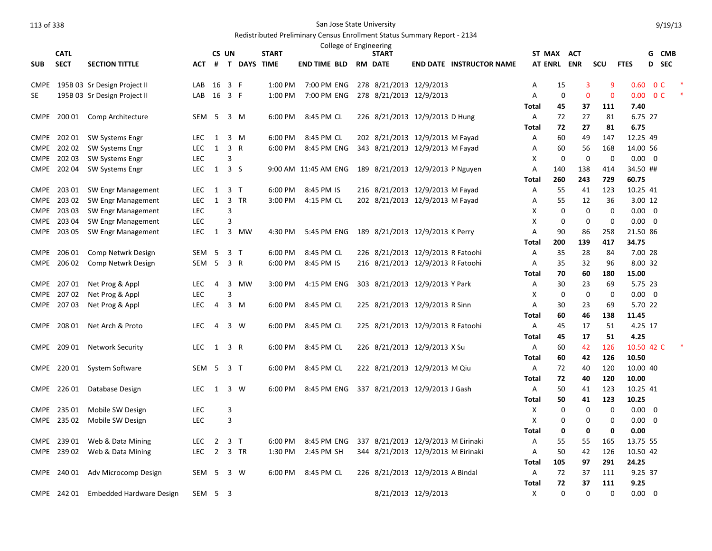## Redistributed Preliminary Census Enrollment Status Summary Report - 2134

|             |             |                              |            |                |                |                |              | College of Engineering |                                    |                     |                                 |                |          |              |                |                   |                         |                |  |
|-------------|-------------|------------------------------|------------|----------------|----------------|----------------|--------------|------------------------|------------------------------------|---------------------|---------------------------------|----------------|----------|--------------|----------------|-------------------|-------------------------|----------------|--|
|             | <b>CATL</b> |                              |            |                | CS UN          |                | <b>START</b> |                        | <b>START</b>                       |                     |                                 | ST MAX         |          | <b>ACT</b>   |                |                   |                         | G CMB          |  |
| <b>SUB</b>  | <b>SECT</b> | <b>SECTION TITTLE</b>        | ACT        | #              |                | T DAYS TIME    |              | <b>END TIME BLD</b>    | <b>RM DATE</b>                     |                     | <b>END DATE INSTRUCTOR NAME</b> | <b>AT ENRL</b> |          | <b>ENR</b>   | <b>SCU</b>     | <b>FTES</b>       | D                       | <b>SEC</b>     |  |
| <b>CMPE</b> |             | 195B 03 Sr Design Project II | LAB        | 16             | 3 F            |                | 1:00 PM      | 7:00 PM ENG            | 278 8/21/2013 12/9/2013            |                     |                                 | Α              | 15       | 3            | 9              | 0.60              |                         | 0 <sup>c</sup> |  |
| <b>SE</b>   |             | 195B 03 Sr Design Project II | LAB        | 16             | 3 F            |                | $1:00$ PM    | 7:00 PM ENG            | 278 8/21/2013 12/9/2013            |                     |                                 | A              | 0        | $\mathbf{0}$ | $\overline{0}$ | 0.00 <sub>1</sub> |                         | 0 <sup>C</sup> |  |
|             |             |                              |            |                |                |                |              |                        |                                    |                     |                                 | Total          | 45       | 37           | 111            | 7.40              |                         |                |  |
| <b>CMPE</b> | 200 01      | Comp Architecture            | SEM        | -5             |                | 3 M            | 6:00 PM      | 8:45 PM CL             | 226 8/21/2013 12/9/2013 D Hung     |                     |                                 | Α              | 72       | 27           | 81             | 6.75 27           |                         |                |  |
|             |             |                              |            |                |                |                |              |                        |                                    |                     |                                 | Total          | 72       | 27           | 81             | 6.75              |                         |                |  |
| <b>CMPE</b> | 202 01      | <b>SW Systems Engr</b>       | LEC.       | 1              |                | 3 M            | 6:00 PM      | 8:45 PM CL             | 202 8/21/2013 12/9/2013 M Fayad    |                     |                                 | Α              | 60       | 49           | 147            | 12.25 49          |                         |                |  |
| <b>CMPE</b> | 20202       | <b>SW Systems Engr</b>       | <b>LEC</b> | 1              |                | 3 R            | 6:00 PM      | 8:45 PM ENG            | 343 8/21/2013 12/9/2013 M Fayad    |                     |                                 | Α              | 60       | 56           | 168            | 14.00 56          |                         |                |  |
| <b>CMPE</b> | 20203       | <b>SW Systems Engr</b>       | LEC        |                | 3              |                |              |                        |                                    |                     |                                 | Х              | 0        | $\mathbf 0$  | 0              | $0.00 \ 0$        |                         |                |  |
| <b>CMPE</b> | 202 04      | <b>SW Systems Engr</b>       | LEC.       | 1              | 3S             |                |              | 9:00 AM 11:45 AM ENG   | 189 8/21/2013 12/9/2013 P Nguyen   |                     |                                 | A              | 140      | 138          | 414            | 34.50 ##          |                         |                |  |
|             |             |                              |            |                |                |                |              |                        |                                    |                     |                                 | Total          | 260      | 243          | 729            | 60.75             |                         |                |  |
| <b>CMPE</b> | 203 01      | SW Engr Management           | LEC.       | 1              |                | 3 <sub>T</sub> | 6:00 PM      | 8:45 PM IS             | 216 8/21/2013 12/9/2013 M Fayad    |                     |                                 | Α              | 55       | 41           | 123            | 10.25 41          |                         |                |  |
| CMPE        | 20302       | SW Engr Management           | <b>LEC</b> | 1              |                | 3 TR           | 3:00 PM      | 4:15 PM CL             | 202 8/21/2013 12/9/2013 M Fayad    |                     |                                 | Α              | 55       | 12           | 36             | 3.00 12           |                         |                |  |
| <b>CMPE</b> | 203 03      | SW Engr Management           | <b>LEC</b> |                | 3              |                |              |                        |                                    |                     |                                 | Х              | 0        | $\mathbf 0$  | 0              | 0.00              | $\overline{\mathbf{0}}$ |                |  |
| CMPE        | 203 04      | SW Engr Management           | LEC        |                | 3              |                |              |                        |                                    |                     |                                 | х              | 0        | 0            | $\mathbf 0$    | $0.00 \quad 0$    |                         |                |  |
|             | CMPE 203 05 | SW Engr Management           | LEC.       | 1              |                | 3 MW           | 4:30 PM      | 5:45 PM ENG            | 189 8/21/2013 12/9/2013 K Perry    |                     |                                 | A              | 90       | 86           | 258            | 21.50 86          |                         |                |  |
|             |             |                              |            |                |                |                |              |                        |                                    |                     |                                 | Total          | 200      | 139          | 417            | 34.75             |                         |                |  |
| <b>CMPE</b> | 206 01      | Comp Netwrk Design           | <b>SEM</b> | -5             | 3 <sub>T</sub> |                | 6:00 PM      | 8:45 PM CL             | 226 8/21/2013 12/9/2013 R Fatoohi  |                     |                                 | A              | 35       | 28           | 84             | 7.00 28           |                         |                |  |
| <b>CMPE</b> | 206 02      | Comp Netwrk Design           | SEM        | - 5            | 3 R            |                | 6:00 PM      | 8:45 PM IS             | 216 8/21/2013 12/9/2013 R Fatoohi  |                     |                                 | Α              | 35       | 32           | 96             | 8.00 32           |                         |                |  |
|             |             |                              |            |                |                |                |              |                        |                                    |                     |                                 | Total          | 70       | 60           | 180            | 15.00             |                         |                |  |
| <b>CMPE</b> | 20701       | Net Prog & Appl              | LEC        | 4              |                | 3 MW           | 3:00 PM      | 4:15 PM ENG            | 303 8/21/2013 12/9/2013 Y Park     |                     |                                 | Α              | 30       | 23           | 69             | 5.75 23           |                         |                |  |
| <b>CMPE</b> | 20702       | Net Prog & Appl              | LEC        |                | 3              |                |              |                        |                                    |                     |                                 | Х              | 0        | $\mathbf 0$  | 0              | $0.00 \quad 0$    |                         |                |  |
|             | CMPE 207 03 | Net Prog & Appl              | LEC.       | 4              |                | 3 M            | 6:00 PM      | 8:45 PM CL             | 225 8/21/2013 12/9/2013 R Sinn     |                     |                                 | Α              | 30       | 23           | 69             | 5.70 22           |                         |                |  |
|             |             |                              |            |                |                |                |              |                        |                                    |                     |                                 | Total          | 60       | 46           | 138            | 11.45             |                         |                |  |
| <b>CMPE</b> | 208 01      | Net Arch & Proto             | LEC        | 4              |                | 3 W            | 6:00 PM      | 8:45 PM CL             | 225 8/21/2013 12/9/2013 R Fatoohi  |                     |                                 | Α              | 45<br>45 | 17<br>17     | 51<br>51       | 4.25 17<br>4.25   |                         |                |  |
| <b>CMPE</b> | 209 01      | <b>Network Security</b>      | LEC        | 1              |                | 3 R            | 6:00 PM      | 8:45 PM CL             | 226 8/21/2013 12/9/2013 X Su       |                     |                                 | Total<br>A     | 60       | 42           | 126            | 10.50 42 C        |                         |                |  |
|             |             |                              |            |                |                |                |              |                        |                                    |                     |                                 | <b>Total</b>   | 60       | 42           | 126            | 10.50             |                         |                |  |
| <b>CMPE</b> | 22001       | System Software              | SEM        | - 5            | 3 T            |                | 6:00 PM      | 8:45 PM CL             | 222 8/21/2013 12/9/2013 M Qiu      |                     |                                 | A              | 72       | 40           | 120            | 10.00 40          |                         |                |  |
|             |             |                              |            |                |                |                |              |                        |                                    |                     |                                 | Total          | 72       | 40           | 120            | 10.00             |                         |                |  |
| <b>CMPE</b> | 226 01      | Database Design              | <b>LEC</b> | 1              |                | 3 W            | 6:00 PM      | 8:45 PM ENG            | 337 8/21/2013 12/9/2013 J Gash     |                     |                                 | A              | 50       | 41           | 123            | 10.25 41          |                         |                |  |
|             |             |                              |            |                |                |                |              |                        |                                    |                     |                                 | Total          | 50       | 41           | 123            | 10.25             |                         |                |  |
|             | CMPE 235 01 | Mobile SW Design             | LEC        |                | 3              |                |              |                        |                                    |                     |                                 | Х              | 0        | 0            | $\mathbf 0$    | $0.00 \quad 0$    |                         |                |  |
|             | CMPE 235 02 | Mobile SW Design             | <b>LEC</b> |                | 3              |                |              |                        |                                    |                     |                                 | X              | 0        | $\Omega$     | 0              | 0.00              | $\overline{0}$          |                |  |
|             |             |                              |            |                |                |                |              |                        |                                    |                     |                                 | Total          | 0        | 0            | 0              | 0.00              |                         |                |  |
|             | CMPE 239 01 | Web & Data Mining            | LEC.       | $\overline{2}$ | 3 T            |                | 6:00 PM      | 8:45 PM ENG            | 337 8/21/2013 12/9/2013 M Eirinaki |                     |                                 | Α              | 55       | 55           | 165            | 13.75 55          |                         |                |  |
|             | CMPE 239 02 | Web & Data Mining            | <b>LEC</b> | $\overline{2}$ |                | 3 TR           | 1:30 PM      | 2:45 PM SH             | 344 8/21/2013 12/9/2013 M Eirinaki |                     |                                 | Α              | 50       | 42           | 126            | 10.50 42          |                         |                |  |
|             |             |                              |            |                |                |                |              |                        |                                    |                     |                                 | Total          | 105      | 97           | 291            | 24.25             |                         |                |  |
| <b>CMPE</b> | 240 01      | Adv Microcomp Design         | SEM        | -5             |                | 3 W            | 6:00 PM      | 8:45 PM CL             | 226 8/21/2013 12/9/2013 A Bindal   |                     |                                 | A              | 72       | 37           | 111            | 9.25 37           |                         |                |  |
|             |             |                              |            |                |                |                |              |                        |                                    |                     |                                 | Total          | 72       | 37           | 111            | 9.25              |                         |                |  |
| <b>CMPE</b> | 242 01      | Embedded Hardware Design     | SEM        | 5 <sub>3</sub> |                |                |              |                        |                                    | 8/21/2013 12/9/2013 |                                 | X              | 0        | $\Omega$     | $\Omega$       | 0.00              |                         | 0              |  |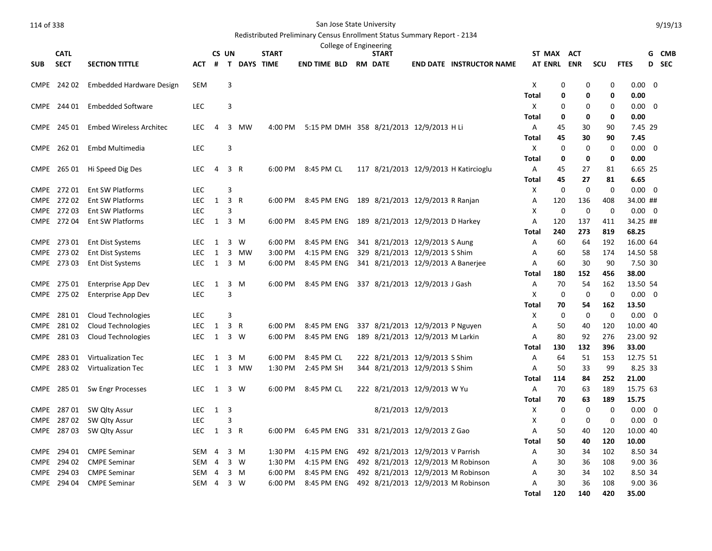|             |                       |                                                    |                          |                |                         |                  |              | College of Engineering                   |                                    |                     |                                       |                |                    |                    |                    |                            |   |            |
|-------------|-----------------------|----------------------------------------------------|--------------------------|----------------|-------------------------|------------------|--------------|------------------------------------------|------------------------------------|---------------------|---------------------------------------|----------------|--------------------|--------------------|--------------------|----------------------------|---|------------|
|             | <b>CATL</b>           |                                                    |                          |                | CS UN                   |                  | <b>START</b> |                                          | <b>START</b>                       |                     |                                       |                | ST MAX             | ACT                |                    |                            | G | CMB        |
| <b>SUB</b>  | <b>SECT</b>           | <b>SECTION TITTLE</b>                              | <b>ACT</b>               | #              | $\mathbf{T}$            | <b>DAYS TIME</b> |              | <b>END TIME BLD</b>                      | <b>RM DATE</b>                     |                     | <b>END DATE INSTRUCTOR NAME</b>       | <b>AT ENRL</b> |                    | <b>ENR</b>         | SCU                | <b>FTES</b>                | D | <b>SEC</b> |
|             | CMPE 242 02           | <b>Embedded Hardware Design</b>                    | <b>SEM</b>               |                | 3                       |                  |              |                                          |                                    |                     |                                       | X              | 0                  | 0                  | 0                  | $0.00 \quad 0$             |   |            |
|             |                       |                                                    |                          |                |                         |                  |              |                                          |                                    |                     |                                       | Total          | 0                  | 0                  | 0                  | 0.00                       |   |            |
| <b>CMPE</b> | 244 01                | <b>Embedded Software</b>                           | <b>LEC</b>               |                | $\overline{3}$          |                  |              |                                          |                                    |                     |                                       | Х              | $\Omega$           | 0                  | 0                  | $0.00 \quad 0$             |   |            |
|             |                       |                                                    |                          |                |                         |                  |              |                                          |                                    |                     |                                       | Total          | 0                  | 0                  | 0                  | 0.00                       |   |            |
| <b>CMPE</b> | 245 01                | <b>Embed Wireless Architec</b>                     | <b>LEC</b>               | $\overline{4}$ | 3                       | MW               | 4:00 PM      | 5:15 PM DMH 358 8/21/2013 12/9/2013 H Li |                                    |                     |                                       | Α              | 45                 | 30                 | 90                 | 7.45 29                    |   |            |
|             |                       |                                                    |                          |                |                         |                  |              |                                          |                                    |                     |                                       | Total          | 45                 | 30                 | 90                 | 7.45                       |   |            |
| <b>CMPE</b> | 26201                 | Embd Multimedia                                    | <b>LEC</b>               |                | 3                       |                  |              |                                          |                                    |                     |                                       | X              | $\mathbf 0$        | $\mathbf 0$        | 0                  | $0.00 \quad 0$             |   |            |
|             |                       |                                                    |                          |                |                         |                  |              |                                          |                                    |                     |                                       | Total          | 0                  | 0                  | 0                  | 0.00                       |   |            |
| <b>CMPE</b> | 265 01                | Hi Speed Dig Des                                   | <b>LEC</b>               | 4              | 3 R                     |                  | 6:00 PM      | 8:45 PM CL                               |                                    |                     | 117 8/21/2013 12/9/2013 H Katircioglu | Α              | 45                 | 27                 | 81                 | 6.65 25                    |   |            |
|             |                       |                                                    |                          |                |                         |                  |              |                                          |                                    |                     |                                       | Total          | 45                 | 27                 | 81                 | 6.65                       |   |            |
| <b>CMPE</b> | 272 01<br>CMPE 272 02 | <b>Ent SW Platforms</b><br><b>Ent SW Platforms</b> | <b>LEC</b><br><b>LEC</b> | $\mathbf{1}$   | 3<br>3 R                |                  | 6:00 PM      | 8:45 PM ENG                              |                                    |                     |                                       | X              | $\mathbf 0$<br>120 | $\mathbf 0$<br>136 | $\mathbf 0$<br>408 | $0.00 \quad 0$<br>34.00 ## |   |            |
| <b>CMPE</b> | 27203                 | Ent SW Platforms                                   | <b>LEC</b>               |                | 3                       |                  |              |                                          | 189 8/21/2013 12/9/2013 R Ranjan   |                     |                                       | Α<br>X         | $\mathbf 0$        | $\mathbf 0$        | $\mathbf 0$        | $0.00 \quad 0$             |   |            |
|             | CMPE 272 04           | Ent SW Platforms                                   | <b>LEC</b>               | 1              |                         | 3 M              | 6:00 PM      | 8:45 PM ENG                              | 189 8/21/2013 12/9/2013 D Harkey   |                     |                                       | Α              | 120                | 137                | 411                | 34.25 ##                   |   |            |
|             |                       |                                                    |                          |                |                         |                  |              |                                          |                                    |                     |                                       | Total          | 240                | 273                | 819                | 68.25                      |   |            |
| <b>CMPE</b> | 273 01                | <b>Ent Dist Systems</b>                            | LEC                      | 1              | 3                       | W                | 6:00 PM      | 8:45 PM ENG                              | 341 8/21/2013 12/9/2013 S Aung     |                     |                                       | Α              | 60                 | 64                 | 192                | 16.00 64                   |   |            |
| <b>CMPE</b> | 27302                 | <b>Ent Dist Systems</b>                            | <b>LEC</b>               | $\mathbf{1}$   | $\overline{\mathbf{3}}$ | <b>MW</b>        | 3:00 PM      | 4:15 PM ENG                              | 329 8/21/2013 12/9/2013 S Shim     |                     |                                       | A              | 60                 | 58                 | 174                | 14.50 58                   |   |            |
|             | CMPE 273 03           | <b>Ent Dist Systems</b>                            | <b>LEC</b>               | 1              |                         | 3 M              | 6:00 PM      | 8:45 PM ENG                              | 341 8/21/2013 12/9/2013 A Banerjee |                     |                                       | Α              | 60                 | 30                 | 90                 | 7.50 30                    |   |            |
|             |                       |                                                    |                          |                |                         |                  |              |                                          |                                    |                     |                                       | Total          | 180                | 152                | 456                | 38.00                      |   |            |
| <b>CMPE</b> | 275 01                | <b>Enterprise App Dev</b>                          | <b>LEC</b>               | $\mathbf{1}$   |                         | 3 M              | 6:00 PM      | 8:45 PM ENG                              | 337 8/21/2013 12/9/2013 J Gash     |                     |                                       | Α              | 70                 | 54                 | 162                | 13.50 54                   |   |            |
| <b>CMPE</b> | 275 02                | Enterprise App Dev                                 | <b>LEC</b>               |                | 3                       |                  |              |                                          |                                    |                     |                                       | х              | $\mathbf 0$        | 0                  | $\mathbf 0$        | $0.00 \quad 0$             |   |            |
|             |                       |                                                    |                          |                |                         |                  |              |                                          |                                    |                     |                                       | Total          | 70                 | 54                 | 162                | 13.50                      |   |            |
| <b>CMPE</b> | 281 01                | Cloud Technologies                                 | <b>LEC</b>               |                | 3                       |                  |              |                                          |                                    |                     |                                       | X              | $\mathbf 0$        | $\mathbf 0$        | $\Omega$           | $0.00 \ 0$                 |   |            |
| <b>CMPE</b> | 28102                 | <b>Cloud Technologies</b>                          | <b>LEC</b>               | $\mathbf{1}$   | 3 R                     |                  | 6:00 PM      | 8:45 PM ENG                              | 337 8/21/2013 12/9/2013 P Nguyen   |                     |                                       | Α              | 50                 | 40                 | 120                | 10.00 40                   |   |            |
| CMPE        | 28103                 | Cloud Technologies                                 | LEC.                     | 1              |                         | 3 W              | 6:00 PM      | 8:45 PM ENG                              | 189 8/21/2013 12/9/2013 M Larkin   |                     |                                       | A              | 80                 | 92                 | 276                | 23.00 92                   |   |            |
| CMPE        | 28301                 | Virtualization Tec                                 | <b>LEC</b>               | 1              | 3                       | M                | 6:00 PM      | 8:45 PM CL                               | 222 8/21/2013 12/9/2013 S Shim     |                     |                                       | Total<br>A     | 130<br>64          | 132<br>51          | 396<br>153         | 33.00<br>12.75 51          |   |            |
| <b>CMPE</b> | 28302                 | Virtualization Tec                                 | <b>LEC</b>               | $\mathbf{1}$   |                         | 3 MW             | 1:30 PM      | 2:45 PM SH                               | 344 8/21/2013 12/9/2013 S Shim     |                     |                                       | Α              | 50                 | 33                 | 99                 | 8.25 33                    |   |            |
|             |                       |                                                    |                          |                |                         |                  |              |                                          |                                    |                     |                                       | Total          | 114                | 84                 | 252                | 21.00                      |   |            |
| <b>CMPE</b> | 28501                 | Sw Engr Processes                                  | <b>LEC</b>               | $\mathbf{1}$   |                         | 3 W              | 6:00 PM      | 8:45 PM CL                               | 222 8/21/2013 12/9/2013 W Yu       |                     |                                       | Α              | 70                 | 63                 | 189                | 15.75 63                   |   |            |
|             |                       |                                                    |                          |                |                         |                  |              |                                          |                                    |                     |                                       | Total          | 70                 | 63                 | 189                | 15.75                      |   |            |
| CMPE        | 28701                 | SW Qlty Assur                                      | <b>LEC</b>               | 1              | 3                       |                  |              |                                          |                                    | 8/21/2013 12/9/2013 |                                       | Х              | 0                  | $\mathbf 0$        | 0                  | $0.00 \quad 0$             |   |            |
| <b>CMPE</b> | 28702                 | SW Qlty Assur                                      | LEC                      |                | 3                       |                  |              |                                          |                                    |                     |                                       | х              | 0                  | 0                  | 0                  | 0.00                       | 0 |            |
| CMPE        | 28703                 | SW Qlty Assur                                      | <b>LEC</b>               | $\mathbf{1}$   | 3 R                     |                  | 6:00 PM      | 6:45 PM ENG                              | 331 8/21/2013 12/9/2013 Z Gao      |                     |                                       | Α              | 50                 | 40                 | 120                | 10.00 40                   |   |            |
|             |                       |                                                    |                          |                |                         |                  |              |                                          |                                    |                     |                                       | Total          | 50                 | 40                 | 120                | 10.00                      |   |            |
| <b>CMPE</b> | 294 01                | <b>CMPE Seminar</b>                                | SEM                      | $\overline{4}$ |                         | $3 \, M$         | 1:30 PM      | 4:15 PM ENG                              | 492 8/21/2013 12/9/2013 V Parrish  |                     |                                       | Α              | 30                 | 34                 | 102                | 8.50 34                    |   |            |
|             | CMPE 294 02           | <b>CMPE Seminar</b>                                | SEM                      | $\overline{4}$ |                         | 3 W              | 1:30 PM      | 4:15 PM ENG                              |                                    |                     | 492 8/21/2013 12/9/2013 M Robinson    | Α              | 30                 | 36                 | 108                | 9.00 36                    |   |            |
| <b>CMPE</b> | 294 03                | <b>CMPE Seminar</b>                                | <b>SEM</b>               | $\overline{4}$ |                         | 3 M              | 6:00 PM      | 8:45 PM ENG                              |                                    |                     | 492 8/21/2013 12/9/2013 M Robinson    | Α              | 30                 | 34                 | 102                | 8.50 34                    |   |            |
| <b>CMPE</b> | 294 04                | <b>CMPE Seminar</b>                                | SEM                      | $\overline{a}$ |                         | 3 W              | 6:00 PM      | 8:45 PM ENG                              |                                    |                     | 492 8/21/2013 12/9/2013 M Robinson    | Α              | 30                 | 36                 | 108                | 9.00 36                    |   |            |
|             |                       |                                                    |                          |                |                         |                  |              |                                          |                                    |                     |                                       | Total          | 120                | 140                | 420                | 35.00                      |   |            |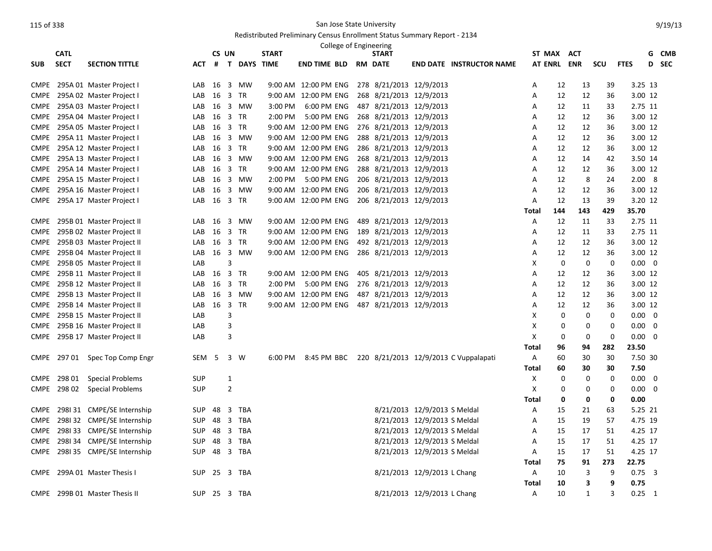|             | <b>CATL</b> |                            |              | CS UN   |                |               | <b>START</b> |                      | College of Engineering | <b>START</b>            |                              |                                                   | ST MAX ACT   |             |             |             |                | G                       | CMB   |
|-------------|-------------|----------------------------|--------------|---------|----------------|---------------|--------------|----------------------|------------------------|-------------------------|------------------------------|---------------------------------------------------|--------------|-------------|-------------|-------------|----------------|-------------------------|-------|
| <b>SUB</b>  | <b>SECT</b> | <b>SECTION TITTLE</b>      | ACT          |         |                | # T DAYS TIME |              | <b>END TIME BLD</b>  |                        | <b>RM DATE</b>          |                              | <b>END DATE INSTRUCTOR NAME</b>                   | AT ENRL ENR  |             |             | <b>SCU</b>  | <b>FTES</b>    |                         | D SEC |
|             |             |                            |              |         |                |               |              |                      |                        |                         |                              |                                                   |              |             |             |             |                |                         |       |
| <b>CMPE</b> |             | 295A 01 Master Project I   | LAB          | 16      |                | 3 MW          |              | 9:00 AM 12:00 PM ENG |                        |                         | 278 8/21/2013 12/9/2013      |                                                   | Α            | 12          | 13          | 39          | 3.25 13        |                         |       |
| <b>CMPE</b> |             | 295A 02 Master Project I   | LAB          | 16 3 TR |                |               |              | 9:00 AM 12:00 PM ENG |                        | 268 8/21/2013 12/9/2013 |                              |                                                   | Α            | 12          | 12          | 36          | 3.00 12        |                         |       |
| <b>CMPE</b> |             | 295A 03 Master Project I   | LAB          |         |                | 16 3 MW       | 3:00 PM      | 6:00 PM ENG          |                        |                         | 487 8/21/2013 12/9/2013      |                                                   | Α            | 12          | 11          | 33          | 2.75 11        |                         |       |
| <b>CMPE</b> |             | 295A 04 Master Project I   | LAB          | 16 3 TR |                |               | 2:00 PM      | 5:00 PM ENG          |                        |                         | 268 8/21/2013 12/9/2013      |                                                   | A            | 12          | 12          | 36          | 3.00 12        |                         |       |
| <b>CMPE</b> |             | 295A 05 Master Project I   | LAB          | 16      |                | 3 TR          |              | 9:00 AM 12:00 PM ENG |                        |                         | 276 8/21/2013 12/9/2013      |                                                   | Α            | 12          | 12          | 36          | 3.00 12        |                         |       |
| <b>CMPE</b> |             | 295A 11 Master Project I   | LAB          | 16      |                | 3 MW          |              | 9:00 AM 12:00 PM ENG |                        |                         | 288 8/21/2013 12/9/2013      |                                                   | A            | 12          | 12          | 36          | 3.00 12        |                         |       |
| <b>CMPE</b> |             | 295A 12 Master Project I   | LAB          | 16 3 TR |                |               |              | 9:00 AM 12:00 PM ENG |                        |                         | 286 8/21/2013 12/9/2013      |                                                   | Α            | 12          | 12          | 36          | 3.00 12        |                         |       |
| <b>CMPE</b> |             | 295A 13 Master Project I   | LAB          | 16      |                | 3 MW          |              | 9:00 AM 12:00 PM ENG |                        |                         | 268 8/21/2013 12/9/2013      |                                                   | Α            | 12          | 14          | 42          | 3.50 14        |                         |       |
| <b>CMPE</b> |             | 295A 14 Master Project I   | LAB          | 16      |                | 3 TR          |              | 9:00 AM 12:00 PM ENG |                        |                         | 288 8/21/2013 12/9/2013      |                                                   | Α            | 12          | 12          | 36          | 3.00 12        |                         |       |
| <b>CMPE</b> |             | 295A 15 Master Project I   | LAB          | 16      |                | 3 MW          | 2:00 PM      | 5:00 PM ENG          |                        |                         | 206 8/21/2013 12/9/2013      |                                                   | Α            | 12          | 8           | 24          | 2.008          |                         |       |
| <b>CMPE</b> |             | 295A 16 Master Project I   | LAB          | 16      |                | 3 MW          |              | 9:00 AM 12:00 PM ENG |                        |                         | 206 8/21/2013 12/9/2013      |                                                   | Α            | 12          | 12          | 36          | 3.00 12        |                         |       |
| <b>CMPE</b> |             | 295A 17 Master Project I   | LAB          | 16 3 TR |                |               |              | 9:00 AM 12:00 PM ENG |                        |                         | 206 8/21/2013 12/9/2013      |                                                   | Α            | 12          | 13          | 39          | 3.20 12        |                         |       |
|             |             |                            |              |         |                |               |              |                      |                        |                         |                              |                                                   | Total        | 144         | 143         | 429         | 35.70          |                         |       |
| <b>CMPE</b> |             | 295B 01 Master Project II  |              |         |                | LAB 16 3 MW   |              | 9:00 AM 12:00 PM ENG |                        |                         | 489 8/21/2013 12/9/2013      |                                                   | A            | 12          | 11          | 33          | 2.75 11        |                         |       |
| <b>CMPE</b> |             | 295B 02 Master Project II  | LAB          | 16      |                | 3 TR          |              | 9:00 AM 12:00 PM ENG |                        |                         | 189 8/21/2013 12/9/2013      |                                                   | Α            | 12          | 11          | 33          | 2.75 11        |                         |       |
| <b>CMPE</b> |             | 295B 03 Master Project II  | LAB          | 16 3 TR |                |               |              | 9:00 AM 12:00 PM ENG |                        |                         | 492 8/21/2013 12/9/2013      |                                                   | A            | 12          | 12          | 36          | 3.00 12        |                         |       |
| <b>CMPE</b> |             | 295B 04 Master Project II  | LAB          |         |                | 16 3 MW       |              | 9:00 AM 12:00 PM ENG |                        |                         | 286 8/21/2013 12/9/2013      |                                                   | Α            | 12          | 12          | 36          | 3.00 12        |                         |       |
| <b>CMPE</b> |             | 295B 05 Master Project II  | LAB          |         | 3              |               |              |                      |                        |                         |                              |                                                   | Χ            | $\mathbf 0$ | $\mathbf 0$ | 0           | $0.00 \quad 0$ |                         |       |
| <b>CMPE</b> |             | 295B 11 Master Project II  | LAB          | 16      |                | 3 TR          |              | 9:00 AM 12:00 PM ENG |                        |                         | 405 8/21/2013 12/9/2013      |                                                   | Α            | 12          | 12          | 36          | 3.00 12        |                         |       |
| <b>CMPE</b> |             | 295B 12 Master Project II  | LAB          | 16      |                | 3 TR          | 2:00 PM      | 5:00 PM ENG          |                        |                         | 276 8/21/2013 12/9/2013      |                                                   | Α            | 12          | 12          | 36          | 3.00 12        |                         |       |
| <b>CMPE</b> |             | 295B 13 Master Project II  | LAB          |         |                | 16 3 MW       |              | 9:00 AM 12:00 PM ENG |                        |                         | 487 8/21/2013 12/9/2013      |                                                   | Α            | 12          | 12          | 36          | 3.00 12        |                         |       |
| <b>CMPE</b> |             | 295B 14 Master Project II  | LAB 16 3 TR  |         |                |               |              | 9:00 AM 12:00 PM ENG |                        |                         | 487 8/21/2013 12/9/2013      |                                                   | Α            | 12          | 12          | 36          | 3.00 12        |                         |       |
| <b>CMPE</b> |             | 295B 15 Master Project II  | LAB          |         | 3              |               |              |                      |                        |                         |                              |                                                   | X            | 0           | 0           | $\Omega$    | $0.00 \quad 0$ |                         |       |
| <b>CMPE</b> |             | 295B 16 Master Project II  | LAB          |         | 3              |               |              |                      |                        |                         |                              |                                                   | X            | 0           | $\mathbf 0$ | $\mathbf 0$ | 0.00           | $\overline{\mathbf{0}}$ |       |
| <b>CMPE</b> |             | 295B 17 Master Project II  | LAB          |         | 3              |               |              |                      |                        |                         |                              |                                                   | Χ            | 0           | 0           | 0           | 0.00           | - 0                     |       |
|             |             |                            |              |         |                |               |              |                      |                        |                         |                              |                                                   | <b>Total</b> | 96          | 94          | 282         | 23.50          |                         |       |
| <b>CMPE</b> |             | 297 01 Spec Top Comp Engr  | SEM          | -5      |                | 3 W           | 6:00 PM      |                      |                        |                         |                              | 8:45 PM BBC 220 8/21/2013 12/9/2013 C Vuppalapati | Α            | 60          | 30          | 30          | 7.50 30        |                         |       |
|             |             |                            |              |         |                |               |              |                      |                        |                         |                              |                                                   | <b>Total</b> | 60          | 30          | 30          | 7.50           |                         |       |
| <b>CMPE</b> | 298 01      | <b>Special Problems</b>    | SUP          |         | 1              |               |              |                      |                        |                         |                              |                                                   | Х            | 0           | 0           | 0           | $0.00 \quad 0$ |                         |       |
| <b>CMPE</b> |             | 298 02 Special Problems    | SUP          |         | $\overline{2}$ |               |              |                      |                        |                         |                              |                                                   | X            | 0           | $\mathbf 0$ | 0           | $0.00 \quad 0$ |                         |       |
|             |             |                            |              |         |                |               |              |                      |                        |                         |                              |                                                   | Total        | 0           | 0           | 0           | 0.00           |                         |       |
| <b>CMPE</b> |             | 298131 CMPE/SE Internship  | <b>SUP</b>   | 48      |                | 3 TBA         |              |                      |                        |                         | 8/21/2013 12/9/2013 S Meldal |                                                   | Α            | 15          | 21          | 63          | 5.25 21        |                         |       |
| <b>CMPE</b> |             | 298132 CMPE/SE Internship  | SUP          | 48      |                | 3 TBA         |              |                      |                        |                         | 8/21/2013 12/9/2013 S Meldal |                                                   | Α            | 15          | 19          | 57          | 4.75 19        |                         |       |
| <b>CMPE</b> |             | 298133 CMPE/SE Internship  | <b>SUP</b>   | 48      |                | 3 TBA         |              |                      |                        |                         | 8/21/2013 12/9/2013 S Meldal |                                                   | A            | 15          | 17          | 51          | 4.25 17        |                         |       |
| <b>CMPE</b> |             | 2981 34 CMPE/SE Internship | <b>SUP</b>   |         |                | 48 3 TBA      |              |                      |                        |                         | 8/21/2013 12/9/2013 S Meldal |                                                   | Α            | 15          | 17          | 51          | 4.25 17        |                         |       |
| <b>CMPE</b> |             | 2981 35 CMPE/SE Internship | SUP 48 3 TBA |         |                |               |              |                      |                        |                         | 8/21/2013 12/9/2013 S Meldal |                                                   | A            | 15          | 17          | 51          | 4.25 17        |                         |       |
|             |             |                            |              |         |                |               |              |                      |                        |                         |                              |                                                   | Total        | 75          | 91          | 273         | 22.75          |                         |       |
| <b>CMPE</b> |             | 299A 01 Master Thesis I    | SUP          |         |                | 25 3 TBA      |              |                      |                        |                         | 8/21/2013 12/9/2013 L Chang  |                                                   | Α            | 10          | 3           | 9           | $0.75$ 3       |                         |       |
|             |             |                            |              |         |                |               |              |                      |                        |                         |                              |                                                   | Total        | 10          | 3           | 9           | 0.75           |                         |       |
| <b>CMPE</b> |             | 299B 01 Master Thesis II   | SUP 25 3 TBA |         |                |               |              |                      |                        |                         | 8/21/2013 12/9/2013 L Chang  |                                                   | A            | 10          | 1           | 3           | $0.25 \quad 1$ |                         |       |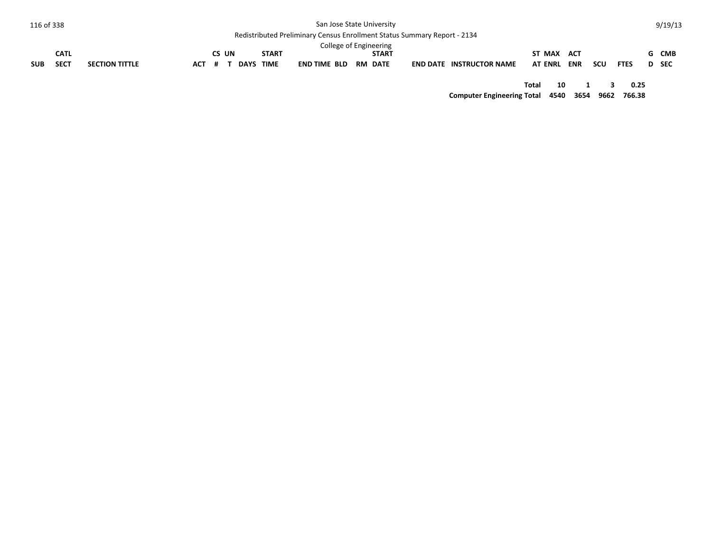| 116 of 338 |             |                       |            |       |             |              | San Jose State University                                                |              |                                 |                |            |     |             | 9/19/13 |
|------------|-------------|-----------------------|------------|-------|-------------|--------------|--------------------------------------------------------------------------|--------------|---------------------------------|----------------|------------|-----|-------------|---------|
|            |             |                       |            |       |             |              | Redistributed Preliminary Census Enrollment Status Summary Report - 2134 |              |                                 |                |            |     |             |         |
|            |             |                       |            |       |             |              | College of Engineering                                                   |              |                                 |                |            |     |             |         |
|            | <b>CATL</b> |                       |            | CS UN |             | <b>START</b> |                                                                          | <b>START</b> |                                 | ST MAX         | ACT        |     |             | G CMB   |
| <b>SUB</b> | <b>SECT</b> | <b>SECTION TITTLE</b> | <b>ACT</b> |       | <b>DAYS</b> | <b>TIME</b>  | END TIME BLD RM DATE                                                     |              | <b>END DATE INSTRUCTOR NAME</b> | <b>AT ENRL</b> | <b>ENR</b> | scu | <b>FTES</b> | D SEC   |
|            |             |                       |            |       |             |              |                                                                          |              |                                 |                |            |     |             |         |
|            |             |                       |            |       |             |              |                                                                          |              |                                 | Total          | 10         |     | 0.25        |         |

**Computer Engineering Total 4540 3654 9662 766.38**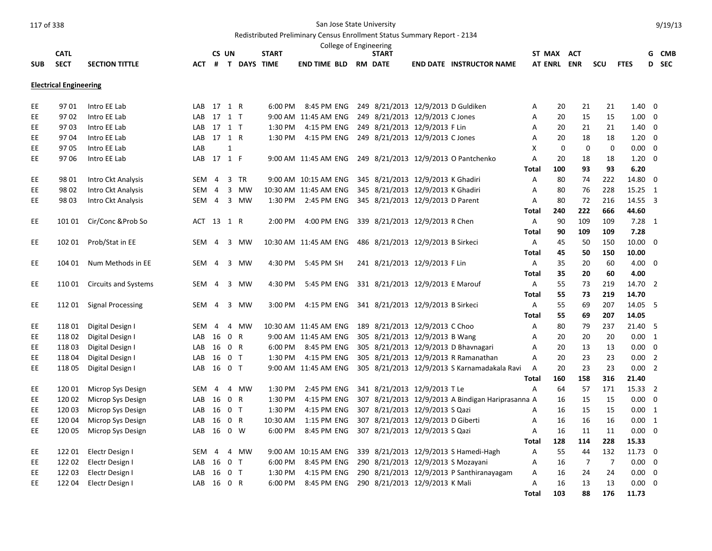## Redistributed Preliminary Census Enrollment Status Summary Report - 2134

|                                          |        |                             |            | CS UN          |                |               | <b>START</b> |                             | <b>START</b>                      |                                                   |              | ST MAX ACT     |                |                |                | G              | CMB   |
|------------------------------------------|--------|-----------------------------|------------|----------------|----------------|---------------|--------------|-----------------------------|-----------------------------------|---------------------------------------------------|--------------|----------------|----------------|----------------|----------------|----------------|-------|
| <b>CATL</b><br><b>SECT</b><br><b>SUB</b> |        | <b>SECTION TITTLE</b>       | ACT        |                |                | # T DAYS TIME |              | <b>END TIME BLD RM DATE</b> |                                   | <b>END DATE INSTRUCTOR NAME</b>                   |              | <b>AT ENRL</b> | <b>ENR</b>     | SCU            | <b>FTES</b>    |                | D SEC |
|                                          |        |                             |            |                |                |               |              |                             |                                   |                                                   |              |                |                |                |                |                |       |
| <b>Electrical Engineering</b>            |        |                             |            |                |                |               |              |                             |                                   |                                                   |              |                |                |                |                |                |       |
|                                          |        |                             |            |                |                |               |              |                             |                                   |                                                   |              |                |                |                |                |                |       |
| EE.                                      | 9701   | Intro EE Lab                | LAB 17 1 R |                |                |               | 6:00 PM      | 8:45 PM ENG                 |                                   | 249 8/21/2013 12/9/2013 D Guldiken                | Α            | 20             | 21             | 21             | $1.40 \quad 0$ |                |       |
| EE.                                      | 9702   | Intro EE Lab                | LAB 17 1 T |                |                |               |              | 9:00 AM 11:45 AM ENG        | 249 8/21/2013 12/9/2013 C Jones   |                                                   | Α            | 20             | 15             | 15             | $1.00 \quad 0$ |                |       |
| EE.                                      | 9703   | Intro EE Lab                | LAB 17 1 T |                |                |               | 1:30 PM      | 4:15 PM ENG                 | 249 8/21/2013 12/9/2013 F Lin     |                                                   | Α            | 20             | 21             | 21             | $1.40 \quad 0$ |                |       |
| EE                                       | 9704   | Intro EE Lab                | LAB        | 17 1 R         |                |               | 1:30 PM      | 4:15 PM ENG                 | 249 8/21/2013 12/9/2013 C Jones   |                                                   | Α            | 20             | 18             | 18             | 1.20           | 0              |       |
| EE                                       | 9705   | Intro EE Lab                | LAB        |                | $\mathbf{1}$   |               |              |                             |                                   |                                                   | X            | $\Omega$       | $\mathbf 0$    | $\Omega$       | $0.00 \quad 0$ |                |       |
| EE.                                      | 9706   | Intro EE Lab                | LAB 17 1 F |                |                |               |              | 9:00 AM 11:45 AM ENG        |                                   | 249 8/21/2013 12/9/2013 O Pantchenko              | Α            | 20             | 18             | 18             | $1.20 \ 0$     |                |       |
|                                          |        |                             |            |                |                |               |              |                             |                                   |                                                   | Total        | 100            | 93             | 93             | 6.20           |                |       |
| EE                                       | 9801   | Intro Ckt Analysis          | SEM        | $\overline{4}$ |                | 3 TR          |              | 9:00 AM 10:15 AM ENG        | 345 8/21/2013 12/9/2013 K Ghadiri |                                                   | Α            | 80             | 74             | 222            | 14.80 0        |                |       |
| EE.                                      | 98 02  | Intro Ckt Analysis          | SEM        | $\overline{4}$ |                | 3 MW          |              | 10:30 AM 11:45 AM ENG       | 345 8/21/2013 12/9/2013 K Ghadiri |                                                   | Α            | 80             | 76             | 228            | 15.25 1        |                |       |
| EE.                                      | 98 03  | Intro Ckt Analysis          | SEM        | $\overline{4}$ |                | 3 MW          | 1:30 PM      | 2:45 PM ENG                 | 345 8/21/2013 12/9/2013 D Parent  |                                                   | Α            | 80             | 72             | 216            | 14.55 3        |                |       |
|                                          |        |                             |            |                |                |               |              |                             |                                   |                                                   | Total        | 240            | 222            | 666            | 44.60          |                |       |
| EE.                                      | 101 01 | Cir/Conc & Prob So          | ACT 13 1 R |                |                |               | 2:00 PM      | 4:00 PM ENG                 | 339 8/21/2013 12/9/2013 R Chen    |                                                   | Α            | 90             | 109            | 109            | $7.28$ 1       |                |       |
|                                          |        |                             |            |                |                |               |              |                             |                                   |                                                   | Total        | 90             | 109            | 109            | 7.28           |                |       |
| EE                                       | 102 01 | Prob/Stat in EE             | <b>SEM</b> | $\overline{4}$ | $\overline{3}$ | <b>MW</b>     |              | 10:30 AM 11:45 AM ENG       | 486 8/21/2013 12/9/2013 B Sirkeci |                                                   | A            | 45             | 50             | 150            | $10.00 \t 0$   |                |       |
|                                          |        |                             |            |                |                |               |              |                             |                                   |                                                   | <b>Total</b> | 45             | 50             | 150            | 10.00          |                |       |
| EE.                                      | 104 01 | Num Methods in EE           | SEM 4      |                |                | 3 MW          | 4:30 PM      | 5:45 PM SH                  | 241 8/21/2013 12/9/2013 F Lin     |                                                   | Α            | 35             | 20             | 60             | $4.00 \ 0$     |                |       |
|                                          |        |                             |            |                |                |               |              |                             |                                   |                                                   | <b>Total</b> | 35             | 20             | 60             | 4.00           |                |       |
| EE                                       | 110 01 | <b>Circuits and Systems</b> | SEM        | $\overline{4}$ | 3              | <b>MW</b>     | 4:30 PM      | 5:45 PM ENG                 | 331 8/21/2013 12/9/2013 E Marouf  |                                                   | A            | 55             | 73             | 219            | 14.70 2        |                |       |
|                                          |        |                             |            |                |                |               |              |                             |                                   |                                                   | Total        | 55             | 73             | 219            | 14.70          |                |       |
| EE.                                      | 112 01 | <b>Signal Processing</b>    | <b>SEM</b> | $\overline{4}$ |                | 3 MW          | 3:00 PM      | 4:15 PM ENG                 | 341 8/21/2013 12/9/2013 B Sirkeci |                                                   | Α            | 55             | 69             | 207            | 14.05 5        |                |       |
|                                          |        |                             |            |                |                |               |              |                             |                                   |                                                   | <b>Total</b> | 55             | 69             | 207            | 14.05          |                |       |
| EE.                                      | 11801  | Digital Design I            | <b>SEM</b> | $\overline{4}$ | 4              | MW            |              | 10:30 AM 11:45 AM ENG       | 189 8/21/2013 12/9/2013 C Choo    |                                                   | А            | 80             | 79             | 237            | 21.40 5        |                |       |
| EE                                       | 11802  | Digital Design I            | LAB 16     |                | 0 R            |               |              | 9:00 AM 11:45 AM ENG        | 305 8/21/2013 12/9/2013 B Wang    |                                                   | Α            | 20             | 20             | 20             | 0.00 1         |                |       |
| EE                                       | 11803  | Digital Design I            | LAB        | 16             | 0 R            |               | 6:00 PM      | 8:45 PM ENG                 |                                   | 305 8/21/2013 12/9/2013 D Bhavnagari              | Α            | 20             | 13             | 13             | $0.00 \quad 0$ |                |       |
| EE                                       | 11804  | Digital Design I            | LAB        | 16             | 0 <sub>T</sub> |               | 1:30 PM      | 4:15 PM ENG                 |                                   | 305 8/21/2013 12/9/2013 R Ramanathan              | Α            | 20             | 23             | 23             | 0.00           | $\overline{2}$ |       |
| <b>EE</b>                                | 118 05 | Digital Design I            | LAB        | 16 0 T         |                |               |              | 9:00 AM 11:45 AM ENG        |                                   | 305 8/21/2013 12/9/2013 S Karnamadakala Ravi      | Α            | 20             | 23             | 23             | $0.00$ 2       |                |       |
|                                          |        |                             |            |                |                |               |              |                             |                                   |                                                   | <b>Total</b> | 160            | 158            | 316            | 21.40          |                |       |
| EE                                       | 120 01 | Microp Sys Design           | SEM        | $\overline{a}$ | 4              | MW            | 1:30 PM      | 2:45 PM ENG                 | 341 8/21/2013 12/9/2013 T Le      |                                                   | Α            | 64             | 57             | 171            | 15.33 2        |                |       |
| EE                                       | 120 02 | Microp Sys Design           | LAB        | 16             | 0 R            |               | 1:30 PM      | 4:15 PM ENG                 |                                   | 307 8/21/2013 12/9/2013 A Bindigan Hariprasanna A |              | 16             | 15             | 15             | 0.00           | 0              |       |
| EE                                       | 120 03 | Microp Sys Design           | LAB        | 16             | 0 <sub>T</sub> |               | 1:30 PM      | 4:15 PM ENG                 | 307 8/21/2013 12/9/2013 S Qazi    |                                                   | Α            | 16             | 15             | 15             | 0.00 1         |                |       |
| EE.                                      | 120 04 | Microp Sys Design           | LAB        | 16             | 0 R            |               | 10:30 AM     | 1:15 PM ENG                 | 307 8/21/2013 12/9/2013 D Giberti |                                                   | Α            | 16             | 16             | 16             | $0.00 \quad 1$ |                |       |
| EE                                       | 120 05 | Microp Sys Design           | LAB        | 16             | $0 \quad W$    |               | 6:00 PM      | 8:45 PM ENG                 | 307 8/21/2013 12/9/2013 S Qazi    |                                                   | Α            | 16             | 11             | 11             | 0.00           | $\overline{0}$ |       |
|                                          |        |                             |            |                |                |               |              |                             |                                   |                                                   | <b>Total</b> | 128            | 114            | 228            | 15.33          |                |       |
| EE                                       | 122 01 | Electr Design I             | SEM        | $\overline{4}$ | 4              | MW            |              | 9:00 AM 10:15 AM ENG        |                                   | 339 8/21/2013 12/9/2013 S Hamedi-Hagh             | Α            | 55             | 44             | 132            | 11.73 0        |                |       |
| EE.                                      | 122 02 | Electr Design I             | LAB        | 16             | 0 <sub>T</sub> |               | 6:00 PM      | 8:45 PM ENG                 |                                   | 290 8/21/2013 12/9/2013 S Mozayani                | Α            | 16             | $\overline{7}$ | $\overline{7}$ | $0.00 \ 0$     |                |       |
| EE                                       | 122 03 | Electr Design I             | LAB        | 16             | 0 <sub>T</sub> |               | 1:30 PM      | 4:15 PM ENG                 |                                   | 290 8/21/2013 12/9/2013 P Santhiranayagam         | Α            | 16             | 24             | 24             | 0.00           | 0              |       |
| EE                                       | 122 04 | Electr Design I             | LAB        | 16 0 R         |                |               | 6:00 PM      | 8:45 PM ENG                 | 290 8/21/2013 12/9/2013 K Mali    |                                                   | A            | 16             | 13             | 13             | $0.00 \ 0$     |                |       |
|                                          |        |                             |            |                |                |               |              |                             |                                   |                                                   | <b>Total</b> | 103            | 88             | 176            | 11.73          |                |       |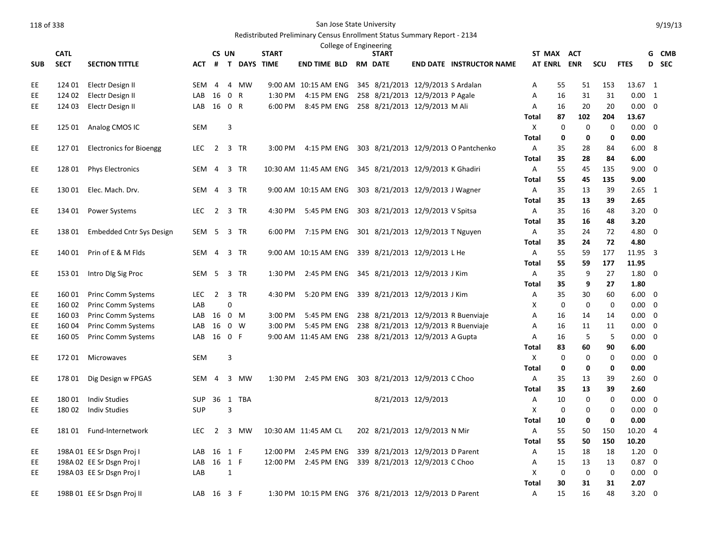|            | <b>CATL</b>      |                                                        |            | CS UN          |              |                    | <b>START</b>          |                             | College of Engineering | <b>START</b>                                          |                     |                                                                            |                | ST MAX ACT  |                   |                   |                        | G                       | CMB   |
|------------|------------------|--------------------------------------------------------|------------|----------------|--------------|--------------------|-----------------------|-----------------------------|------------------------|-------------------------------------------------------|---------------------|----------------------------------------------------------------------------|----------------|-------------|-------------------|-------------------|------------------------|-------------------------|-------|
| <b>SUB</b> | <b>SECT</b>      | <b>SECTION TITTLE</b>                                  | <b>ACT</b> | #              |              | <b>T DAYS TIME</b> |                       | <b>END TIME BLD RM DATE</b> |                        |                                                       |                     | <b>END DATE INSTRUCTOR NAME</b>                                            | <b>AT ENRL</b> |             | <b>ENR</b>        | SCU               | <b>FTES</b>            |                         | D SEC |
|            |                  |                                                        |            |                |              |                    |                       |                             |                        |                                                       |                     |                                                                            |                |             |                   |                   |                        |                         |       |
| EE         | 124 01           | Electr Design II                                       | SEM        | 4              |              | 4 MW               |                       | 9:00 AM 10:15 AM ENG        |                        | 345 8/21/2013 12/9/2013 S Ardalan                     |                     |                                                                            | Α              | 55          | 51                | 153               | 13.67 1                |                         |       |
| EE.        | 124 02           | Electr Design II                                       | LAB        | 16             | 0 R          |                    | 1:30 PM               | 4:15 PM ENG                 |                        | 258 8/21/2013 12/9/2013 P Agale                       |                     |                                                                            | Α              | 16          | 31                | 31                | 0.00 1                 |                         |       |
| EE.        | 124 03           | Electr Design II                                       | LAB        | 16 0 R         |              |                    | 6:00 PM               | 8:45 PM ENG                 |                        | 258 8/21/2013 12/9/2013 M Ali                         |                     |                                                                            | Α              | 16          | 20                | 20                | $0.00 \quad 0$         |                         |       |
|            |                  |                                                        |            |                |              |                    |                       |                             |                        |                                                       |                     |                                                                            | Total          | 87          | 102               | 204               | 13.67                  |                         |       |
| EE.        | 125 01           | Analog CMOS IC                                         | <b>SEM</b> |                | 3            |                    |                       |                             |                        |                                                       |                     |                                                                            | X              | 0           | 0                 | 0                 | $0.00 \quad 0$         |                         |       |
|            |                  |                                                        |            |                |              |                    |                       |                             |                        |                                                       |                     |                                                                            | Total          | 0           | 0                 | 0                 | 0.00                   |                         |       |
| EE.        | 127 01           | <b>Electronics for Bioengg</b>                         | <b>LEC</b> | 2 3 TR         |              |                    | 3:00 PM               | 4:15 PM ENG                 |                        |                                                       |                     | 303 8/21/2013 12/9/2013 O Pantchenko                                       | Α              | 35          | 28                | 84                | 6.008                  |                         |       |
|            |                  |                                                        |            |                |              |                    |                       |                             |                        |                                                       |                     |                                                                            | Total          | 35          | 28                | 84                | 6.00                   |                         |       |
| EE.        | 128 01           | <b>Phys Electronics</b>                                | SEM 4      |                |              | 3 TR               | 10:30 AM 11:45 AM ENG |                             |                        | 345 8/21/2013 12/9/2013 K Ghadiri                     |                     |                                                                            | Α              | 55          | 45                | 135               | $9.00 \quad 0$         |                         |       |
|            |                  |                                                        |            |                |              |                    |                       |                             |                        |                                                       |                     |                                                                            | <b>Total</b>   | 55          | 45                | 135               | 9.00                   |                         |       |
| EE         | 130 01           | Elec. Mach. Drv.                                       | SEM 4      |                |              | 3 TR               |                       | 9:00 AM 10:15 AM ENG        |                        | 303 8/21/2013 12/9/2013 J Wagner                      |                     |                                                                            | Α              | 35          | 13                | 39                | $2.65$ 1               |                         |       |
|            |                  |                                                        |            |                |              |                    |                       |                             |                        |                                                       |                     |                                                                            | <b>Total</b>   | 35          | 13                | 39                | 2.65                   |                         |       |
| EE.        | 134 01           | Power Systems                                          | <b>LEC</b> | $\overline{2}$ |              | 3 TR               | 4:30 PM               | 5:45 PM ENG                 |                        | 303 8/21/2013 12/9/2013 V Spitsa                      |                     |                                                                            | Α              | 35          | 16                | 48                | 3.20                   | 0                       |       |
|            |                  |                                                        |            |                |              |                    |                       |                             |                        |                                                       |                     |                                                                            | <b>Total</b>   | 35          | 16                | 48                | 3.20                   |                         |       |
| EE         | 13801            | Embedded Cntr Sys Design                               | SEM 5 3 TR |                |              |                    | 6:00 PM               | 7:15 PM ENG                 |                        | 301 8/21/2013 12/9/2013 T Nguyen                      |                     |                                                                            | Α              | 35          | 24                | 72                | 4.80 0                 |                         |       |
|            |                  |                                                        |            |                |              |                    |                       |                             |                        |                                                       |                     |                                                                            | <b>Total</b>   | 35          | 24                | 72                | 4.80                   |                         |       |
| EE         | 140 01           | Prin of E & M Flds                                     | SEM        | $\overline{4}$ |              | 3 TR               |                       | 9:00 AM 10:15 AM ENG        |                        | 339 8/21/2013 12/9/2013 L He                          |                     |                                                                            | Α              | 55          | 59                | 177               | 11.95 3                |                         |       |
|            |                  |                                                        |            |                |              |                    |                       |                             |                        |                                                       |                     |                                                                            | <b>Total</b>   | 55          | 59                | 177               | 11.95                  |                         |       |
| EE         | 153 01           | Intro DIg Sig Proc                                     | SEM        | 5              |              | 3 TR               | 1:30 PM               | 2:45 PM ENG                 |                        | 345 8/21/2013 12/9/2013 J Kim                         |                     |                                                                            | Α              | 35          | 9                 | 27                | $1.80 \quad 0$         |                         |       |
|            |                  |                                                        |            |                |              |                    |                       |                             |                        |                                                       |                     |                                                                            | <b>Total</b>   | 35          | 9                 | 27                | 1.80                   |                         |       |
| EE.        | 160 01           | Princ Comm Systems                                     | <b>LEC</b> | 2 3 TR         |              |                    | 4:30 PM               | 5:20 PM ENG                 |                        | 339 8/21/2013 12/9/2013 J Kim                         |                     |                                                                            | Α              | 35          | 30                | 60                | $6.00 \quad 0$         |                         |       |
| EE.<br>EE  | 160 02           | <b>Princ Comm Systems</b>                              | LAB        |                | $\Omega$     |                    |                       |                             |                        |                                                       |                     |                                                                            | Х              | $\mathbf 0$ | $\mathbf 0$<br>14 | $\mathbf 0$<br>14 | $0.00 \t 0$            |                         |       |
| EE         | 160 03<br>160 04 | <b>Princ Comm Systems</b><br><b>Princ Comm Systems</b> | LAB<br>LAB | 16 0 M<br>16   |              | $0 \quad W$        | 3:00 PM<br>3:00 PM    | 5:45 PM ENG<br>5:45 PM ENG  |                        |                                                       |                     | 238 8/21/2013 12/9/2013 R Buenviaje<br>238 8/21/2013 12/9/2013 R Buenviaje | Α<br>А         | 16<br>16    | 11                | 11                | $0.00 \quad 0$<br>0.00 | $\overline{\mathbf{0}}$ |       |
| EE         | 160 05           | Princ Comm Systems                                     | LAB        | 16 0 F         |              |                    |                       | 9:00 AM 11:45 AM ENG        |                        | 238 8/21/2013 12/9/2013 A Gupta                       |                     |                                                                            | Α              | 16          | 5                 | -5                | $0.00 \quad 0$         |                         |       |
|            |                  |                                                        |            |                |              |                    |                       |                             |                        |                                                       |                     |                                                                            | <b>Total</b>   | 83          | 60                | 90                | 6.00                   |                         |       |
| EE.        | 172 01           | Microwaves                                             | SEM        |                | 3            |                    |                       |                             |                        |                                                       |                     |                                                                            | Χ              | 0           | 0                 | 0                 | $0.00 \quad 0$         |                         |       |
|            |                  |                                                        |            |                |              |                    |                       |                             |                        |                                                       |                     |                                                                            | <b>Total</b>   | $\mathbf 0$ | 0                 | 0                 | 0.00                   |                         |       |
| EE.        | 178 01           | Dig Design w FPGAS                                     | SEM 4      |                |              | 3 MW               | 1:30 PM               | 2:45 PM ENG                 |                        | 303 8/21/2013 12/9/2013 C Choo                        |                     |                                                                            | Α              | 35          | 13                | 39                | $2.60 \quad 0$         |                         |       |
|            |                  |                                                        |            |                |              |                    |                       |                             |                        |                                                       |                     |                                                                            | <b>Total</b>   | 35          | 13                | 39                | 2.60                   |                         |       |
| EE.        | 18001            | <b>Indiv Studies</b>                                   | SUP        |                |              | 36 1 TBA           |                       |                             |                        |                                                       | 8/21/2013 12/9/2013 |                                                                            | Α              | 10          | 0                 | $\Omega$          | $0.00\,$               | 0                       |       |
| EE.        | 18002            | <b>Indiv Studies</b>                                   | <b>SUP</b> |                | 3            |                    |                       |                             |                        |                                                       |                     |                                                                            | X              | $\mathbf 0$ | $\mathbf 0$       | $\mathbf 0$       | $0.00 \quad 0$         |                         |       |
|            |                  |                                                        |            |                |              |                    |                       |                             |                        |                                                       |                     |                                                                            | Total          | 10          | 0                 | 0                 | 0.00                   |                         |       |
| EE.        | 18101            | Fund-Internetwork                                      | <b>LEC</b> | $\overline{2}$ |              | 3 MW               | 10:30 AM 11:45 AM CL  |                             |                        | 202 8/21/2013 12/9/2013 N Mir                         |                     |                                                                            | Α              | 55          | 50                | 150               | 10.20                  | $\overline{4}$          |       |
|            |                  |                                                        |            |                |              |                    |                       |                             |                        |                                                       |                     |                                                                            | <b>Total</b>   | 55          | 50                | 150               | 10.20                  |                         |       |
| EE         |                  | 198A 01 EE Sr Dsgn Proj I                              | LAB        | 16 1 F         |              |                    | 12:00 PM              | 2:45 PM ENG                 |                        | 339 8/21/2013 12/9/2013 D Parent                      |                     |                                                                            | Α              | 15          | 18                | 18                | $1.20 \quad 0$         |                         |       |
| EE.        |                  | 198A 02 EE Sr Dsgn Proj I                              | LAB        | 16 1 F         |              |                    | 12:00 PM              | 2:45 PM ENG                 |                        | 339 8/21/2013 12/9/2013 C Choo                        |                     |                                                                            | Α              | 15          | 13                | 13                | $0.87 \quad 0$         |                         |       |
| EE         |                  | 198A 03 EE Sr Dsgn Proj I                              | LAB        |                | $\mathbf{1}$ |                    |                       |                             |                        |                                                       |                     |                                                                            | Х              | $\mathbf 0$ | 0                 | $\mathbf 0$       | 0.00                   | $\overline{\mathbf{0}}$ |       |
|            |                  |                                                        |            |                |              |                    |                       |                             |                        |                                                       |                     |                                                                            | Total          | 30          | 31                | 31                | 2.07                   |                         |       |
| EE         |                  | 198B 01 EE Sr Dsgn Proj II                             | LAB        | 16 3 F         |              |                    |                       |                             |                        | 1:30 PM 10:15 PM ENG 376 8/21/2013 12/9/2013 D Parent |                     |                                                                            | A              | 15          | 16                | 48                | 3.20                   | $\mathbf 0$             |       |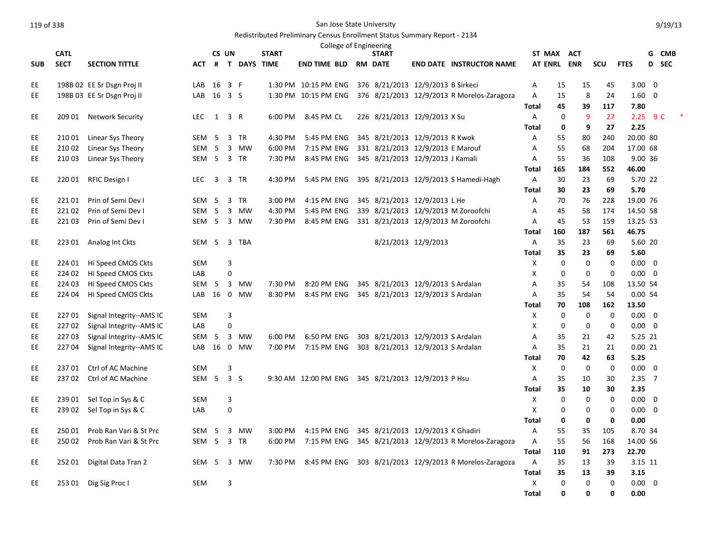|            |             |                            |                  |           |                |             |              |                      |  | College of Engineering                             |                     |                                            |                   |             |             |                               |                |  |
|------------|-------------|----------------------------|------------------|-----------|----------------|-------------|--------------|----------------------|--|----------------------------------------------------|---------------------|--------------------------------------------|-------------------|-------------|-------------|-------------------------------|----------------|--|
|            | <b>CATL</b> |                            |                  | CS UN     |                |             | <b>START</b> |                      |  | <b>START</b>                                       |                     |                                            | ST MAX ACT        |             |             |                               | G CMB          |  |
| <b>SUB</b> | <b>SECT</b> | <b>SECTION TITTLE</b>      | ACT              | #         |                | T DAYS TIME |              | END TIME BLD         |  | <b>RM DATE</b>                                     |                     | <b>END DATE INSTRUCTOR NAME</b>            | AT ENRL ENR       |             | scu         | <b>FTES</b>                   | D SEC          |  |
| EE         |             | 198B 02 EE Sr Dsgn Proj II | LAB              | 16 3 F    |                |             |              | 1:30 PM 10:15 PM ENG |  | 376 8/21/2013 12/9/2013 B Sirkeci                  |                     |                                            | Α                 | 15          | 15          | $3.00 \ 0$<br>45              |                |  |
| EE.        |             | 198B 03 EE Sr Dsgn Proj II | LAB              | 16 3 S    |                |             |              | 1:30 PM 10:15 PM ENG |  |                                                    |                     | 376 8/21/2013 12/9/2013 R Morelos-Zaragoza | Α                 | 15          | 8           | 24<br>$1.60 \quad 0$          |                |  |
|            |             |                            |                  |           |                |             |              |                      |  |                                                    |                     |                                            | Total             | 45          | 39<br>117   | 7.80                          |                |  |
| EE.        | 209 01      | Network Security           | LEC              | 1         | 3 R            |             | 6:00 PM      | 8:45 PM CL           |  | 226 8/21/2013 12/9/2013 X Su                       |                     |                                            | A                 | $\mathbf 0$ | 9           | 2.25<br>27                    | 9 <sup>C</sup> |  |
|            |             |                            |                  |           |                |             |              |                      |  |                                                    |                     |                                            | <b>Total</b>      | 0           | 9           | 2.25<br>27                    |                |  |
| EE         | 21001       | Linear Sys Theory          | <b>SEM</b>       | 5         |                | 3 TR        | 4:30 PM      | 5:45 PM ENG          |  | 345 8/21/2013 12/9/2013 R Kwok                     |                     |                                            | A                 | 55          | 80<br>240   | 20.00 80                      |                |  |
| EE         | 210 02      | Linear Sys Theory          | SEM              | -5        | $\overline{3}$ | MW          | 6:00 PM      | 7:15 PM ENG          |  | 331 8/21/2013 12/9/2013 E Marouf                   |                     |                                            | Α                 | 55          | 68<br>204   | 17.00 68                      |                |  |
| <b>EE</b>  | 210 03      | Linear Sys Theory          | SEM <sub>5</sub> |           |                | 3 TR        | 7:30 PM      | 8:45 PM ENG          |  | 345 8/21/2013 12/9/2013 J Kamali                   |                     |                                            | $\overline{A}$    | 55          | 36<br>108   | 9.00 36                       |                |  |
|            |             |                            |                  |           |                |             |              |                      |  |                                                    |                     |                                            | <b>Total</b>      | 165<br>184  |             | 552<br>46.00                  |                |  |
| EE.        | 220 01      | RFIC Design I              | <b>LEC</b>       | 3         |                | 3 TR        | 4:30 PM      | 5:45 PM ENG          |  |                                                    |                     | 395 8/21/2013 12/9/2013 S Hamedi-Hagh      | A                 | 30          | 23          | 5.70 22<br>69                 |                |  |
|            |             |                            |                  |           |                |             |              |                      |  |                                                    |                     |                                            | Total             | 30          | 23          | 69<br>5.70                    |                |  |
| EE         | 22101       | Prin of Semi Dev I         | SEM              | - 5       |                | 3 TR        | 3:00 PM      | 4:15 PM ENG          |  | 345 8/21/2013 12/9/2013 L He                       |                     |                                            | Α                 | 70          | 76<br>228   | 19.00 76                      |                |  |
| EE         | 22102       | Prin of Semi Dev I         | <b>SEM</b>       | 5         | $\overline{3}$ | <b>MW</b>   | 4:30 PM      | 5:45 PM ENG          |  |                                                    |                     | 339 8/21/2013 12/9/2013 M Zoroofchi        | A                 | 45          | 58<br>174   | 14.50 58                      |                |  |
| EE         | 22103       | Prin of Semi Dev I         | SEM <sub>5</sub> |           |                | 3 MW        | 7:30 PM      | 8:45 PM ENG          |  |                                                    |                     | 331 8/21/2013 12/9/2013 M Zoroofchi        | A                 | 45          | 53<br>159   | 13.25 53                      |                |  |
|            |             |                            |                  |           |                |             |              |                      |  |                                                    |                     |                                            | Total             | 187<br>160  | 561         | 46.75                         |                |  |
| EE         |             | 223 01 Analog Int Ckts     | SEM 5            |           |                | 3 TBA       |              |                      |  |                                                    | 8/21/2013 12/9/2013 |                                            | $\overline{A}$    | 35          | 23          | 5.60 20<br>69                 |                |  |
|            |             |                            |                  |           |                |             |              |                      |  |                                                    |                     |                                            | <b>Total</b>      | 35          | 23          | 69<br>5.60                    |                |  |
| EE         | 224 01      | Hi Speed CMOS Ckts         | <b>SEM</b>       |           | 3              |             |              |                      |  |                                                    |                     |                                            | X                 | $\mathbf 0$ | $\mathbf 0$ | $0.00 \quad 0$<br>0           |                |  |
| <b>EE</b>  | 224 02      | Hi Speed CMOS Ckts         | LAB              |           | 0              |             |              |                      |  |                                                    |                     |                                            | $\mathsf{x}$      | 0           | $\mathbf 0$ | $\mathbf 0$<br>$0.00 \t 0$    |                |  |
| EE         | 224 03      | Hi Speed CMOS Ckts         | <b>SEM</b>       | -5        |                | 3 MW        | 7:30 PM      | 8:20 PM ENG          |  | 345 8/21/2013 12/9/2013 S Ardalan                  |                     |                                            | A                 | 35          | 54<br>108   | 13.50 54                      |                |  |
| EE         | 224 04      | Hi Speed CMOS Ckts         | LAB              | 16        | $\mathbf 0$    | MW          | 8:30 PM      | 8:45 PM ENG          |  | 345 8/21/2013 12/9/2013 S Ardalan                  |                     |                                            | Α                 | 35          | 54          | 54<br>0.0054                  |                |  |
|            |             |                            |                  |           |                |             |              |                      |  |                                                    |                     |                                            | Total             | 70<br>108   | 162         | 13.50                         |                |  |
| <b>EE</b>  | 22701       | Signal Integrity--AMS IC   | <b>SEM</b>       |           | 3              |             |              |                      |  |                                                    |                     |                                            | X                 | 0           | $\mathbf 0$ | $\mathbf 0$<br>$0.00 \quad 0$ |                |  |
| EE         | 22702       | Signal Integrity--AMS IC   | LAB              |           | 0              |             |              |                      |  |                                                    |                     |                                            | X                 | 0           | $\mathbf 0$ | $\mathbf 0$<br>$0.00 \quad 0$ |                |  |
| EE         | 22703       | Signal Integrity--AMS IC   | SEM              | - 5<br>16 | $\mathbf{0}$   | 3 MW        | 6:00 PM      | 6:50 PM ENG          |  | 303 8/21/2013 12/9/2013 S Ardalan                  |                     |                                            | Α                 | 35<br>35    | 21<br>21    | 5.25 21<br>42                 |                |  |
| EE         | 22704       | Signal Integrity--AMS IC   | LAB              |           |                | MW          | 7:00 PM      | 7:15 PM ENG          |  | 303 8/21/2013 12/9/2013 S Ardalan                  |                     |                                            | Α<br><b>Total</b> | 70          | 42          | 0.0021<br>21<br>5.25<br>63    |                |  |
| EE         | 23701       | Ctrl of AC Machine         | <b>SEM</b>       |           | 3              |             |              |                      |  |                                                    |                     |                                            | Χ                 | $\mathbf 0$ | $\mathbf 0$ | $0.00 \quad 0$<br>$\mathbf 0$ |                |  |
| <b>EE</b>  | 23702       | Ctrl of AC Machine         | SEM <sub>5</sub> |           | 3 <sub>5</sub> |             |              |                      |  | 9:30 AM 12:00 PM ENG 345 8/21/2013 12/9/2013 P Hsu |                     |                                            | A                 | 35          | 10          | $2.35$ 7<br>30                |                |  |
|            |             |                            |                  |           |                |             |              |                      |  |                                                    |                     |                                            | Total             | 35          | 10          | 2.35<br>30                    |                |  |
| EE         | 239 01      | Sel Top in Sys & C         | <b>SEM</b>       |           | 3              |             |              |                      |  |                                                    |                     |                                            | $\mathsf{x}$      | 0           | $\mathbf 0$ | $\mathbf 0$<br>$0.00 \quad 0$ |                |  |
| <b>EE</b>  | 239 02      | Sel Top in Sys & C         | LAB              |           | 0              |             |              |                      |  |                                                    |                     |                                            | X                 | 0           | $\mathbf 0$ | $\mathbf 0$<br>$0.00 \quad 0$ |                |  |
|            |             |                            |                  |           |                |             |              |                      |  |                                                    |                     |                                            | Total             | 0           | 0           | 0<br>0.00                     |                |  |
| <b>EE</b>  | 250 01      | Prob Ran Vari & St Prc     | <b>SEM</b>       | -5        | 3              | <b>MW</b>   | 3:00 PM      | 4:15 PM ENG          |  | 345 8/21/2013 12/9/2013 K Ghadiri                  |                     |                                            | $\overline{A}$    | 55          | 35<br>105   | 8.70 34                       |                |  |
| EE         | 250 02      | Prob Ran Vari & St Prc     | SEM              | 5         |                | 3 TR        | 6:00 PM      | 7:15 PM ENG          |  |                                                    |                     | 345 8/21/2013 12/9/2013 R Morelos-Zaragoza | $\overline{A}$    | 55          | 56<br>168   | 14.00 56                      |                |  |
|            |             |                            |                  |           |                |             |              |                      |  |                                                    |                     |                                            | <b>Total</b>      | 110         | 91<br>273   | 22.70                         |                |  |
| EE         | 25201       | Digital Data Tran 2        | SEM              | - 5       |                | 3 MW        | 7:30 PM      | 8:45 PM ENG          |  |                                                    |                     | 303 8/21/2013 12/9/2013 R Morelos-Zaragoza | A                 | 35          | 13          | 39<br>3.15 11                 |                |  |
|            |             |                            |                  |           |                |             |              |                      |  |                                                    |                     |                                            | <b>Total</b>      | 35          | 13          | 3.15<br>39                    |                |  |
| EE.        | 253 01      | Dig Sig Proc I             | <b>SEM</b>       |           | 3              |             |              |                      |  |                                                    |                     |                                            | X                 | $\Omega$    | $\mathbf 0$ | $\Omega$<br>$0.00 \quad 0$    |                |  |
|            |             |                            |                  |           |                |             |              |                      |  |                                                    |                     |                                            | <b>Total</b>      | 0           | 0           | $\mathbf{0}$<br>0.00          |                |  |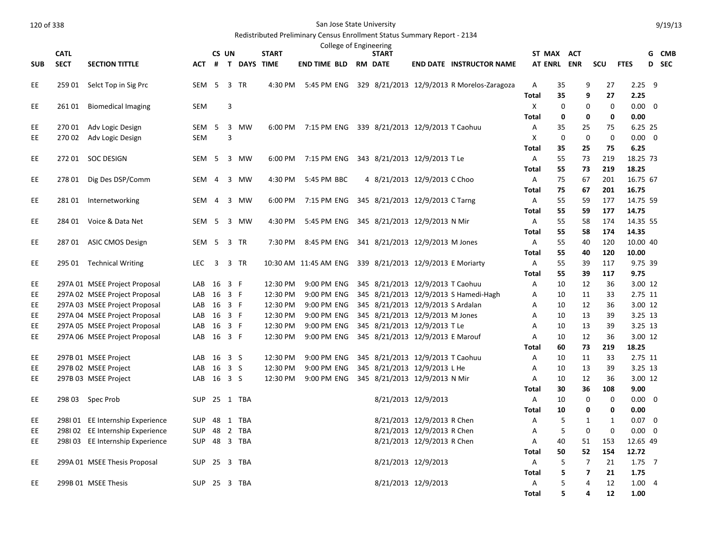|            | <b>CATL</b> |                                 |              | CS UN          |     |                    | <b>START</b>          |                     | College of Engineering | <b>START</b>                                 |                            |                                            | ST MAX ACT     |             |                         |             |                   | G | CMB   |
|------------|-------------|---------------------------------|--------------|----------------|-----|--------------------|-----------------------|---------------------|------------------------|----------------------------------------------|----------------------------|--------------------------------------------|----------------|-------------|-------------------------|-------------|-------------------|---|-------|
| <b>SUB</b> | <b>SECT</b> | <b>SECTION TITTLE</b>           | <b>ACT</b>   | $\#$           |     | <b>T DAYS TIME</b> |                       | <b>END TIME BLD</b> |                        | <b>RM DATE</b>                               |                            | <b>END DATE INSTRUCTOR NAME</b>            | <b>AT ENRL</b> |             | <b>ENR</b>              | scu         | <b>FTES</b>       |   | D SEC |
|            |             |                                 |              |                |     |                    |                       |                     |                        |                                              |                            |                                            |                |             |                         |             |                   |   |       |
| EE         | 259 01      | Selct Top in Sig Prc            | SEM          | 5              |     | 3 TR               | 4:30 PM               | 5:45 PM ENG         |                        |                                              |                            | 329 8/21/2013 12/9/2013 R Morelos-Zaragoza | Α              | 35          | 9                       | 27          | $2.25$ 9          |   |       |
|            |             |                                 |              |                |     |                    |                       |                     |                        |                                              |                            |                                            | Total          | 35          | 9                       | 27          | 2.25              |   |       |
| EE         | 26101       | <b>Biomedical Imaging</b>       | <b>SEM</b>   |                | 3   |                    |                       |                     |                        |                                              |                            |                                            | X              | 0           | 0                       | $\mathbf 0$ | $0.00 \quad 0$    |   |       |
|            |             |                                 |              |                |     |                    |                       |                     |                        |                                              |                            |                                            | <b>Total</b>   | 0           | 0                       | $\mathbf 0$ | 0.00              |   |       |
| EE         | 27001       | Adv Logic Design                | SEM          | - 5            |     | 3 MW               | 6:00 PM               |                     |                        | 7:15 PM ENG 339 8/21/2013 12/9/2013 T Caohuu |                            |                                            | Α              | 35          | 25                      | 75          | 6.25 25           |   |       |
| EE.        | 27002       | Adv Logic Design                | <b>SEM</b>   |                | 3   |                    |                       |                     |                        |                                              |                            |                                            | X              | $\mathbf 0$ | $\mathbf{0}$            | $\Omega$    | $0.00 \quad 0$    |   |       |
|            |             |                                 |              |                |     |                    |                       |                     |                        |                                              |                            |                                            | Total          | 35          | 25                      | 75          | 6.25              |   |       |
| EE.        | 27201       | <b>SOC DESIGN</b>               | SEM 5        |                |     | 3 MW               | 6:00 PM               | 7:15 PM ENG         |                        | 343 8/21/2013 12/9/2013 T Le                 |                            |                                            | A              | 55          | 73                      | 219         | 18.25 73          |   |       |
|            |             |                                 |              |                |     |                    |                       |                     |                        |                                              |                            |                                            | <b>Total</b>   | 55          | 73                      | 219         | 18.25             |   |       |
| EE         | 278 01      | Dig Des DSP/Comm                | SEM          | $\overline{4}$ |     | 3 MW               | 4:30 PM               | 5:45 PM BBC         |                        | 4 8/21/2013 12/9/2013 C Choo                 |                            |                                            | Α              | 75          | 67                      | 201         | 16.75 67          |   |       |
|            |             |                                 |              |                |     |                    |                       |                     |                        |                                              |                            |                                            | <b>Total</b>   | 75          | 67                      | 201         | 16.75             |   |       |
| EE         | 28101       | Internetworking                 | SEM          | $\overline{4}$ |     | 3 MW               | 6:00 PM               | 7:15 PM ENG         |                        | 345 8/21/2013 12/9/2013 C Tarng              |                            |                                            | $\mathsf{A}$   | 55          | 59                      | 177         | 14.75 59          |   |       |
|            |             |                                 |              |                |     |                    |                       |                     |                        |                                              |                            |                                            | Total          | 55          | 59                      | 177         | 14.75             |   |       |
| EE         |             | 284 01 Voice & Data Net         | SEM          | 5              |     | 3 MW               | 4:30 PM               | 5:45 PM ENG         |                        | 345 8/21/2013 12/9/2013 N Mir                |                            |                                            | Α              | 55<br>55    | 58<br>58                | 174<br>174  | 14.35 55<br>14.35 |   |       |
| EE.        | 28701       | <b>ASIC CMOS Design</b>         | SEM          | 5              |     | 3 TR               | 7:30 PM               | 8:45 PM ENG         |                        | 341 8/21/2013 12/9/2013 M Jones              |                            |                                            | Total<br>Α     | 55          | 40                      | 120         | 10.00 40          |   |       |
|            |             |                                 |              |                |     |                    |                       |                     |                        |                                              |                            |                                            | <b>Total</b>   | 55          | 40                      | 120         | 10.00             |   |       |
| EE         |             | 295 01 Technical Writing        | <b>LEC</b>   | $\overline{3}$ |     | 3 TR               | 10:30 AM 11:45 AM ENG |                     |                        | 339 8/21/2013 12/9/2013 E Moriarty           |                            |                                            | Α              | 55          | 39                      | 117         | 9.75 39           |   |       |
|            |             |                                 |              |                |     |                    |                       |                     |                        |                                              |                            |                                            | <b>Total</b>   | 55          | 39                      | 117         | 9.75              |   |       |
| EE         |             | 297A 01 MSEE Project Proposal   | LAB          | 16 3 F         |     |                    | 12:30 PM              | 9:00 PM ENG         |                        | 345 8/21/2013 12/9/2013 T Caohuu             |                            |                                            | Α              | 10          | 12                      | 36          | 3.00 12           |   |       |
| EE         |             | 297A 02 MSEE Project Proposal   | LAB          | 16 3 F         |     |                    | 12:30 PM              | 9:00 PM ENG         |                        |                                              |                            | 345 8/21/2013 12/9/2013 S Hamedi-Hagh      | Α              | 10          | 11                      | 33          | 2.75 11           |   |       |
| EE         |             | 297A 03 MSEE Project Proposal   | LAB          | 16 3 F         |     |                    | 12:30 PM              | 9:00 PM ENG         |                        | 345 8/21/2013 12/9/2013 S Ardalan            |                            |                                            | Α              | 10          | 12                      | 36          | 3.00 12           |   |       |
| EE         |             | 297A 04 MSEE Project Proposal   | LAB          | 16 3 F         |     |                    | 12:30 PM              | 9:00 PM ENG         |                        | 345 8/21/2013 12/9/2013 M Jones              |                            |                                            | Α              | 10          | 13                      | 39          | 3.25 13           |   |       |
| EE         |             | 297A 05 MSEE Project Proposal   | LAB          | 16             | 3 F |                    | 12:30 PM              | 9:00 PM ENG         |                        | 345 8/21/2013 12/9/2013 T Le                 |                            |                                            | Α              | 10          | 13                      | 39          | 3.25 13           |   |       |
| EE         |             | 297A 06 MSEE Project Proposal   | LAB          | 16 3 F         |     |                    | 12:30 PM              | 9:00 PM ENG         |                        | 345 8/21/2013 12/9/2013 E Marouf             |                            |                                            | A              | 10          | 12                      | 36          | 3.00 12           |   |       |
|            |             |                                 |              |                |     |                    |                       |                     |                        |                                              |                            |                                            | <b>Total</b>   | 60          | 73                      | 219         | 18.25             |   |       |
| EE         |             | 297B 01 MSEE Project            | LAB          | 16             | 3 S |                    | 12:30 PM              | 9:00 PM ENG         |                        | 345 8/21/2013 12/9/2013 T Caohuu             |                            |                                            | Α              | 10          | 11                      | 33          | 2.75 11           |   |       |
| EE         |             | 297B 02 MSEE Project            | LAB          | 16             | 3S  |                    | 12:30 PM              | 9:00 PM ENG         |                        | 345 8/21/2013 12/9/2013 L He                 |                            |                                            | A              | 10          | 13                      | 39          | 3.25 13           |   |       |
| EE         |             | 297B 03 MSEE Project            | LAB 16 3 S   |                |     |                    | 12:30 PM              | 9:00 PM ENG         |                        | 345 8/21/2013 12/9/2013 N Mir                |                            |                                            | Α              | 10          | 12                      | 36          | 3.00 12           |   |       |
|            |             |                                 |              |                |     |                    |                       |                     |                        |                                              |                            |                                            | <b>Total</b>   | 30          | 36                      | 108         | 9.00              |   |       |
| EE         |             | 298 03 Spec Prob                | SUP 25 1 TBA |                |     |                    |                       |                     |                        |                                              | 8/21/2013 12/9/2013        |                                            | $\mathsf{A}$   | 10          | $\mathbf 0$             | 0           | $0.00 \quad 0$    |   |       |
|            |             |                                 |              |                |     |                    |                       |                     |                        |                                              |                            |                                            | Total          | 10          | 0                       | $\mathbf 0$ | 0.00              |   |       |
| EE         |             | 298101 EE Internship Experience | SUP          |                |     | 48 1 TBA           |                       |                     |                        |                                              | 8/21/2013 12/9/2013 R Chen |                                            | Α              | 5           | $\mathbf{1}$            | 1           | $0.07 \quad 0$    |   |       |
| <b>EE</b>  |             | 298102 EE Internship Experience | <b>SUP</b>   |                |     | 48 2 TBA           |                       |                     |                        |                                              | 8/21/2013 12/9/2013 R Chen |                                            | A              | 5           | $\mathbf 0$             | $\Omega$    | $0.00 \quad 0$    |   |       |
| EE         |             | 298103 EE Internship Experience | <b>SUP</b>   |                |     | 48 3 TBA           |                       |                     |                        |                                              | 8/21/2013 12/9/2013 R Chen |                                            | Α              | 40          | 51                      | 153         | 12.65 49          |   |       |
|            |             |                                 |              |                |     |                    |                       |                     |                        |                                              |                            |                                            | <b>Total</b>   | 50          | 52                      | 154         | 12.72             |   |       |
| EE         |             | 299A 01 MSEE Thesis Proposal    | SUP 25 3 TBA |                |     |                    |                       |                     |                        |                                              | 8/21/2013 12/9/2013        |                                            | $\mathsf{A}$   | 5           | $\overline{7}$          | 21          | $1.75$ 7          |   |       |
|            |             |                                 |              |                |     |                    |                       |                     |                        |                                              |                            |                                            | <b>Total</b>   | 5           | $\overline{\mathbf{z}}$ | 21          | 1.75              |   |       |
| EE         |             | 299B 01 MSEE Thesis             | SUP 25 3 TBA |                |     |                    |                       |                     |                        |                                              | 8/21/2013 12/9/2013        |                                            | Α              | 5<br>5      | $\overline{4}$          | 12          | 1.004             |   |       |
|            |             |                                 |              |                |     |                    |                       |                     |                        |                                              |                            |                                            | <b>Total</b>   |             | 4                       | 12          | 1.00              |   |       |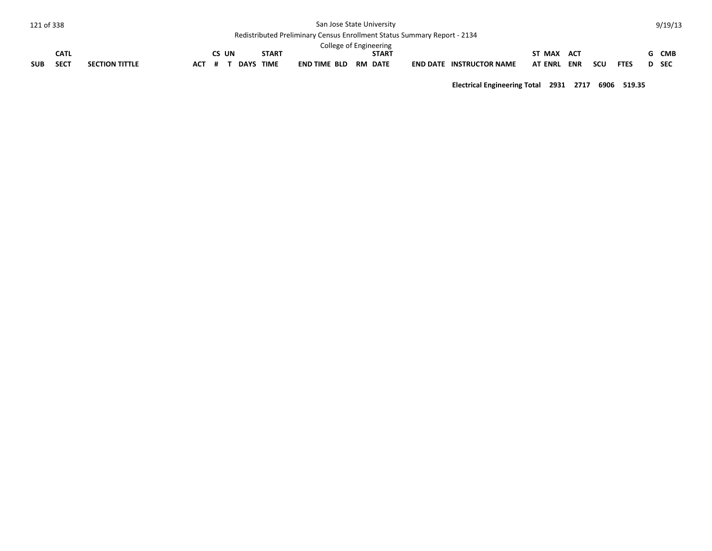| 121 of 338 |             |                       |            |     |       |             |              | San Jose State University                                                       |              |                                 |                |     |     |             | 9/19/13 |
|------------|-------------|-----------------------|------------|-----|-------|-------------|--------------|---------------------------------------------------------------------------------|--------------|---------------------------------|----------------|-----|-----|-------------|---------|
|            |             |                       |            |     |       |             |              | <b>Redistributed Preliminary Census Enrollment Status Summary Report - 2134</b> |              |                                 |                |     |     |             |         |
|            |             |                       |            |     |       |             |              | College of Engineering                                                          |              |                                 |                |     |     |             |         |
|            | <b>CATL</b> |                       |            |     | CS UN |             | <b>START</b> |                                                                                 | <b>START</b> |                                 | ST MAX ACT     |     |     |             | G CMB   |
| <b>SUB</b> | <b>SECT</b> | <b>SECTION TITTLE</b> | <b>ACT</b> | - # |       | <b>DAYS</b> | <b>TIME</b>  | END TIME BLD RM DATE                                                            |              | <b>END DATE INSTRUCTOR NAME</b> | <b>AT ENRL</b> | ENR | scu | <b>FTES</b> | D SEC   |

**Electrical Engineering Total 2931 2717 6906 519.35**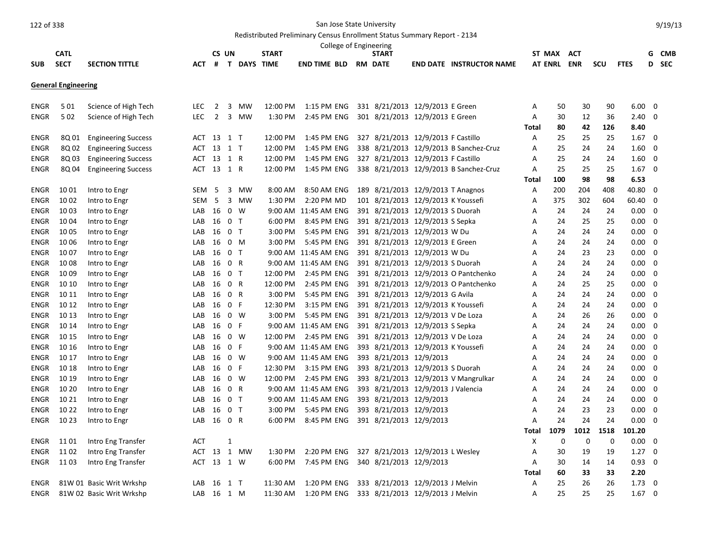Redistributed Preliminary Census Enrollment Status Summary Report - 2134

|             |                            |                            |            |                |                |                    |              | College of Engineering |                                    |                                        |       |                |            |            |             |             |            |
|-------------|----------------------------|----------------------------|------------|----------------|----------------|--------------------|--------------|------------------------|------------------------------------|----------------------------------------|-------|----------------|------------|------------|-------------|-------------|------------|
|             | <b>CATL</b>                |                            |            | CS UN          |                |                    | <b>START</b> |                        | START                              |                                        |       | ST MAX         | ACT        |            |             | G           | <b>CMB</b> |
| SUB         | <b>SECT</b>                | <b>SECTION TITTLE</b>      | ACT        | #              |                | <b>T DAYS TIME</b> |              | <b>END TIME BLD</b>    | <b>RM DATE</b>                     | <b>END DATE INSTRUCTOR NAME</b>        |       | <b>AT ENRL</b> | <b>ENR</b> | <b>SCU</b> | <b>FTES</b> | D           | <b>SEC</b> |
|             | <b>General Engineering</b> |                            |            |                |                |                    |              |                        |                                    |                                        |       |                |            |            |             |             |            |
| ENGR        | 501                        | Science of High Tech       | LEC        | $\overline{2}$ | 3              | MW                 | 12:00 PM     | 1:15 PM ENG            | 331 8/21/2013 12/9/2013 E Green    |                                        | Α     | 50             | 30         | 90         | 6.00        | 0           |            |
| <b>ENGR</b> | 502                        | Science of High Tech       | <b>LEC</b> | 2              | $\overline{3}$ | <b>MW</b>          | 1:30 PM      | 2:45 PM ENG            | 301 8/21/2013 12/9/2013 E Green    |                                        | A     | 30             | 12         | 36         | 2.40        | $\Omega$    |            |
|             |                            |                            |            |                |                |                    |              |                        |                                    |                                        | Total | 80             | 42         | 126        | 8.40        |             |            |
| ENGR        | 8Q 01                      | <b>Engineering Success</b> | ACT 13 1 T |                |                |                    | 12:00 PM     | 1:45 PM ENG            | 327 8/21/2013 12/9/2013 F Castillo |                                        | A     | 25             | 25         | 25         | 1.67        | 0           |            |
| <b>ENGR</b> | 8Q 02                      | <b>Engineering Success</b> | ACT        | 13 1 T         |                |                    | 12:00 PM     | 1:45 PM ENG            |                                    | 338 8/21/2013 12/9/2013 B Sanchez-Cruz | Α     | 25             | 24         | 24         | 1.60        | 0           |            |
| ENGR        | 8Q 03                      | <b>Engineering Success</b> | ACT        | 13 1 R         |                |                    | 12:00 PM     | 1:45 PM ENG            | 327 8/21/2013 12/9/2013 F Castillo |                                        | Α     | 25             | 24         | 24         | 1.60        | 0           |            |
| <b>ENGR</b> | 8Q 04                      | <b>Engineering Success</b> | ACT 13 1 R |                |                |                    | 12:00 PM     | 1:45 PM ENG            |                                    | 338 8/21/2013 12/9/2013 B Sanchez-Cruz | A     | 25             | 25         | 25         | 1.67        | $\Omega$    |            |
|             |                            |                            |            |                |                |                    |              |                        |                                    |                                        | Total | 100            | 98         | 98         | 6.53        |             |            |
| ENGR        | 10 01                      | Intro to Engr              | SEM        | -5             | 3              | MW                 | 8:00 AM      | 8:50 AM ENG            | 189 8/21/2013 12/9/2013 T Anagnos  |                                        | Α     | 200            | 204        | 408        | 40.80       | 0           |            |
| ENGR        | 10 02                      | Intro to Engr              | SEM        | 5              |                | 3 MW               | 1:30 PM      | 2:20 PM MD             | 101 8/21/2013 12/9/2013 K Youssefi |                                        | Α     | 375            | 302        | 604        | 60.40       | 0           |            |
| ENGR        | 1003                       | Intro to Engr              | LAB        | 16             |                | 0 W                |              | 9:00 AM 11:45 AM ENG   | 391 8/21/2013 12/9/2013 S Duorah   |                                        | Α     | 24             | 24         | 24         | 0.00        | 0           |            |
| <b>ENGR</b> | 1004                       | Intro to Engr              | LAB        | 16             | 0 <sub>T</sub> |                    | 6:00 PM      | 8:45 PM ENG            | 391 8/21/2013 12/9/2013 S Sepka    |                                        | A     | 24             | 25         | 25         | 0.00        | $\Omega$    |            |
| <b>ENGR</b> | 10 05                      | Intro to Engr              | LAB        | 16             | 0 <sub>T</sub> |                    | 3:00 PM      | 5:45 PM ENG            | 391 8/21/2013 12/9/2013 W Du       |                                        | A     | 24             | 24         | 24         | 0.00        | $\mathbf 0$ |            |
| ENGR        | 1006                       | Intro to Engr              | LAB        | 16             | 0 M            |                    | 3:00 PM      | 5:45 PM ENG            | 391 8/21/2013 12/9/2013 E Green    |                                        | Α     | 24             | 24         | 24         | 0.00        | $\mathbf 0$ |            |
| ENGR        | 10 07                      | Intro to Engr              | LAB        | 16             | 0 <sub>T</sub> |                    |              | 9:00 AM 11:45 AM ENG   | 391 8/21/2013 12/9/2013 W Du       |                                        | Α     | 24             | 23         | 23         | 0.00        | 0           |            |
| <b>ENGR</b> | 1008                       | Intro to Engr              | LAB        | 16             | 0 R            |                    |              | 9:00 AM 11:45 AM ENG   | 391 8/21/2013 12/9/2013 S Duorah   |                                        | Α     | 24             | 24         | 24         | 0.00        | $\mathbf 0$ |            |
| <b>ENGR</b> | 10 09                      | Intro to Engr              | LAB        | 16             | 0 <sub>T</sub> |                    | 12:00 PM     | 2:45 PM ENG            |                                    | 391 8/21/2013 12/9/2013 O Pantchenko   | A     | 24             | 24         | 24         | 0.00        | $\mathbf 0$ |            |
| <b>ENGR</b> | 10 10                      | Intro to Engr              | LAB        | 16             | 0 R            |                    | 12:00 PM     | 2:45 PM ENG            |                                    | 391 8/21/2013 12/9/2013 O Pantchenko   | Α     | 24             | 25         | 25         | 0.00        | $\mathbf 0$ |            |
| ENGR        | 10 11                      | Intro to Engr              | LAB        | 16             | 0 R            |                    | 3:00 PM      | 5:45 PM ENG            | 391 8/21/2013 12/9/2013 G Avila    |                                        | Α     | 24             | 24         | 24         | 0.00        | 0           |            |
| ENGR        | 10 12                      | Intro to Engr              | LAB        | 16 0 F         |                |                    | 12:30 PM     | 3:15 PM ENG            | 391 8/21/2013 12/9/2013 K Youssefi |                                        | Α     | 24             | 24         | 24         | 0.00        | 0           |            |
| ENGR        | 10 13                      | Intro to Engr              | LAB        | 16             |                | $0 \quad W$        | 3:00 PM      | 5:45 PM ENG            | 391 8/21/2013 12/9/2013 V De Loza  |                                        | Α     | 24             | 26         | 26         | 0.00        | 0           |            |
| ENGR        | 10 14                      | Intro to Engr              | LAB        | 16             | 0 F            |                    |              | 9:00 AM 11:45 AM ENG   | 391 8/21/2013 12/9/2013 S Sepka    |                                        | A     | 24             | 24         | 24         | 0.00        | 0           |            |
| <b>ENGR</b> | 10 15                      | Intro to Engr              | LAB        | 16             |                | 0 W                | 12:00 PM     | 2:45 PM ENG            | 391 8/21/2013 12/9/2013 V De Loza  |                                        | Α     | 24             | 24         | 24         | 0.00        | $\mathbf 0$ |            |
| ENGR        | 10 16                      | Intro to Engr              | LAB        | 16             | 0 F            |                    |              | 9:00 AM 11:45 AM ENG   | 393 8/21/2013 12/9/2013 K Youssefi |                                        | A     | 24             | 24         | 24         | 0.00        | 0           |            |
| ENGR        | 10 17                      | Intro to Engr              | LAB        | 16             |                | 0 W                |              | 9:00 AM 11:45 AM ENG   | 393 8/21/2013 12/9/2013            |                                        | Α     | 24             | 24         | 24         | 0.00        | 0           |            |
| <b>ENGR</b> | 10 18                      | Intro to Engr              | LAB        | 16             | 0 F            |                    | 12:30 PM     | 3:15 PM ENG            | 393 8/21/2013 12/9/2013 S Duorah   |                                        | Α     | 24             | 24         | 24         | 0.00        | $\mathbf 0$ |            |
| ENGR        | 10 19                      | Intro to Engr              | LAB        | 16 0 W         |                |                    | 12:00 PM     | 2:45 PM ENG            |                                    | 393 8/21/2013 12/9/2013 V Mangrulkar   | Α     | 24             | 24         | 24         | 0.00        | $\mathbf 0$ |            |
| ENGR        | 10 20                      | Intro to Engr              | LAB        | 16             | 0 R            |                    |              | 9:00 AM 11:45 AM ENG   | 393 8/21/2013 12/9/2013 J Valencia |                                        | Α     | 24             | 24         | 24         | 0.00        | 0           |            |
| ENGR        | 10 21                      | Intro to Engr              | LAB        | 16             | 0 <sub>T</sub> |                    |              | 9:00 AM 11:45 AM ENG   | 393 8/21/2013 12/9/2013            |                                        | A     | 24             | 24         | 24         | 0.00        | 0           |            |
| <b>ENGR</b> | 10 22                      | Intro to Engr              | LAB        | 16             | 0 <sub>T</sub> |                    | 3:00 PM      | 5:45 PM ENG            | 393 8/21/2013 12/9/2013            |                                        | Α     | 24             | 23         | 23         | 0.00        | 0           |            |
| <b>ENGR</b> | 10 23                      | Intro to Engr              | LAB        | 16 0 R         |                |                    | 6:00 PM      | 8:45 PM ENG            | 391 8/21/2013 12/9/2013            |                                        | Α     | 24             | 24         | 24         | 0.00        | $\Omega$    |            |
|             |                            |                            |            |                |                |                    |              |                        |                                    |                                        | Total | 1079           | 1012       | 1518       | 101.20      |             |            |
| ENGR        | 11 01                      | Intro Eng Transfer         | ACT        |                | 1              |                    |              |                        |                                    |                                        | Х     | 0              | 0          | 0          | 0.00        | 0           |            |
| ENGR        | 1102                       | Intro Eng Transfer         | ACT        | 13 1           |                | MW                 | 1:30 PM      | 2:20 PM ENG            | 327 8/21/2013 12/9/2013 L Wesley   |                                        | Α     | 30             | 19         | 19         | 1.27        | 0           |            |
| ENGR        | 1103                       | Intro Eng Transfer         | ACT        | 13 1 W         |                |                    | 6:00 PM      | 7:45 PM ENG            | 340 8/21/2013 12/9/2013            |                                        | A     | 30             | 14         | 14         | 0.93        | $\mathbf 0$ |            |
|             |                            |                            |            |                |                |                    |              |                        |                                    |                                        | Total | 60             | 33         | 33         | 2.20        |             |            |
| <b>ENGR</b> |                            | 81W 01 Basic Writ Wrkshp   | LAB        | 16 1 T         |                |                    | 11:30 AM     | 1:20 PM ENG            | 333 8/21/2013 12/9/2013 J Melvin   |                                        | Α     | 25             | 26         | 26         | 1.73        | 0           |            |
| <b>ENGR</b> |                            | 81W 02 Basic Writ Wrkshp   | LAB 16 1 M |                |                |                    | 11:30 AM     | 1:20 PM ENG            | 333 8/21/2013 12/9/2013 J Melvin   |                                        | A     | 25             | 25         | 25         | 1.67        | $\Omega$    |            |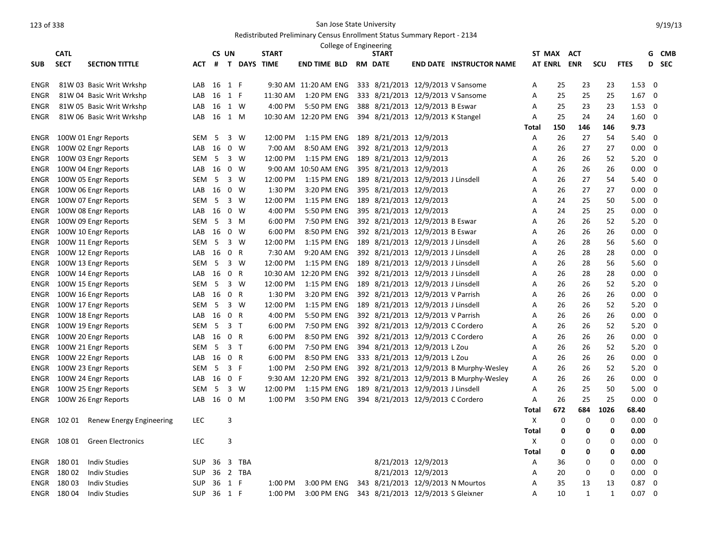|             | <b>CATL</b> |                          |            | CS UN  |                |               | <b>START</b> |                       | College of Engineering |     | <b>START</b>                       |                     |                                         | ST MAX ACT  |     |              |              |                | G                        | <b>CMB</b> |
|-------------|-------------|--------------------------|------------|--------|----------------|---------------|--------------|-----------------------|------------------------|-----|------------------------------------|---------------------|-----------------------------------------|-------------|-----|--------------|--------------|----------------|--------------------------|------------|
| <b>SUB</b>  | <b>SECT</b> | <b>SECTION TITTLE</b>    | ACT        |        |                | # T DAYS TIME |              | <b>END TIME BLD</b>   |                        |     | <b>RM DATE</b>                     |                     | <b>END DATE INSTRUCTOR NAME</b>         | AT ENRL ENR |     |              | scu          | <b>FTES</b>    | D                        | <b>SEC</b> |
|             |             |                          |            |        |                |               |              |                       |                        |     |                                    |                     |                                         |             |     |              |              |                |                          |            |
| ENGR        |             | 81W 03 Basic Writ Wrkshp | LAB        | 16     | 1              | F             |              | 9:30 AM 11:20 AM ENG  |                        |     | 333 8/21/2013 12/9/2013 V Sansome  |                     |                                         | Α           | 25  | 23           | 23           | $1.53 \quad 0$ |                          |            |
| <b>ENGR</b> |             | 81W 04 Basic Writ Wrkshp | LAB        | 16     | 1 F            |               | 11:30 AM     | 1:20 PM ENG           |                        |     | 333 8/21/2013 12/9/2013 V Sansome  |                     |                                         | А           | 25  | 25           | 25           | $1.67 \quad 0$ |                          |            |
| ENGR        |             | 81W 05 Basic Writ Wrkshp | LAB        | 16 1 W |                |               | 4:00 PM      | 5:50 PM ENG           |                        |     | 388 8/21/2013 12/9/2013 B Eswar    |                     |                                         | Α           | 25  | 23           | 23           | $1.53 \t 0$    |                          |            |
| ENGR        |             | 81W 06 Basic Writ Wrkshp | LAB        | 16     | 1 M            |               |              | 10:30 AM 12:20 PM ENG |                        |     | 394 8/21/2013 12/9/2013 K Stangel  |                     |                                         | Α           | 25  | 24           | 24           | $1.60 \quad 0$ |                          |            |
|             |             |                          |            |        |                |               |              |                       |                        |     |                                    |                     |                                         | Total       | 150 | 146          | 146          | 9.73           |                          |            |
| ENGR        |             | 100W 01 Engr Reports     | <b>SEM</b> | 5      |                | 3 W           | 12:00 PM     | 1:15 PM ENG           |                        |     | 189 8/21/2013 12/9/2013            |                     |                                         | Α           | 26  | 27           | 54           | $5.40 \quad 0$ |                          |            |
| ENGR        |             | 100W 02 Engr Reports     | LAB        | 16     |                | $0 \quad W$   | 7:00 AM      | 8:50 AM ENG           |                        |     | 392 8/21/2013 12/9/2013            |                     |                                         | А           | 26  | 27           | 27           | 0.00           | $\mathbf 0$              |            |
| ENGR        |             | 100W 03 Engr Reports     | <b>SEM</b> | 5      |                | $3 \quad W$   | 12:00 PM     | 1:15 PM ENG           |                        |     | 189 8/21/2013 12/9/2013            |                     |                                         | A           | 26  | 26           | 52           | $5.20 \ 0$     |                          |            |
| ENGR        |             | 100W 04 Engr Reports     | LAB        | 16     |                | $0 \quad W$   | 9:00 AM      | 10:50 AM ENG          |                        |     | 395 8/21/2013 12/9/2013            |                     |                                         | Α           | 26  | 26           | 26           | 0.00           | 0                        |            |
| <b>ENGR</b> |             | 100W 05 Engr Reports     | <b>SEM</b> | 5      |                | $3 \quad W$   | 12:00 PM     | 1:15 PM ENG           |                        |     | 189 8/21/2013 12/9/2013 J Linsdell |                     |                                         | А           | 26  | 27           | 54           | 5.40           | $\mathbf 0$              |            |
| ENGR        |             | 100W 06 Engr Reports     | LAB        | 16     |                | $0 \quad W$   | 1:30 PM      | 3:20 PM ENG           |                        |     | 395 8/21/2013 12/9/2013            |                     |                                         | Α           | 26  | 27           | 27           | $0.00 \quad 0$ |                          |            |
| ENGR        |             | 100W 07 Engr Reports     | <b>SEM</b> | 5      |                | $3 \quad W$   | 12:00 PM     | 1:15 PM ENG           |                        |     | 189 8/21/2013 12/9/2013            |                     |                                         | Α           | 24  | 25           | 50           | 5.00           | $\mathbf{0}$             |            |
| ENGR        |             | 100W 08 Engr Reports     | LAB        | 16     | $\mathbf 0$    | W             | 4:00 PM      | 5:50 PM ENG           |                        |     | 395 8/21/2013 12/9/2013            |                     |                                         | Α           | 24  | 25           | 25           | 0.00           | $\overline{\phantom{0}}$ |            |
| <b>ENGR</b> |             | 100W 09 Engr Reports     | <b>SEM</b> | - 5    |                | 3 M           | 6:00 PM      | 7:50 PM ENG           |                        |     | 392 8/21/2013 12/9/2013 B Eswar    |                     |                                         | Α           | 26  | 26           | 52           | 5.20           | $\mathbf{0}$             |            |
| <b>ENGR</b> |             | 100W 10 Engr Reports     | LAB        | 16     |                | $0 \quad W$   | 6:00 PM      | 8:50 PM ENG           |                        |     | 392 8/21/2013 12/9/2013 B Eswar    |                     |                                         | Α           | 26  | 26           | 26           | $0.00 \quad 0$ |                          |            |
| <b>ENGR</b> |             | 100W 11 Engr Reports     | <b>SEM</b> | 5      |                | $3 \quad W$   | 12:00 PM     | 1:15 PM ENG           |                        |     | 189 8/21/2013 12/9/2013 J Linsdell |                     |                                         | Α           | 26  | 28           | 56           | 5.60           | $\mathbf 0$              |            |
| <b>ENGR</b> |             | 100W 12 Engr Reports     | LAB        | 16     | 0 R            |               | 7:30 AM      | 9:20 AM ENG           |                        |     | 392 8/21/2013 12/9/2013 J Linsdell |                     |                                         | Α           | 26  | 28           | 28           | 0.00           | $\mathbf 0$              |            |
| <b>ENGR</b> |             | 100W 13 Engr Reports     | <b>SEM</b> | 5      |                | $3 \quad W$   | 12:00 PM     | 1:15 PM ENG           |                        |     | 189 8/21/2013 12/9/2013 J Linsdell |                     |                                         | Α           | 26  | 28           | 56           | 5.60           | $\mathbf{0}$             |            |
| ENGR        |             | 100W 14 Engr Reports     | LAB        | 16     | $\mathbf 0$    | R             | 10:30 AM     | 12:20 PM ENG          |                        |     | 392 8/21/2013 12/9/2013 J Linsdell |                     |                                         | Α           | 26  | 28           | 28           | 0.00           | $\mathbf{0}$             |            |
| <b>ENGR</b> |             | 100W 15 Engr Reports     | <b>SEM</b> | 5      |                | $3 \quad W$   | 12:00 PM     | 1:15 PM ENG           |                        |     | 189 8/21/2013 12/9/2013 J Linsdell |                     |                                         | Α           | 26  | 26           | 52           | 5.20           | $\mathbf{0}$             |            |
| ENGR        |             | 100W 16 Engr Reports     | LAB        | 16     | 0 R            |               | 1:30 PM      | 3:20 PM ENG           |                        |     | 392 8/21/2013 12/9/2013 V Parrish  |                     |                                         | Α           | 26  | 26           | 26           | $0.00\,$       | $\Omega$                 |            |
| <b>ENGR</b> |             | 100W 17 Engr Reports     | <b>SEM</b> | 5      |                | 3 W           | 12:00 PM     | 1:15 PM ENG           |                        |     | 189 8/21/2013 12/9/2013 J Linsdell |                     |                                         | Α           | 26  | 26           | 52           | $5.20 \ 0$     |                          |            |
| <b>ENGR</b> |             | 100W 18 Engr Reports     | LAB        | 16     | 0              | R             | 4:00 PM      | 5:50 PM ENG           |                        |     | 392 8/21/2013 12/9/2013 V Parrish  |                     |                                         | Α           | 26  | 26           | 26           | $0.00\,$       | 0                        |            |
| <b>ENGR</b> |             | 100W 19 Engr Reports     | <b>SEM</b> | 5      | 3 <sub>1</sub> |               | 6:00 PM      | 7:50 PM ENG           |                        |     | 392 8/21/2013 12/9/2013 C Cordero  |                     |                                         | Α           | 26  | 26           | 52           | 5.20           | $\mathbf 0$              |            |
| ENGR        |             | 100W 20 Engr Reports     | LAB        | 16     | 0 R            |               | 6:00 PM      | 8:50 PM ENG           |                        |     | 392 8/21/2013 12/9/2013 C Cordero  |                     |                                         | Α           | 26  | 26           | 26           | 0.00           | $\Omega$                 |            |
| <b>ENGR</b> |             | 100W 21 Engr Reports     | <b>SEM</b> | 5      | 3 <sub>1</sub> |               | 6:00 PM      | 7:50 PM ENG           |                        |     | 394 8/21/2013 12/9/2013 L Zou      |                     |                                         | Α           | 26  | 26           | 52           | 5.20           | $\mathbf{0}$             |            |
| ENGR        |             | 100W 22 Engr Reports     | LAB        | 16     | $\mathbf 0$    | R             | 6:00 PM      | 8:50 PM ENG           |                        |     | 333 8/21/2013 12/9/2013 L Zou      |                     |                                         | Α           | 26  | 26           | 26           | 0.00           | 0                        |            |
| ENGR        |             | 100W 23 Engr Reports     | <b>SEM</b> | 5      | 3 F            |               | 1:00 PM      | 2:50 PM ENG           |                        |     |                                    |                     | 392 8/21/2013 12/9/2013 B Murphy-Wesley | Α           | 26  | 26           | 52           | $5.20 \ 0$     |                          |            |
| ENGR        |             | 100W 24 Engr Reports     | LAB        | 16     | 0 F            |               | 9:30 AM      | 12:20 PM ENG          |                        |     |                                    |                     | 392 8/21/2013 12/9/2013 B Murphy-Wesley | А           | 26  | 26           | 26           | $0.00 \quad 0$ |                          |            |
| ENGR        |             | 100W 25 Engr Reports     | <b>SEM</b> | 5      |                | $3 \quad W$   | 12:00 PM     | 1:15 PM ENG           |                        |     | 189 8/21/2013 12/9/2013 J Linsdell |                     |                                         | Α           | 26  | 25           | 50           | 5.00           | $\mathbf{0}$             |            |
| ENGR        |             | 100W 26 Engr Reports     | LAB        | 16     | $0$ M          |               | 1:00 PM      | 3:50 PM ENG           |                        |     | 394 8/21/2013 12/9/2013 C Cordero  |                     |                                         | Α           | 26  | 25           | 25           | 0.00           | $\Omega$                 |            |
|             |             |                          |            |        |                |               |              |                       |                        |     |                                    |                     |                                         | Total       | 672 | 684          | 1026         | 68.40          |                          |            |
| ENGR        | 102 01      | Renew Energy Engineering | LEC        |        | 3              |               |              |                       |                        |     |                                    |                     |                                         | Χ           | 0   | 0            | 0            | 0.00           | $\Omega$                 |            |
|             |             |                          |            |        |                |               |              |                       |                        |     |                                    |                     |                                         | Total       | 0   | 0            | 0            | 0.00           |                          |            |
| ENGR        | 108 01      | <b>Green Electronics</b> | <b>LEC</b> |        | 3              |               |              |                       |                        |     |                                    |                     |                                         | х           | O   | 0            | 0            | 0.00           | $\Omega$                 |            |
|             |             |                          |            |        |                |               |              |                       |                        |     |                                    |                     |                                         | Total       | 0   | 0            | 0            | 0.00           |                          |            |
| ENGR        | 180 01      | <b>Indiv Studies</b>     | <b>SUP</b> | 36     |                | 3 TBA         |              |                       |                        |     | 8/21/2013 12/9/2013                |                     |                                         | А           | 36  | 0            | 0            | $0.00\,$       | 0                        |            |
| <b>ENGR</b> | 18002       | <b>Indiv Studies</b>     | <b>SUP</b> | 36     |                | 2 TBA         |              |                       |                        |     |                                    | 8/21/2013 12/9/2013 |                                         | Α           | 20  | 0            | 0            | 0.00           | $\mathbf 0$              |            |
| <b>ENGR</b> | 18003       | <b>Indiv Studies</b>     | <b>SUP</b> | 36     | 1 F            |               | 1:00 PM      | 3:00 PM ENG           |                        | 343 | 8/21/2013 12/9/2013 N Mourtos      |                     |                                         | Α           | 35  | 13           | 13           | 0.87           | $\Omega$                 |            |
| <b>ENGR</b> | 18004       | <b>Indiv Studies</b>     | <b>SUP</b> | 36     | 1 F            |               | 1:00 PM      | 3:00 PM ENG           |                        |     | 343 8/21/2013 12/9/2013 S Gleixner |                     |                                         | A           | 10  | $\mathbf{1}$ | $\mathbf{1}$ | 0.07           | $\overline{0}$           |            |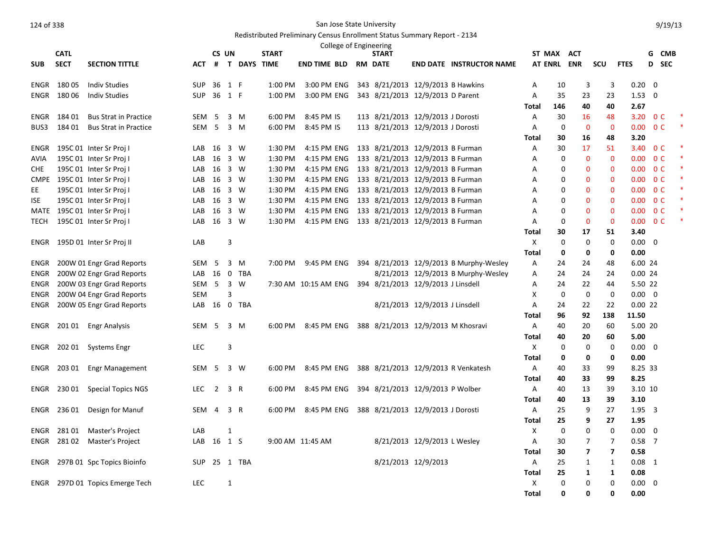## Redistributed Preliminary Census Enrollment Status Summary Report - 2134

|             |             |                              |                  |                |              |                    |              | College of Engineering |                                    |                                |                                         |              |                   |                   |                |                        |                |            |  |
|-------------|-------------|------------------------------|------------------|----------------|--------------|--------------------|--------------|------------------------|------------------------------------|--------------------------------|-----------------------------------------|--------------|-------------------|-------------------|----------------|------------------------|----------------|------------|--|
|             | <b>CATL</b> |                              |                  | CS UN          |              |                    | <b>START</b> |                        | <b>START</b>                       |                                |                                         | ST MAX ACT   |                   |                   |                |                        | G              | <b>CMB</b> |  |
| <b>SUB</b>  | <b>SECT</b> | <b>SECTION TITTLE</b>        | ACT              | #              |              | <b>T DAYS TIME</b> |              | END TIME BLD           | <b>RM DATE</b>                     |                                | <b>END DATE INSTRUCTOR NAME</b>         |              |                   | AT ENRL ENR       | scu            | <b>FTES</b>            | D              | <b>SEC</b> |  |
| ENGR        | 18005       | <b>Indiv Studies</b>         | <b>SUP</b>       | 36             | 1 F          |                    | 1:00 PM      | 3:00 PM ENG            | 343 8/21/2013 12/9/2013 B Hawkins  |                                |                                         | Α            | 10                | 3                 | 3              | 0.20                   | $\mathbf 0$    |            |  |
| ENGR        | 180 06      | <b>Indiv Studies</b>         | <b>SUP</b>       | 36             | 1 F          |                    | 1:00 PM      | 3:00 PM ENG            | 343 8/21/2013 12/9/2013 D Parent   |                                |                                         | A            | 35                | 23                | 23             | 1.53                   | $\mathbf 0$    |            |  |
|             |             |                              |                  |                |              |                    |              |                        |                                    |                                |                                         | Total        | 146               | 40                | 40             | 2.67                   |                |            |  |
| ENGR        | 184 01      | <b>Bus Strat in Practice</b> | SEM              | - 5            | 3            | M                  | 6:00 PM      | 8:45 PM IS             | 113 8/21/2013 12/9/2013 J Dorosti  |                                |                                         | A            | 30                | 16                | 48             | 3.20                   | 0 <sup>C</sup> |            |  |
| BUS3        | 184 01      | <b>Bus Strat in Practice</b> | SEM              | - 5            |              | 3 M                | 6:00 PM      | 8:45 PM IS             | 113 8/21/2013 12/9/2013 J Dorosti  |                                |                                         | Α            | $\mathbf 0$       | $\mathbf 0$       | $\mathbf 0$    | 0.00                   | 0 <sup>C</sup> |            |  |
|             |             |                              |                  |                |              |                    |              |                        |                                    |                                |                                         | Total        | 30                | 16                | 48             | 3.20                   |                |            |  |
| ENGR        |             | 195C 01 Inter Sr Proj I      | LAB              | 16             |              | 3 W                | 1:30 PM      | 4:15 PM ENG            | 133 8/21/2013 12/9/2013 B Furman   |                                |                                         | Α            | 30                | 17                | 51             | 3.40 OC                |                |            |  |
| <b>AVIA</b> |             | 195C 01 Inter Sr Proj I      | LAB              | 16             |              | 3 W                | 1:30 PM      | 4:15 PM ENG            | 133 8/21/2013 12/9/2013 B Furman   |                                |                                         | A            | $\mathbf 0$       | $\mathbf{0}$      | $\mathbf{0}$   | 0.00                   | 0 <sup>C</sup> |            |  |
| <b>CHE</b>  |             | 195C 01 Inter Sr Proj I      | LAB              | 16             |              | 3 W                | 1:30 PM      | 4:15 PM ENG            | 133 8/21/2013 12/9/2013 B Furman   |                                |                                         | Α            | 0                 | $\mathbf{0}$      | 0              | 0.00                   | 0 <sup>C</sup> |            |  |
|             |             | CMPE 195C 01 Inter Sr Proj I | LAB              | 16             |              | 3 W                | 1:30 PM      | 4:15 PM ENG            | 133 8/21/2013 12/9/2013 B Furman   |                                |                                         | Α            | 0                 | 0                 | $\mathbf{0}$   | 0.00                   | 0 <sup>C</sup> |            |  |
| EE          |             | 195C 01 Inter Sr Proj I      | LAB              | 16             |              | 3 W                | 1:30 PM      | 4:15 PM ENG            | 133 8/21/2013 12/9/2013 B Furman   |                                |                                         | A            | $\Omega$          | 0                 | $\mathbf{0}$   | 0.00 <sub>1</sub>      | 0 <sup>C</sup> |            |  |
| <b>ISE</b>  |             | 195C 01 Inter Sr Proj I      | LAB              | 16             |              | 3 W                | 1:30 PM      | 4:15 PM ENG            | 133 8/21/2013 12/9/2013 B Furman   |                                |                                         | Α            | $\mathbf 0$       | 0                 | 0              | 0.00                   | 0 <sup>C</sup> |            |  |
| MATE        |             | 195C 01 Inter Sr Proj I      | LAB              | 16             |              | 3 W                | 1:30 PM      | 4:15 PM ENG            | 133 8/21/2013 12/9/2013 B Furman   |                                |                                         | A            | 0                 | $\mathbf{0}$      | $\mathbf{0}$   | 0.00                   | 0 <sup>C</sup> |            |  |
| <b>TECH</b> |             | 195C 01 Inter Sr Proj I      | LAB              | 16             |              | 3 W                | 1:30 PM      | 4:15 PM ENG            | 133 8/21/2013 12/9/2013 B Furman   |                                |                                         | A            | $\mathbf 0$       | $\mathbf{0}$      | $\mathbf 0$    | 0.00                   | 0 <sup>C</sup> |            |  |
|             |             |                              |                  |                |              |                    |              |                        |                                    |                                |                                         | Total        | 30                | 17                | 51             | 3.40                   |                |            |  |
| ENGR        |             | 195D 01 Inter Sr Proj II     | LAB              |                | 3            |                    |              |                        |                                    |                                |                                         | $\mathsf X$  | $\mathbf 0$       | $\mathbf 0$       | $\mathbf 0$    | 0.00                   | $\mathbf 0$    |            |  |
|             |             |                              |                  |                |              |                    |              |                        |                                    |                                |                                         | Total        | 0                 | 0                 | $\mathbf 0$    | 0.00                   |                |            |  |
| ENGR        |             | 200W 01 Engr Grad Reports    | SEM <sub>5</sub> |                | 3            | M                  | 7:00 PM      | 9:45 PM ENG            |                                    |                                | 394 8/21/2013 12/9/2013 B Murphy-Wesley | Α            | 24                | 24                | 48             | 6.00 24                |                |            |  |
| <b>ENGR</b> |             | 200W 02 Engr Grad Reports    | LAB              | 16             |              | 0 TBA              |              |                        |                                    |                                | 8/21/2013 12/9/2013 B Murphy-Wesley     | A            | 24                | 24                | 24             | 0.0024                 |                |            |  |
| ENGR        |             | 200W 03 Engr Grad Reports    | SEM 5            |                |              | 3 W                |              | 7:30 AM 10:15 AM ENG   | 394 8/21/2013 12/9/2013 J Linsdell |                                |                                         | Α            | 24                | 22                | 44             | 5.50 22                |                |            |  |
| ENGR        |             | 200W 04 Engr Grad Reports    | <b>SEM</b>       |                | 3            |                    |              |                        |                                    |                                |                                         | X            | $\mathbf 0$       | $\mathbf 0$       | $\mathbf 0$    | $0.00 \quad 0$         |                |            |  |
| ENGR        |             | 200W 05 Engr Grad Reports    | LAB              | 16             |              | 0 TBA              |              |                        |                                    | 8/21/2013 12/9/2013 J Linsdell |                                         | Α            | 24                | 22                | 22             | 0.0022                 |                |            |  |
|             |             |                              |                  |                |              |                    |              |                        |                                    |                                |                                         | Total        | 96                | 92                | 138            | 11.50                  |                |            |  |
| ENGR        |             | 201 01 Engr Analysis         | SEM              | - 5            |              | 3 M                | 6:00 PM      | 8:45 PM ENG            |                                    |                                | 388 8/21/2013 12/9/2013 M Khosravi      | Α            | 40                | 20                | 60             | 5.00 20                |                |            |  |
|             |             |                              | <b>LEC</b>       |                |              |                    |              |                        |                                    |                                |                                         | Total<br>X   | 40<br>$\mathbf 0$ | 20<br>$\mathbf 0$ | 60             | 5.00<br>$0.00 \quad 0$ |                |            |  |
| ENGR        | 202 01      | Systems Engr                 |                  |                | 3            |                    |              |                        |                                    |                                |                                         | <b>Total</b> |                   | 0                 | 0<br>0         | 0.00                   |                |            |  |
| ENGR        | 203 01      |                              | SEM              | - 5            |              | 3 W                | 6:00 PM      | 8:45 PM ENG            |                                    |                                | 388 8/21/2013 12/9/2013 R Venkatesh     | Α            | 0<br>40           | 33                | 99             | 8.25 33                |                |            |  |
|             |             | <b>Engr Management</b>       |                  |                |              |                    |              |                        |                                    |                                |                                         |              |                   | 33                | 99             | 8.25                   |                |            |  |
|             | 230 01      |                              | <b>LEC</b>       | $\overline{2}$ | 3 R          |                    | 6:00 PM      | 8:45 PM ENG            | 394 8/21/2013 12/9/2013 P Wolber   |                                |                                         | Total<br>Α   | 40<br>40          | 13                | 39             | 3.10 10                |                |            |  |
| ENGR        |             | <b>Special Topics NGS</b>    |                  |                |              |                    |              |                        |                                    |                                |                                         | Total        | 40                | 13                | 39             | 3.10                   |                |            |  |
| ENGR        | 236 01      | Design for Manuf             | SEM              | 4              | 3 R          |                    | 6:00 PM      | 8:45 PM ENG            | 388 8/21/2013 12/9/2013 J Dorosti  |                                |                                         | Α            | 25                | 9                 | 27             | 1.95 3                 |                |            |  |
|             |             |                              |                  |                |              |                    |              |                        |                                    |                                |                                         | Total        | 25                | 9                 | 27             | 1.95                   |                |            |  |
| ENGR        | 28101       | <b>Master's Project</b>      | LAB              |                | $\mathbf{1}$ |                    |              |                        |                                    |                                |                                         | X            | $\mathbf 0$       | 0                 | $\mathbf 0$    | 0.00                   | $\Omega$       |            |  |
| ENGR        | 28102       | Master's Project             | LAB              | 16 1 S         |              |                    |              | 9:00 AM 11:45 AM       |                                    | 8/21/2013 12/9/2013 L Wesley   |                                         | Α            | 30                | 7                 | $\overline{7}$ | $0.58$ 7               |                |            |  |
|             |             |                              |                  |                |              |                    |              |                        |                                    |                                |                                         | Total        | 30                | $\overline{7}$    | $\overline{7}$ | 0.58                   |                |            |  |
| ENGR        |             | 297B 01 Spc Topics Bioinfo   | SUP              |                |              | 25 1 TBA           |              |                        |                                    | 8/21/2013 12/9/2013            |                                         | Α            | 25                | 1                 | 1              | $0.08$ 1               |                |            |  |
|             |             |                              |                  |                |              |                    |              |                        |                                    |                                |                                         | <b>Total</b> | 25                | 1                 | $\mathbf{1}$   | 0.08                   |                |            |  |
| ENGR        |             | 297D 01 Topics Emerge Tech   | <b>LEC</b>       |                | 1            |                    |              |                        |                                    |                                |                                         | Χ            | $\Omega$          | 0                 | 0              | $0.00\,$               | 0              |            |  |
|             |             |                              |                  |                |              |                    |              |                        |                                    |                                |                                         | <b>Total</b> | 0                 | 0                 | $\Omega$       | 0.00                   |                |            |  |
|             |             |                              |                  |                |              |                    |              |                        |                                    |                                |                                         |              |                   |                   |                |                        |                |            |  |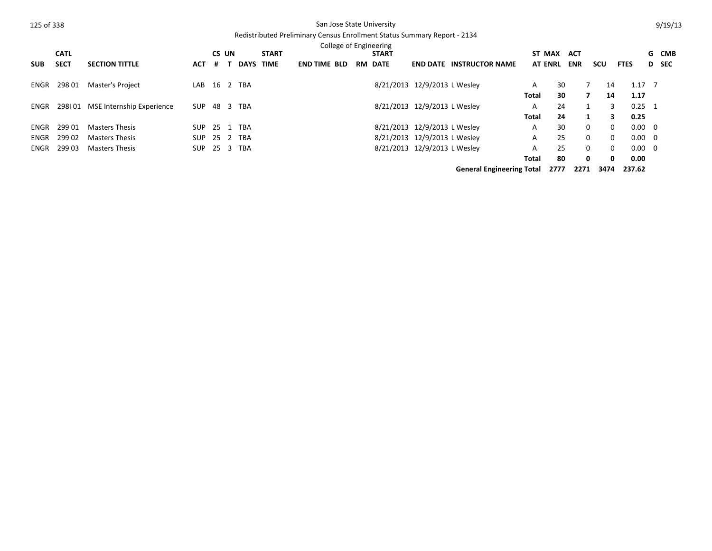|            |             |                           |            |   |       |             |              | College of Engineering |                |                              |                                  |       |                |             |          |                |       |
|------------|-------------|---------------------------|------------|---|-------|-------------|--------------|------------------------|----------------|------------------------------|----------------------------------|-------|----------------|-------------|----------|----------------|-------|
|            | <b>CATL</b> |                           |            |   | CS UN |             | <b>START</b> |                        | <b>START</b>   |                              |                                  |       | ST MAX ACT     |             |          |                | G CMB |
| <b>SUB</b> | <b>SECT</b> | <b>SECTION TITTLE</b>     | <b>ACT</b> | # |       | <b>DAYS</b> | TIME         | <b>END TIME BLD</b>    | <b>RM DATE</b> | <b>END DATE</b>              | <b>INSTRUCTOR NAME</b>           |       | <b>AT ENRL</b> | <b>ENR</b>  | scu      | <b>FTES</b>    | D SEC |
| ENGR       | 298 01      | Master's Project          | LAB        |   |       | 16 2 TBA    |              |                        |                | 8/21/2013 12/9/2013 L Wesley |                                  | A     | 30             |             | 14       | $1.17 \quad 7$ |       |
|            |             |                           |            |   |       |             |              |                        |                |                              |                                  | Total | 30             | 7           | 14       | 1.17           |       |
| ENGR       | 298101      | MSE Internship Experience | <b>SUP</b> |   |       | 48 3 TBA    |              |                        |                | 8/21/2013 12/9/2013 L Wesley |                                  | A     | 24             |             | 3        | $0.25 \quad 1$ |       |
|            |             |                           |            |   |       |             |              |                        |                |                              |                                  | Total | 24             |             | 3        | 0.25           |       |
| ENGR       | 299 01      | Masters Thesis            | SUP        |   |       | 25 1 TBA    |              |                        |                | 8/21/2013 12/9/2013 L Wesley |                                  | A     | 30             | $\mathbf 0$ | $\Omega$ | $0.00 \quad 0$ |       |
| ENGR       | 29902       | <b>Masters Thesis</b>     | <b>SUP</b> |   |       | 25 2 TBA    |              |                        |                | 8/21/2013 12/9/2013 L Wesley |                                  | A     | 25             | $\mathbf 0$ | 0        | $0.00 \ 0$     |       |
| ENGR       | 299 03      | <b>Masters Thesis</b>     | <b>SUP</b> |   |       | 25 3 TBA    |              |                        |                | 8/21/2013 12/9/2013 L Wesley |                                  | A     | 25             | $\mathbf 0$ | $\Omega$ | $0.00 \ 0$     |       |
|            |             |                           |            |   |       |             |              |                        |                |                              |                                  | Total | 80             | 0           | 0        | 0.00           |       |
|            |             |                           |            |   |       |             |              |                        |                |                              | <b>General Engineering Total</b> |       | 2777           | 2271        | 3474     | 237.62         |       |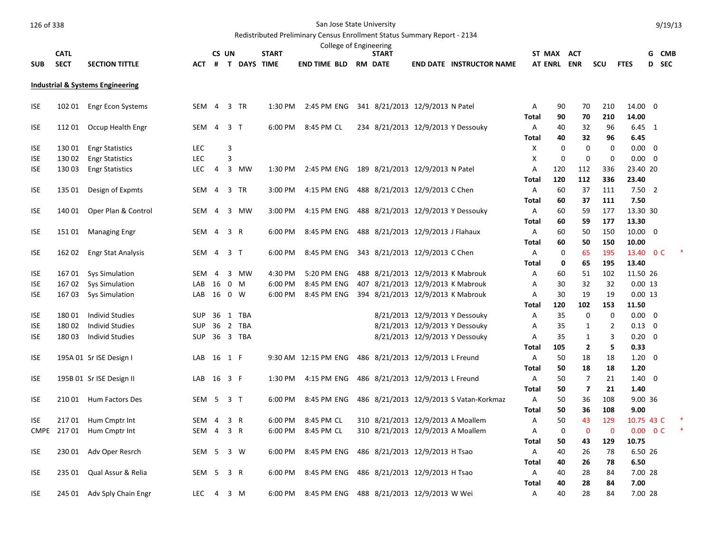| 126 of 338 |  |
|------------|--|
|            |  |

## San Jose State University

# Redistributed Preliminary Census Enrollment Status Summary Report - 2134

|             |             |                                  |            |                |                |                    |              |                      |  | College of Engineering                      |                                         |              |             |                         |                |                |       |  |
|-------------|-------------|----------------------------------|------------|----------------|----------------|--------------------|--------------|----------------------|--|---------------------------------------------|-----------------------------------------|--------------|-------------|-------------------------|----------------|----------------|-------|--|
|             | <b>CATL</b> |                                  |            | CS UN          |                |                    | <b>START</b> |                      |  | <b>START</b>                                |                                         | ST MAX ACT   |             |                         |                |                | G CMB |  |
| <b>SUB</b>  | <b>SECT</b> | <b>SECTION TITTLE</b>            | <b>ACT</b> | #              |                | <b>T DAYS TIME</b> |              | <b>END TIME BLD</b>  |  | <b>RM DATE</b>                              | <b>END DATE INSTRUCTOR NAME</b>         | AT ENRL ENR  |             |                         | scu            | <b>FTES</b>    | D SEC |  |
|             |             | Industrial & Systems Engineering |            |                |                |                    |              |                      |  |                                             |                                         |              |             |                         |                |                |       |  |
| <b>ISE</b>  | 102 01      | Engr Econ Systems                | SEM        | $\overline{4}$ |                | 3 TR               | 1:30 PM      | 2:45 PM ENG          |  | 341 8/21/2013 12/9/2013 N Patel             |                                         | Α            | 90          | 70                      | 210            | 14.00 0        |       |  |
|             |             |                                  |            |                |                |                    |              |                      |  |                                             |                                         | <b>Total</b> | 90          | 70                      | 210            | 14.00          |       |  |
| <b>ISE</b>  |             | 112 01 Occup Health Engr         | SEM        | $\overline{4}$ | 3 <sub>T</sub> |                    | 6:00 PM      | 8:45 PM CL           |  |                                             | 234 8/21/2013 12/9/2013 Y Dessouky      | Α            | 40          | 32                      | 96             | $6.45 \quad 1$ |       |  |
|             |             |                                  |            |                |                |                    |              |                      |  |                                             |                                         | Total        | 40          | 32                      | 96             | 6.45           |       |  |
| <b>ISE</b>  | 130 01      | <b>Engr Statistics</b>           | <b>LEC</b> |                | 3              |                    |              |                      |  |                                             |                                         | X            | $\mathbf 0$ | $\mathbf 0$             | 0              | $0.00 \quad 0$ |       |  |
| <b>ISE</b>  | 130 02      | <b>Engr Statistics</b>           | <b>LEC</b> |                | 3              |                    |              |                      |  |                                             |                                         | X            | $\mathbf 0$ | $\mathbf 0$             | 0              | $0.00 \quad 0$ |       |  |
| <b>ISE</b>  | 130 03      | <b>Engr Statistics</b>           | <b>LEC</b> | $\overline{4}$ |                | 3 MW               | 1:30 PM      |                      |  | 2:45 PM ENG 189 8/21/2013 12/9/2013 N Patel |                                         | Α            | 120         | 112                     | 336            | 23.40 20       |       |  |
|             |             |                                  |            |                |                |                    |              |                      |  |                                             |                                         | <b>Total</b> | 120         | 112                     | 336            | 23.40          |       |  |
| <b>ISE</b>  | 135 01      | Design of Expmts                 | <b>SEM</b> | $\overline{4}$ |                | 3 TR               | 3:00 PM      | 4:15 PM ENG          |  | 488 8/21/2013 12/9/2013 C Chen              |                                         | A            | 60          | 37                      | 111            | $7.50$ 2       |       |  |
|             |             |                                  |            |                |                |                    |              |                      |  |                                             |                                         | Total        | 60          | 37                      | 111            | 7.50           |       |  |
| <b>ISE</b>  | 140 01      | Oper Plan & Control              | SEM        | -4             |                | 3 MW               | 3:00 PM      | 4:15 PM ENG          |  |                                             | 488 8/21/2013 12/9/2013 Y Dessouky      | A            | 60          | 59                      | 177            | 13.30 30       |       |  |
|             |             |                                  |            |                |                |                    |              |                      |  |                                             |                                         | <b>Total</b> | 60          | 59                      | 177            | 13.30          |       |  |
| <b>ISE</b>  |             | 15101 Managing Engr              | SEM 4      |                | 3 R            |                    | 6:00 PM      | 8:45 PM ENG          |  | 488 8/21/2013 12/9/2013 J Flahaux           |                                         | A            | 60          | 50                      | 150            | $10.00 \t 0$   |       |  |
|             |             |                                  |            |                |                |                    |              |                      |  |                                             |                                         | Total        | 60          | 50                      | 150            | 10.00          |       |  |
| <b>ISE</b>  | 162 02      | <b>Engr Stat Analysis</b>        | <b>SEM</b> | $\overline{4}$ | 3 T            |                    | 6:00 PM      | 8:45 PM ENG          |  | 343 8/21/2013 12/9/2013 C Chen              |                                         | A            | $\mathbf 0$ | 65                      | 195            | 13.40 0 C      |       |  |
|             |             |                                  |            |                |                |                    |              |                      |  |                                             |                                         | Total        | 0           | 65                      | 195            | 13.40          |       |  |
| <b>ISE</b>  | 167 01      | <b>Sys Simulation</b>            | <b>SEM</b> | -4             |                | 3 MW               | 4:30 PM      | 5:20 PM ENG          |  | 488 8/21/2013 12/9/2013 K Mabrouk           |                                         | Α            | 60          | 51                      | 102            | 11.50 26       |       |  |
| <b>ISE</b>  | 16702       | <b>Sys Simulation</b>            | LAB        | 16             |                | $0 \t M$           | 6:00 PM      | 8:45 PM ENG          |  | 407 8/21/2013 12/9/2013 K Mabrouk           |                                         | Α            | 30          | 32                      | 32             | $0.00$ 13      |       |  |
| <b>ISE</b>  | 16703       | <b>Sys Simulation</b>            | $LAB$ 16   |                |                | 0 W                | 6:00 PM      | 8:45 PM ENG          |  | 394 8/21/2013 12/9/2013 K Mabrouk           |                                         | Α            | 30          | 19                      | 19             | $0.00$ 13      |       |  |
|             |             |                                  |            |                |                |                    |              |                      |  |                                             |                                         | Total        | 120         | 102                     | 153            | 11.50          |       |  |
| <b>ISE</b>  | 18001       | <b>Individ Studies</b>           | <b>SUP</b> | 36             |                | 1 TBA              |              |                      |  |                                             | 8/21/2013 12/9/2013 Y Dessouky          | A            | 35          | 0                       | 0              | $0.00 \quad 0$ |       |  |
| <b>ISE</b>  | 18002       | <b>Individ Studies</b>           | <b>SUP</b> | 36             |                | 2 TBA              |              |                      |  |                                             | 8/21/2013 12/9/2013 Y Dessouky          | A            | 35          | 1                       | $\overline{2}$ | $0.13 \ 0$     |       |  |
| <b>ISE</b>  | 18003       | <b>Individ Studies</b>           |            |                |                | SUP 36 3 TBA       |              |                      |  |                                             | 8/21/2013 12/9/2013 Y Dessouky          | Α            | 35          | $\mathbf{1}$            | 3              | $0.20 \ 0$     |       |  |
|             |             |                                  |            |                |                |                    |              |                      |  |                                             |                                         | <b>Total</b> | 105         | $\overline{\mathbf{2}}$ | 5              | 0.33           |       |  |
| <b>ISE</b>  |             | 195A 01 Sr ISE Design I          | LAB        | 16             | 1 F            |                    |              | 9:30 AM 12:15 PM ENG |  | 486 8/21/2013 12/9/2013 L Freund            |                                         | Α            | 50          | 18                      | 18             | $1.20 \ 0$     |       |  |
|             |             |                                  |            |                |                |                    |              |                      |  |                                             |                                         | Total        | 50          | 18                      | 18             | 1.20           |       |  |
| <b>ISE</b>  |             | 195B 01 Sr ISE Design II         | LAB        | 16 3 F         |                |                    | 1:30 PM      | 4:15 PM ENG          |  | 486 8/21/2013 12/9/2013 L Freund            |                                         | A            | 50          | $\overline{7}$          | 21             | $1.40 \quad 0$ |       |  |
|             |             |                                  |            |                |                |                    |              |                      |  |                                             |                                         | <b>Total</b> | 50          | $\overline{\mathbf{z}}$ | 21             | 1.40           |       |  |
| <b>ISE</b>  |             | 210 01 Hum Factors Des           | SEM 5 3 T  |                |                |                    | 6:00 PM      | 8:45 PM ENG          |  |                                             | 486 8/21/2013 12/9/2013 S Vatan-Korkmaz | $\mathsf{A}$ | 50          | 36                      | 108            | 9.00 36        |       |  |
|             |             |                                  |            |                |                |                    |              |                      |  |                                             |                                         | Total        | 50          | 36                      | 108            | 9.00           |       |  |
| <b>ISE</b>  | 21701       | Hum Cmptr Int                    | <b>SEM</b> | $\overline{4}$ |                | 3 R                | 6:00 PM      | 8:45 PM CL           |  | 310 8/21/2013 12/9/2013 A Moallem           |                                         | A            | 50          | 43                      | 129            | 10.75 43 C     |       |  |
| <b>CMPE</b> | 217 01      | Hum Cmptr Int                    | SEM        | $\overline{4}$ | 3 R            |                    | 6:00 PM      | 8:45 PM CL           |  | 310 8/21/2013 12/9/2013 A Moallem           |                                         | A            | 0           | $\mathbf 0$             | $\mathbf 0$    | $0.00 \t 0 C$  |       |  |
|             |             |                                  |            |                |                |                    |              |                      |  |                                             |                                         | Total        | 50          | 43                      | 129            | 10.75          |       |  |
| <b>ISE</b>  | 230 01      | Adv Oper Resrch                  | SEM 5      |                | 3 W            |                    | 6:00 PM      | 8:45 PM ENG          |  | 486 8/21/2013 12/9/2013 H Tsao              |                                         | A            | 40          | 26                      | 78             | 6.50 26        |       |  |
|             |             |                                  |            |                |                |                    |              |                      |  |                                             |                                         | <b>Total</b> | 40          | 26                      | 78             | 6.50           |       |  |
| <b>ISE</b>  | 235 01      | Qual Assur & Relia               | SEM        | 5              | 3 R            |                    | 6:00 PM      | 8:45 PM ENG          |  | 486 8/21/2013 12/9/2013 H Tsao              |                                         | A            | 40          | 28                      | 84             | 7.00 28        |       |  |
|             |             |                                  |            |                |                |                    |              |                      |  |                                             |                                         | Total        | 40          | 28                      | 84             | 7.00           |       |  |
| <b>ISE</b>  |             | 245 01 Adv Sply Chain Engr       | <b>LEC</b> | $\overline{4}$ |                | 3 M                | 6:00 PM      |                      |  | 8:45 PM ENG 488 8/21/2013 12/9/2013 W Wei   |                                         | A            | 40          | 28                      | 84             | 7.00 28        |       |  |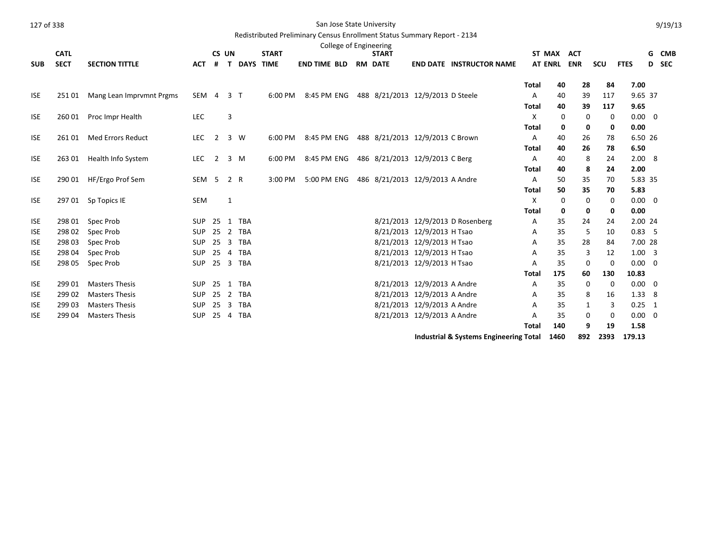| 127 of 338 |  |
|------------|--|
|            |  |

## San Jose State University

|                          |                  |                                                |                          |                |                |                      |              |                     |  | College of Engineering           |                                                            |                                        |              |                |             |              |                            |   |            |
|--------------------------|------------------|------------------------------------------------|--------------------------|----------------|----------------|----------------------|--------------|---------------------|--|----------------------------------|------------------------------------------------------------|----------------------------------------|--------------|----------------|-------------|--------------|----------------------------|---|------------|
|                          | <b>CATL</b>      |                                                |                          | CS UN          |                |                      | <b>START</b> |                     |  | <b>START</b>                     |                                                            |                                        |              | ST MAX         | <b>ACT</b>  |              |                            | G | <b>CMB</b> |
| <b>SUB</b>               | <b>SECT</b>      | <b>SECTION TITTLE</b>                          | <b>ACT</b>               | #              | $\mathbf{T}$   | <b>DAYS TIME</b>     |              | <b>END TIME BLD</b> |  | <b>RM DATE</b>                   |                                                            | <b>END DATE INSTRUCTOR NAME</b>        |              | <b>AT ENRL</b> | <b>ENR</b>  | SCU          | <b>FTES</b>                | D | <b>SEC</b> |
|                          |                  |                                                |                          |                |                |                      |              |                     |  |                                  |                                                            |                                        | <b>Total</b> | 40             | 28          | 84           | 7.00                       |   |            |
| <b>ISE</b>               | 25101            | Mang Lean Imprvmnt Prgms                       | SEM 4                    |                | 3 <sub>1</sub> |                      | 6:00 PM      | 8:45 PM ENG         |  | 488 8/21/2013 12/9/2013 D Steele |                                                            |                                        | Α            | 40             | 39          | 117          | 9.65 37                    |   |            |
|                          |                  |                                                |                          |                |                |                      |              |                     |  |                                  |                                                            |                                        | <b>Total</b> | 40             | 39          | 117          | 9.65                       |   |            |
| <b>ISE</b>               | 260 01           | Proc Impr Health                               | <b>LEC</b>               |                | 3              |                      |              |                     |  |                                  |                                                            |                                        | $\mathsf{x}$ | 0              | 0           | 0            | $0.00 \quad 0$             |   |            |
|                          |                  |                                                |                          |                |                |                      |              |                     |  |                                  |                                                            |                                        | <b>Total</b> | 0              | 0           | $\mathbf{0}$ | 0.00                       |   |            |
| <b>ISE</b>               | 26101            | <b>Med Errors Reduct</b>                       | <b>LEC</b>               | $\overline{2}$ |                | 3 W                  | 6:00 PM      | 8:45 PM ENG         |  | 488 8/21/2013 12/9/2013 C Brown  |                                                            |                                        | Α            | 40             | 26          | 78           | 6.50 26                    |   |            |
|                          |                  |                                                |                          |                |                |                      |              |                     |  |                                  |                                                            |                                        | <b>Total</b> | 40             | 26          | 78           | 6.50                       |   |            |
| <b>ISE</b>               | 263 01           | Health Info System                             | <b>LEC</b>               | $\overline{2}$ |                | $3 \, M$             | 6:00 PM      | 8:45 PM ENG         |  | 486 8/21/2013 12/9/2013 C Berg   |                                                            |                                        | Α            | 40             | 8           | 24           | 2.008                      |   |            |
|                          |                  |                                                |                          |                |                |                      |              |                     |  |                                  |                                                            |                                        | <b>Total</b> | 40             | 8           | 24           | 2.00                       |   |            |
| <b>ISE</b>               | 290 01           | HF/Ergo Prof Sem                               | SEM <sub>5</sub>         |                | 2 R            |                      | 3:00 PM      | 5:00 PM ENG         |  | 486 8/21/2013 12/9/2013 A Andre  |                                                            |                                        | Α            | 50             | 35          | 70           | 5.83 35                    |   |            |
|                          |                  |                                                |                          |                |                |                      |              |                     |  |                                  |                                                            |                                        | Total        | 50             | 35          | 70           | 5.83                       |   |            |
| <b>ISE</b>               | 29701            | Sp Topics IE                                   | SEM                      |                | $\mathbf{1}$   |                      |              |                     |  |                                  |                                                            |                                        | X            | 0              | 0           | $\Omega$     | $0.00 \quad 0$             |   |            |
|                          |                  |                                                |                          |                |                |                      |              |                     |  |                                  |                                                            |                                        | <b>Total</b> | 0              | 0           | 0            | 0.00                       |   |            |
| <b>ISE</b>               | 298 01           | Spec Prob                                      | <b>SUP</b>               | 25             |                | 1 TBA                |              |                     |  |                                  |                                                            | 8/21/2013 12/9/2013 D Rosenberg        | Α            | 35             | 24          | 24           | 2.00 24                    |   |            |
| <b>ISE</b>               | 298 02           | Spec Prob                                      | SUP 25                   |                |                | 2 TBA                |              |                     |  |                                  | 8/21/2013 12/9/2013 H Tsao                                 |                                        | Α            | 35             | 5           | 10           | 0.83, 5                    |   |            |
| <b>ISE</b>               | 298 03           | Spec Prob                                      | <b>SUP</b>               | 25             |                | 3 TBA                |              |                     |  |                                  | 8/21/2013 12/9/2013 H Tsao                                 |                                        | Α            | 35             | 28          | 84           | 7.00 28                    |   |            |
| <b>ISE</b>               | 298 04           | Spec Prob                                      | <b>SUP</b>               | 25             |                | 4 TBA                |              |                     |  |                                  | 8/21/2013 12/9/2013 H Tsao                                 |                                        | Α            | 35             | 3           | 12           | $1.00 \quad 3$             |   |            |
| <b>ISE</b>               | 298 05           | Spec Prob                                      | SUP                      |                |                | 25 3 TBA             |              |                     |  |                                  | 8/21/2013 12/9/2013 H Tsao                                 |                                        | A            | 35             | 0           | 0            | $0.00 \quad 0$             |   |            |
|                          |                  |                                                |                          |                |                |                      |              |                     |  |                                  |                                                            |                                        | <b>Total</b> | 175            | 60          | 130          | 10.83                      |   |            |
| <b>ISE</b>               | 299 01           | <b>Masters Thesis</b>                          | <b>SUP</b>               | 25             |                | 1 TBA                |              |                     |  |                                  | 8/21/2013 12/9/2013 A Andre                                |                                        | Α            | 35             | $\mathbf 0$ | $\mathbf 0$  | $0.00 \quad 0$             |   |            |
| <b>ISE</b>               | 299 02           | <b>Masters Thesis</b><br><b>Masters Thesis</b> | <b>SUP</b>               | 25             |                | 2 TBA                |              |                     |  |                                  | 8/21/2013 12/9/2013 A Andre<br>8/21/2013 12/9/2013 A Andre |                                        | Α            | 35<br>35       | 8           | 16           | $1.33 \quad 8$             |   |            |
| <b>ISE</b><br><b>ISE</b> | 299 03<br>299 04 | <b>Masters Thesis</b>                          | <b>SUP</b><br><b>SUP</b> |                |                | 25 3 TBA<br>25 4 TBA |              |                     |  |                                  | 8/21/2013 12/9/2013 A Andre                                |                                        | Α<br>Α       | 35             | 1<br>0      | 3<br>0       | $0.25$ 1<br>$0.00 \quad 0$ |   |            |
|                          |                  |                                                |                          |                |                |                      |              |                     |  |                                  |                                                            |                                        | <b>Total</b> | 140            | 9           | 19           | 1.58                       |   |            |
|                          |                  |                                                |                          |                |                |                      |              |                     |  |                                  |                                                            | Industrial & Systems Engineering Total |              | 1460           | 892         | 2393         | 179.13                     |   |            |
|                          |                  |                                                |                          |                |                |                      |              |                     |  |                                  |                                                            |                                        |              |                |             |              |                            |   |            |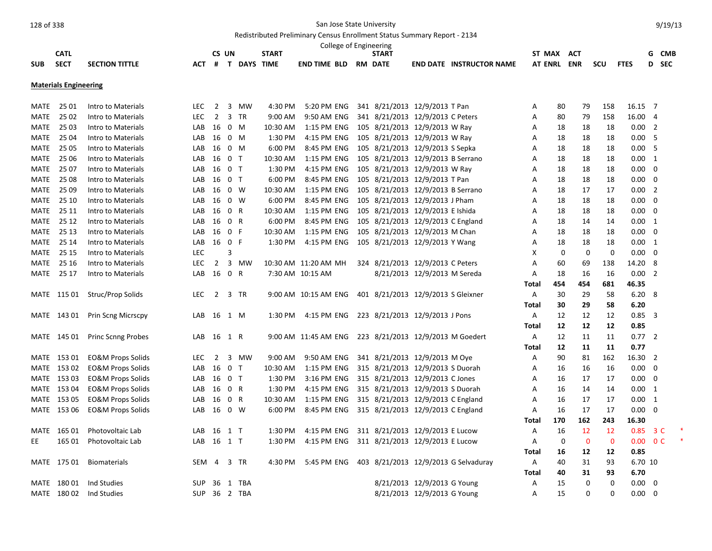|             |                              |                              |            |                |                |                    |              |                      |  | College of Engineering             |                              |                                      |             |             |             |             |                |                          |                |
|-------------|------------------------------|------------------------------|------------|----------------|----------------|--------------------|--------------|----------------------|--|------------------------------------|------------------------------|--------------------------------------|-------------|-------------|-------------|-------------|----------------|--------------------------|----------------|
|             | <b>CATL</b>                  |                              |            |                | CS UN          |                    | <b>START</b> |                      |  | <b>START</b>                       |                              |                                      | ST MAX ACT  |             |             |             |                |                          | G CMB          |
| <b>SUB</b>  | <b>SECT</b>                  | <b>SECTION TITTLE</b>        | <b>ACT</b> | #              |                | <b>T DAYS TIME</b> |              | <b>END TIME BLD</b>  |  | <b>RM DATE</b>                     |                              | <b>END DATE INSTRUCTOR NAME</b>      | AT ENRL ENR |             |             | scu         | <b>FTES</b>    |                          | D SEC          |
|             | <b>Materials Engineering</b> |                              |            |                |                |                    |              |                      |  |                                    |                              |                                      |             |             |             |             |                |                          |                |
| <b>MATE</b> | 25 01                        | Intro to Materials           | <b>LEC</b> | $\overline{2}$ | 3              | MW                 | 4:30 PM      | 5:20 PM ENG          |  | 341 8/21/2013 12/9/2013 T Pan      |                              |                                      | A           | 80          | 79          | 158         | 16.15 7        |                          |                |
| <b>MATE</b> | 25 02                        | Intro to Materials           | <b>LEC</b> | $\overline{2}$ |                | 3 TR               | 9:00 AM      | 9:50 AM ENG          |  | 341 8/21/2013 12/9/2013 C Peters   |                              |                                      | A           | 80          | 79          | 158         | 16.00          | $\overline{4}$           |                |
| MATE        | 25 03                        | Intro to Materials           | LAB        | 16             |                | $0$ M              | 10:30 AM     | 1:15 PM ENG          |  | 105 8/21/2013 12/9/2013 W Ray      |                              |                                      | Α           | 18          | 18          | 18          | $0.00$ 2       |                          |                |
| MATE        | 25 04                        | Intro to Materials           | LAB        | 16             |                | $0 \t M$           | 1:30 PM      | 4:15 PM ENG          |  | 105 8/21/2013 12/9/2013 W Ray      |                              |                                      | A           | 18          | 18          | 18          | 0.005          |                          |                |
| MATE        | 25 05                        | Intro to Materials           | LAB        | 16             |                | $0 \t M$           | 6:00 PM      | 8:45 PM ENG          |  | 105 8/21/2013 12/9/2013 S Sepka    |                              |                                      | Α           | 18          | 18          | 18          | 0.00           | 5                        |                |
| MATE        | 25 06                        | Intro to Materials           | LAB        | 16             | 0 <sub>T</sub> |                    | 10:30 AM     | 1:15 PM ENG          |  | 105 8/21/2013 12/9/2013 B Serrano  |                              |                                      | A           | 18          | 18          | 18          | 0.00 1         |                          |                |
| MATE        | 25 07                        | Intro to Materials           | LAB        | 16             | 0 <sub>T</sub> |                    | 1:30 PM      | 4:15 PM ENG          |  | 105 8/21/2013 12/9/2013 W Ray      |                              |                                      | Α           | 18          | 18          | 18          | $0.00 \quad 0$ |                          |                |
| <b>MATE</b> | 25 08                        | Intro to Materials           | LAB        | 16             | 0 <sub>T</sub> |                    | 6:00 PM      | 8:45 PM ENG          |  | 105 8/21/2013 12/9/2013 T Pan      |                              |                                      | A           | 18          | 18          | 18          | 0.00           | $\overline{\mathbf{0}}$  |                |
| MATE        | 25 09                        | Intro to Materials           | LAB        | 16             |                | $0 \quad W$        | 10:30 AM     | 1:15 PM ENG          |  | 105 8/21/2013 12/9/2013 B Serrano  |                              |                                      | Α           | 18          | 17          | 17          | $0.00$ 2       |                          |                |
| MATE        | 25 10                        | Intro to Materials           | LAB        | 16             |                | 0 W                | 6:00 PM      | 8:45 PM ENG          |  | 105 8/21/2013 12/9/2013 J Pham     |                              |                                      | Α           | 18          | 18          | 18          | 0.00           | $\overline{\phantom{0}}$ |                |
|             | MATE 25 11                   | Intro to Materials           | LAB        | 16             | 0 R            |                    | 10:30 AM     | 1:15 PM ENG          |  | 105 8/21/2013 12/9/2013 E Ishida   |                              |                                      | A           | 18          | 18          | 18          | 0.00           | $\overline{\mathbf{0}}$  |                |
| MATE        | 25 12                        | Intro to Materials           | LAB        | 16             | 0 R            |                    | 6:00 PM      | 8:45 PM ENG          |  | 105 8/21/2013 12/9/2013 C England  |                              |                                      | A           | 18          | 14          | 14          | 0.00 1         |                          |                |
| MATE        | 25 13                        | Intro to Materials           | LAB        | 16             | 0 F            |                    | 10:30 AM     | 1:15 PM ENG          |  | 105 8/21/2013 12/9/2013 M Chan     |                              |                                      | A           | 18          | 18          | 18          | $0.00 \quad 0$ |                          |                |
|             | MATE 25 14                   | Intro to Materials           | LAB        | 16             | 0 F            |                    | 1:30 PM      | 4:15 PM ENG          |  | 105 8/21/2013 12/9/2013 Y Wang     |                              |                                      | Α           | 18          | 18          | 18          | $0.00 \quad 1$ |                          |                |
| MATE        | 25 15                        | Intro to Materials           | <b>LEC</b> |                | 3              |                    |              |                      |  |                                    |                              |                                      | X           | $\mathbf 0$ | $\mathbf 0$ | $\mathbf 0$ | 0.00           | $\overline{\mathbf{0}}$  |                |
| MATE        | 25 16                        | Intro to Materials           | <b>LEC</b> | $\overline{2}$ |                | 3 MW               |              | 10:30 AM 11:20 AM MH |  | 324 8/21/2013 12/9/2013 C Peters   |                              |                                      | Α           | 60          | 69          | 138         | 14.20          | - 8                      |                |
| MATE        | 25 17                        | Intro to Materials           | LAB        | 16             | 0 R            |                    |              | 7:30 AM 10:15 AM     |  |                                    | 8/21/2013 12/9/2013 M Sereda |                                      | Α           | 18          | 16          | 16          | 0.00 2         |                          |                |
|             |                              |                              |            |                |                |                    |              |                      |  |                                    |                              |                                      | Total       | 454         | 454         | 681         | 46.35          |                          |                |
|             | MATE 115 01                  | Struc/Prop Solids            | <b>LEC</b> | $\overline{2}$ |                | 3 TR               |              | 9:00 AM 10:15 AM ENG |  | 401 8/21/2013 12/9/2013 S Gleixner |                              |                                      | A           | 30          | 29          | 58          | $6.20\ 8$      |                          |                |
|             |                              |                              |            |                |                |                    |              |                      |  |                                    |                              |                                      | Total       | 30          | 29          | 58          | 6.20           |                          |                |
|             | MATE 143 01                  | Prin Scng Micrscpy           | LAB        | 16             |                | 1 M                | 1:30 PM      | 4:15 PM ENG          |  | 223 8/21/2013 12/9/2013 J Pons     |                              |                                      | A           | 12          | 12          | 12          | $0.85$ 3       |                          |                |
|             |                              |                              |            |                |                |                    |              |                      |  |                                    |                              |                                      | Total       | 12          | 12          | 12          | 0.85           |                          |                |
|             | MATE 145 01                  | <b>Princ Scnng Probes</b>    | LAB        | 16             | 1 R            |                    |              | 9:00 AM 11:45 AM ENG |  | 223 8/21/2013 12/9/2013 M Goedert  |                              |                                      | A           | 12          | 11          | 11          | $0.77$ 2       |                          |                |
|             |                              |                              |            |                |                |                    |              |                      |  |                                    |                              |                                      | Total       | 12          | 11          | 11          | 0.77           |                          |                |
|             | MATE 153 01                  | <b>EO&amp;M Props Solids</b> | <b>LEC</b> | $\overline{2}$ |                | 3 MW               | 9:00 AM      | 9:50 AM ENG          |  | 341 8/21/2013 12/9/2013 M Oye      |                              |                                      | A           | 90          | 81          | 162         | 16.30 2        |                          |                |
|             | MATE 153 02                  | <b>EO&amp;M Props Solids</b> | LAB        | 16             | 0 <sub>T</sub> |                    | 10:30 AM     | 1:15 PM ENG          |  | 315 8/21/2013 12/9/2013 S Duorah   |                              |                                      | Α           | 16          | 16          | 16          | $0.00 \quad 0$ |                          |                |
|             | MATE 153 03                  | <b>EO&amp;M Props Solids</b> | LAB        | 16             | 0 <sub>T</sub> |                    | 1:30 PM      | 3:16 PM ENG          |  | 315 8/21/2013 12/9/2013 C Jones    |                              |                                      | Α           | 16          | 17          | 17          | $0.00 \quad 0$ |                          |                |
|             | MATE 153 04                  | <b>EO&amp;M Props Solids</b> | LAB        | 16             | 0 R            |                    | 1:30 PM      | 4:15 PM ENG          |  | 315 8/21/2013 12/9/2013 S Duorah   |                              |                                      | Α           | 16          | 14          | 14          | $0.00 \quad 1$ |                          |                |
|             | MATE 153 05                  | <b>EO&amp;M Props Solids</b> | LAB        | 16             |                | 0 R                | 10:30 AM     | 1:15 PM ENG          |  | 315 8/21/2013 12/9/2013 C England  |                              |                                      | Α           | 16          | 17          | 17          | 0.00           | $\overline{1}$           |                |
|             | MATE 153 06                  | EO&M Props Solids            | LAB        | 16             |                | 0 W                | 6:00 PM      | 8:45 PM ENG          |  | 315 8/21/2013 12/9/2013 C England  |                              |                                      | A           | 16          | 17          | 17          | $0.00\,$       | $\overline{\mathbf{0}}$  |                |
|             |                              |                              |            |                |                |                    |              |                      |  |                                    |                              |                                      | Total       | 170         | 162         | 243         | 16.30          |                          |                |
| MATE        | 165 01                       | Photovoltaic Lab             | LAB        | 16             | 1 T            |                    | 1:30 PM      | 4:15 PM ENG          |  | 311 8/21/2013 12/9/2013 E Lucow    |                              |                                      | A           | 16          | 12          | -12         | 0.85           |                          | 3 <sup>c</sup> |
| EE          | 165 01                       | Photovoltaic Lab             | LAB        | 16             | $1$ T          |                    | 1:30 PM      | 4:15 PM ENG          |  | 311 8/21/2013 12/9/2013 E Lucow    |                              |                                      | Α           | $\mathbf 0$ | $\mathbf 0$ | $\mathbf 0$ | 0.00           | 0 <sup>C</sup>           |                |
|             |                              |                              |            |                |                |                    |              |                      |  |                                    |                              |                                      | Total       | 16          | 12          | 12          | 0.85           |                          |                |
|             | MATE 175 01                  | <b>Biomaterials</b>          | SEM        | -4             |                | 3 TR               | 4:30 PM      | 5:45 PM ENG          |  |                                    |                              | 403 8/21/2013 12/9/2013 G Selvaduray | A           | 40          | 31          | 93          | 6.70 10        |                          |                |
|             |                              |                              |            |                |                |                    |              |                      |  |                                    |                              |                                      | Total       | 40          | 31          | 93          | 6.70           |                          |                |
|             | MATE 180 01                  | Ind Studies                  | <b>SUP</b> | 36             |                | 1 TBA              |              |                      |  |                                    | 8/21/2013 12/9/2013 G Young  |                                      | A           | 15          | 0           | 0           | 0.00           | $\overline{\mathbf{0}}$  |                |
|             | MATE 180 02                  | Ind Studies                  |            |                |                | SUP 36 2 TBA       |              |                      |  |                                    | 8/21/2013 12/9/2013 G Young  |                                      | A           | 15          | 0           | $\Omega$    | 0.00           | $\overline{\phantom{0}}$ |                |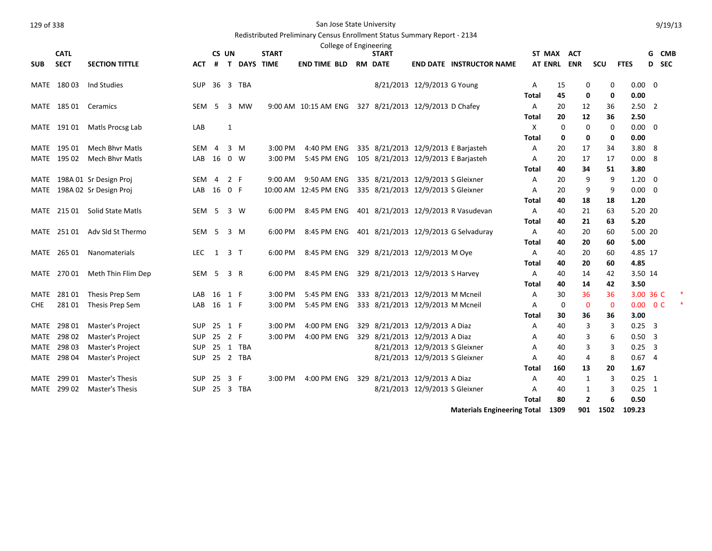|  | 129 of 338 |
|--|------------|
|  |            |

## San Jose State University

# Redistributed Preliminary Census Enrollment Status Summary Report - 2134

|              | <b>CATL</b>      |                                                  |                  | CS UN               |     |                    | <b>START</b> | College of Engineering | <b>START</b>                        |                                |                                      | ST MAX ACT     |            |             |             |                              |                         | G CMB |
|--------------|------------------|--------------------------------------------------|------------------|---------------------|-----|--------------------|--------------|------------------------|-------------------------------------|--------------------------------|--------------------------------------|----------------|------------|-------------|-------------|------------------------------|-------------------------|-------|
| <b>SUB</b>   | <b>SECT</b>      | <b>SECTION TITTLE</b>                            | <b>ACT</b>       | #                   |     | <b>T DAYS TIME</b> |              | <b>END TIME BLD</b>    | <b>RM DATE</b>                      |                                | <b>END DATE INSTRUCTOR NAME</b>      | <b>AT ENRL</b> | <b>ENR</b> |             | SCU         | <b>FTES</b>                  |                         | D SEC |
|              |                  |                                                  |                  |                     |     |                    |              |                        |                                     |                                |                                      |                |            |             |             |                              |                         |       |
| MATE         | 18003            | Ind Studies                                      | <b>SUP</b>       |                     |     | 36 3 TBA           |              |                        |                                     | 8/21/2013 12/9/2013 G Young    |                                      | Α              | 15         | 0           | 0           | $0.00 \quad 0$               |                         |       |
|              |                  |                                                  |                  |                     |     |                    |              |                        |                                     |                                |                                      | Total          | 45         | 0           | 0           | 0.00                         |                         |       |
|              | MATE 185 01      | Ceramics                                         | <b>SEM</b>       | 5                   | 3   | MW                 |              | 9:00 AM 10:15 AM ENG   | 327 8/21/2013 12/9/2013 D Chafey    |                                |                                      | A              | 20         | 12          | 36          | $2.50$ 2                     |                         |       |
|              |                  |                                                  |                  |                     |     |                    |              |                        |                                     |                                |                                      | Total          | 20         | 12          | 36          | 2.50                         |                         |       |
|              | MATE 191 01      | Matls Procsg Lab                                 | LAB              |                     | 1   |                    |              |                        |                                     |                                |                                      | X              | 0          | $\mathbf 0$ | 0           | $0.00 \quad 0$               |                         |       |
|              |                  |                                                  |                  |                     |     |                    |              |                        |                                     |                                |                                      | Total          | 0          | 0           | 0           | 0.00                         |                         |       |
| MATE         | 195 01           | <b>Mech Bhyr Matls</b>                           | <b>SEM</b>       | $\overline{4}$      | 3   | M                  | 3:00 PM      | 4:40 PM ENG            | 335 8/21/2013 12/9/2013 E Barjasteh |                                |                                      | A              | 20         | 17          | 34          | 3.808                        |                         |       |
|              | MATE 195 02      | <b>Mech Bhyr Matls</b>                           | LAB              | 16                  |     | $0 \quad W$        | 3:00 PM      | 5:45 PM ENG            | 105 8/21/2013 12/9/2013 E Barjasteh |                                |                                      | Α              | 20         | 17          | 17          | 0.008                        |                         |       |
|              |                  |                                                  |                  |                     |     |                    |              |                        |                                     |                                |                                      | Total          | 40         | 34          | 51          | 3.80                         |                         |       |
| MATE         |                  | 198A 01 Sr Design Proj                           | SEM 4            |                     | 2 F |                    | 9:00 AM      | 9:50 AM ENG            | 335 8/21/2013 12/9/2013 S Gleixner  |                                |                                      | A              | 20         | 9           | 9           | $1.20 \ 0$                   |                         |       |
| MATE         |                  | 198A 02 Sr Design Proj                           | LAB              | 16 0 F              |     |                    |              | 10:00 AM 12:45 PM ENG  | 335 8/21/2013 12/9/2013 S Gleixner  |                                |                                      | Α              | 20         | 9           | 9           | $0.00 \quad 0$               |                         |       |
|              |                  |                                                  |                  |                     |     |                    |              |                        |                                     |                                |                                      | Total          | 40         | 18          | 18          | 1.20                         |                         |       |
| MATE         | 215 01           | <b>Solid State Matls</b>                         | SEM              | -5                  |     | 3 W                | 6:00 PM      | 8:45 PM ENG            |                                     |                                | 401 8/21/2013 12/9/2013 R Vasudevan  | Α              | 40         | 21          | 63          | 5.20 20                      |                         |       |
|              |                  |                                                  |                  |                     |     |                    |              |                        |                                     |                                |                                      | Total          | 40         | 21          | 63          | 5.20                         |                         |       |
|              | MATE 251 01      | Adv Sld St Thermo                                | SEM <sub>5</sub> |                     |     | 3 M                | 6:00 PM      | 8:45 PM ENG            |                                     |                                | 401 8/21/2013 12/9/2013 G Selvaduray | A              | 40         | 20          | 60          | 5.00 20                      |                         |       |
|              |                  |                                                  |                  |                     |     |                    |              |                        |                                     |                                |                                      | Total          | 40         | 20          | 60          | 5.00                         |                         |       |
|              | MATE 265 01      | <b>Nanomaterials</b>                             | LEC.             | $1 \quad 3 \quad T$ |     |                    | 6:00 PM      | 8:45 PM ENG            | 329 8/21/2013 12/9/2013 M Oye       |                                |                                      | A              | 40         | 20          | 60          | 4.85 17                      |                         |       |
|              |                  |                                                  |                  |                     |     |                    |              |                        |                                     |                                |                                      | Total          | 40         | 20          | 60          | 4.85                         |                         |       |
|              | MATE 270 01      | Meth Thin Flim Dep                               | SEM <sub>5</sub> |                     | 3 R |                    | 6:00 PM      | 8:45 PM ENG            | 329 8/21/2013 12/9/2013 S Harvey    |                                |                                      | A              | 40         | 14          | 42          | 3.50 14                      |                         |       |
|              |                  |                                                  |                  |                     |     |                    |              |                        |                                     |                                |                                      | Total          | 40         | 14          | 42          | 3.50                         |                         |       |
| MATE         | 28101            | Thesis Prep Sem                                  | LAB              | 16                  | 1 F |                    | 3:00 PM      | 5:45 PM ENG            | 333 8/21/2013 12/9/2013 M Mcneil    |                                |                                      | Α              | 30         | 36          | 36          | 3.00 36 C                    |                         |       |
| <b>CHE</b>   | 28101            | Thesis Prep Sem                                  | LAB              | 16 1 F              |     |                    | 3:00 PM      | 5:45 PM ENG            | 333 8/21/2013 12/9/2013 M Mcneil    |                                |                                      | Α              | 0          | 0           | $\mathbf 0$ | $0.00 \t 0 C$                |                         |       |
|              |                  |                                                  |                  |                     |     |                    |              |                        |                                     |                                |                                      | <b>Total</b>   | 30         | 36          | 36          | 3.00                         |                         |       |
| MATE         | 298 01<br>298 02 | Master's Project                                 | <b>SUP</b>       | 25 1 F              |     |                    | 3:00 PM      | 4:00 PM ENG            | 329 8/21/2013 12/9/2013 A Diaz      |                                |                                      | A              | 40         | 3           | 3           | $0.25 \quad 3$<br>$0.50 - 3$ |                         |       |
| MATE         |                  | Master's Project                                 | <b>SUP</b>       | 25 2 F              |     |                    | 3:00 PM      | 4:00 PM ENG            | 329 8/21/2013 12/9/2013 A Diaz      |                                |                                      | A              | 40         | 3           | 6           |                              |                         |       |
| MATE         | 298 03           | Master's Project                                 | <b>SUP</b>       |                     |     | 25 1 TBA           |              |                        |                                     | 8/21/2013 12/9/2013 S Gleixner |                                      | A              | 40         | 3           | 3           | 0.25                         | $\overline{\mathbf{3}}$ |       |
| MATE         | 298 04           | Master's Project                                 | SUP              |                     |     | 25 2 TBA           |              |                        |                                     | 8/21/2013 12/9/2013 S Gleixner |                                      | Α              | 40         | 4           | 8<br>20     | 0.674<br>1.67                |                         |       |
|              |                  |                                                  |                  |                     |     |                    |              |                        |                                     |                                |                                      | Total          | 160        | 13          |             |                              |                         |       |
| MATE<br>MATE | 299 01<br>299 02 | <b>Master's Thesis</b><br><b>Master's Thesis</b> | <b>SUP</b>       | 25 3 F              |     | 25 3 TBA           | 3:00 PM      | 4:00 PM ENG            | 329 8/21/2013 12/9/2013 A Diaz      | 8/21/2013 12/9/2013 S Gleixner |                                      | A              | 40<br>40   | 1           | 3<br>3      | $0.25$ 1<br>$0.25 \quad 1$   |                         |       |
|              |                  |                                                  | SUP              |                     |     |                    |              |                        |                                     |                                |                                      | A              | 80         | 1           | 6           | 0.50                         |                         |       |
|              |                  |                                                  |                  |                     |     |                    |              |                        |                                     |                                |                                      | Total          |            | 2           |             |                              |                         |       |

**Materials Engineering Total 1309 901 1502 109.23**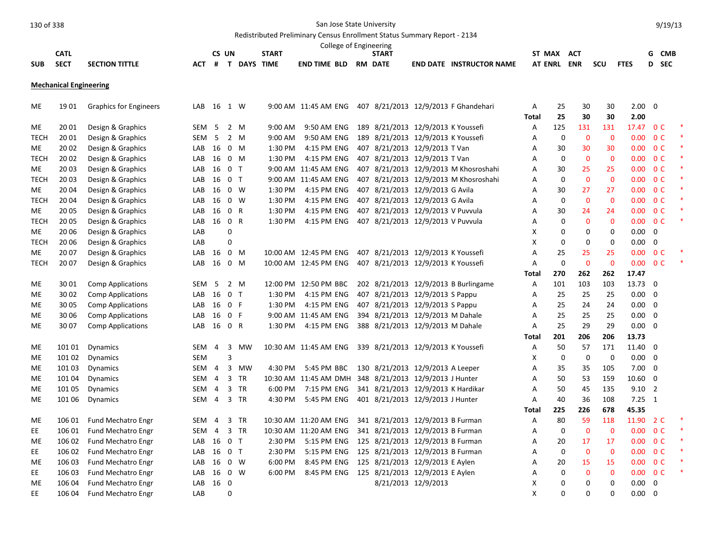# Redistributed Preliminary Census Enrollment Status Summary Report - 2134

|            |             |                |                 |    |             |              | College of Engineering |                |                 |                        |                |            |     |             |            |
|------------|-------------|----------------|-----------------|----|-------------|--------------|------------------------|----------------|-----------------|------------------------|----------------|------------|-----|-------------|------------|
|            | CATL        |                |                 | UN |             | <b>START</b> |                        | START          |                 |                        | ST MAX         | AC T       |     |             | <b>CMB</b> |
| <b>SUB</b> | <b>SECT</b> | SECTION TITTLE | AC <sup>7</sup> |    | <b>DAYS</b> | <b>TIME</b>  | <b>END TIME BLD</b>    | <b>RM DATE</b> | <b>END DATE</b> | <b>INSTRUCTOR NAME</b> | <b>AT ENRL</b> | <b>ENR</b> | scu | <b>FTES</b> | -SEC       |

**Mechanical Engineering**

| ME          | 1901   | <b>Graphics for Engineers</b> | LAB        | 16 1 W         |                |                |           |                       |  | 9:00 AM 11:45 AM ENG 407 8/21/2013 12/9/2013 F Ghandehari | А            | 25          | 30             | 30           | $2.00 \t 0$    |                         |  |
|-------------|--------|-------------------------------|------------|----------------|----------------|----------------|-----------|-----------------------|--|-----------------------------------------------------------|--------------|-------------|----------------|--------------|----------------|-------------------------|--|
|             |        |                               |            |                |                |                |           |                       |  |                                                           | Total        | 25          | 30             | 30           | 2.00           |                         |  |
| ME.         | 20 01  | Design & Graphics             | SEM        | 5              |                | 2 M            | 9:00 AM   | 9:50 AM ENG           |  | 189 8/21/2013 12/9/2013 K Youssefi                        | Α            | 125         | 131            | 131          | 17.47 0 C      |                         |  |
| <b>TECH</b> | 20 01  | Design & Graphics             | <b>SEM</b> | 5              |                | 2 M            | $9:00$ AM | 9:50 AM ENG           |  | 189 8/21/2013 12/9/2013 K Youssefi                        | А            | 0           | $\mathbf 0$    | $\mathbf 0$  | 0.00           | 0 <sup>C</sup>          |  |
| ME          | 20 02  | Design & Graphics             | LAB        | 16             |                | $0 \quad M$    | 1:30 PM   | 4:15 PM ENG           |  | 407 8/21/2013 12/9/2013 T Van                             | А            | 30          | 30             | 30           | 0.00           | 0 <sup>c</sup>          |  |
| <b>TECH</b> | 20 02  | Design & Graphics             | LAB        | 16             |                | $0 \quad M$    | 1:30 PM   | 4:15 PM ENG           |  | 407 8/21/2013 12/9/2013 T Van                             | A            | 0           | $\mathbf{0}$   | $\mathbf{0}$ | 0.00           | 0 <sup>C</sup>          |  |
| ME          | 20 03  | Design & Graphics             | LAB        | 16             |                | 0 <sub>T</sub> |           | 9:00 AM 11:45 AM ENG  |  | 407 8/21/2013 12/9/2013 M Khosroshahi                     | А            | 30          | 25             | 25           | 0.00           | 0 <sup>C</sup>          |  |
| <b>TECH</b> | 20 03  | Design & Graphics             | LAB        | 16             |                | 0 <sub>T</sub> |           | 9:00 AM 11:45 AM ENG  |  | 407 8/21/2013 12/9/2013 M Khosroshahi                     | A            | 0           | $\overline{0}$ | $\mathbf 0$  | 0.00           | 0 <sup>C</sup>          |  |
| <b>ME</b>   | 2004   | Design & Graphics             | LAB        | 16             | $\mathbf 0$    | W              | 1:30 PM   | 4:15 PM ENG           |  | 407 8/21/2013 12/9/2013 G Avila                           | А            | 30          | 27             | 27           | 0.00           | 0 <sup>c</sup>          |  |
| <b>TECH</b> | 20 04  | Design & Graphics             | LAB        | 16             |                | $0 \quad W$    | 1:30 PM   | 4:15 PM ENG           |  | 407 8/21/2013 12/9/2013 G Avila                           | A            | 0           | $\mathbf 0$    | $\mathbf 0$  | 0.00           | 0 <sup>c</sup>          |  |
| ME          | 20 05  | Design & Graphics             | LAB        | 16             | 0 R            |                | 1:30 PM   | 4:15 PM ENG           |  | 407 8/21/2013 12/9/2013 V Puvvula                         | А            | 30          | 24             | 24           | 0.00           | 0 <sup>c</sup>          |  |
| <b>TECH</b> | 20 05  | Design & Graphics             | LAB        | 16             | 0 R            |                | 1:30 PM   | 4:15 PM ENG           |  | 407 8/21/2013 12/9/2013 V Puvvula                         | Α            | 0           | $\mathbf{0}$   | $\mathbf 0$  | 0.00           | 0 <sup>C</sup>          |  |
| ME          | 20 06  | Design & Graphics             | LAB        |                | $\mathbf 0$    |                |           |                       |  |                                                           | X            | 0           | $\Omega$       | 0            | 0.00           | $\mathbf 0$             |  |
| <b>TECH</b> | 20 06  | Design & Graphics             | LAB        |                | 0              |                |           |                       |  |                                                           | x            | 0           | $\mathbf 0$    | 0            | 0.00           | $\mathbf 0$             |  |
| ME          | 20 07  | Design & Graphics             | LAB        | 16             |                | $0 \quad M$    |           | 10:00 AM 12:45 PM ENG |  | 407 8/21/2013 12/9/2013 K Youssefi                        | A            | 25          | 25             | 25           | 0.00           | 0 <sup>C</sup>          |  |
| <b>TECH</b> | 20 07  | Design & Graphics             | LAB        | 16             |                | $0 \quad M$    |           | 10:00 AM 12:45 PM ENG |  | 407 8/21/2013 12/9/2013 K Youssefi                        | Α            | 0           | $\mathbf{0}$   | $\mathbf 0$  | 0.00           | 0 <sup>C</sup>          |  |
|             |        |                               |            |                |                |                |           |                       |  |                                                           | <b>Total</b> | 270         | 262            | 262          | 17.47          |                         |  |
| ME          | 30 01  | <b>Comp Applications</b>      | SEM        | 5              |                | 2 M            |           | 12:00 PM 12:50 PM BBC |  | 202 8/21/2013 12/9/2013 B Burlingame                      | Α            | 101         | 103            | 103          | 13.73 0        |                         |  |
| <b>ME</b>   | 30 02  | <b>Comp Applications</b>      | LAB        | 16             |                | 0 <sub>T</sub> | 1:30 PM   | 4:15 PM ENG           |  | 407 8/21/2013 12/9/2013 S Pappu                           | Α            | 25          | 25             | 25           | 0.00           | $\overline{0}$          |  |
| ME          | 30 05  | <b>Comp Applications</b>      | LAB        | 16             | 0 F            |                | 1:30 PM   | 4:15 PM ENG           |  | 407 8/21/2013 12/9/2013 S Pappu                           | Α            | 25          | 24             | 24           | $0.00 \quad 0$ |                         |  |
| ME          | 30 06  | <b>Comp Applications</b>      | LAB        | 16             | 0 F            |                |           | 9:00 AM 11:45 AM ENG  |  | 394 8/21/2013 12/9/2013 M Dahale                          | Α            | 25          | 25             | 25           | 0.00           | $\overline{\mathbf{0}}$ |  |
| ME.         | 30 07  | <b>Comp Applications</b>      | LAB        | 16             | 0 R            |                | 1:30 PM   | 4:15 PM ENG           |  | 388 8/21/2013 12/9/2013 M Dahale                          | A            | 25          | 29             | 29           | $0.00 \quad 0$ |                         |  |
|             |        |                               |            |                |                |                |           |                       |  |                                                           | <b>Total</b> | 201         | 206            | 206          | 13.73          |                         |  |
| ME          | 101 01 | <b>Dynamics</b>               | <b>SEM</b> | $\overline{4}$ |                | 3 MW           |           | 10:30 AM 11:45 AM ENG |  | 339 8/21/2013 12/9/2013 K Youssefi                        | Α            | 50          | 57             | 171          | 11.40 0        |                         |  |
| ME          | 101 02 | Dynamics                      | <b>SEM</b> |                | 3              |                |           |                       |  |                                                           | Х            | $\mathbf 0$ | $\mathbf 0$    | 0            | $0.00 \t 0$    |                         |  |
| ME          | 101 03 | Dynamics                      | SEM 4      |                | 3              | MW             | 4:30 PM   | 5:45 PM BBC           |  | 130 8/21/2013 12/9/2013 A Leeper                          | А            | 35          | 35             | 105          | $7.00 \quad 0$ |                         |  |
| ME          | 101 04 | <b>Dynamics</b>               | SEM        | $\overline{4}$ |                | 3 TR           |           |                       |  | 10:30 AM 11:45 AM DMH 348 8/21/2013 12/9/2013 J Hunter    | А            | 50          | 53             | 159          | $10.60$ 0      |                         |  |
| ME          | 101 05 | Dynamics                      | SEM 4      |                |                | 3 TR           | 6:00 PM   | 7:15 PM ENG           |  | 341 8/21/2013 12/9/2013 K Hardikar                        | A            | 50          | 45             | 135          | $9.10$ 2       |                         |  |
| ME          | 101 06 | <b>Dynamics</b>               | SEM        | $\overline{4}$ |                | 3 TR           | 4:30 PM   | 5:45 PM ENG           |  | 401 8/21/2013 12/9/2013 J Hunter                          | Α            | 40          | 36             | 108          | $7.25 \quad 1$ |                         |  |
|             |        |                               |            |                |                |                |           |                       |  |                                                           | <b>Total</b> | 225         | 226            | 678          | 45.35          |                         |  |
| ME          | 106 01 | <b>Fund Mechatro Engr</b>     | SEM        | $\overline{a}$ | 3              | <b>TR</b>      |           | 10:30 AM 11:20 AM ENG |  | 341 8/21/2013 12/9/2013 B Furman                          | Α            | 80          | 59             | 118          | 11.90 2 C      |                         |  |
| EE          | 106 01 | Fund Mechatro Engr            | SEM        | $\overline{4}$ | $\overline{3}$ | TR             |           | 10:30 AM 11:20 AM ENG |  | 341 8/21/2013 12/9/2013 B Furman                          | А            | $\mathbf 0$ | $\mathbf 0$    | $\mathbf 0$  | 0.00           | 0 <sup>C</sup>          |  |
| ME          | 106 02 | <b>Fund Mechatro Engr</b>     | LAB        | 16             |                | 0 <sub>T</sub> | 2:30 PM   | 5:15 PM ENG           |  | 125 8/21/2013 12/9/2013 B Furman                          | А            | 20          | 17             | 17           | 0.00           | 0 <sup>c</sup>          |  |
| EE          | 106 02 | Fund Mechatro Engr            | LAB        | 16             |                | 0 <sub>T</sub> | 2:30 PM   | 5:15 PM ENG           |  | 125 8/21/2013 12/9/2013 B Furman                          | А            | 0           | $\mathbf{0}$   | $\mathbf 0$  | 0.00           | 0 <sup>c</sup>          |  |
| МE          | 106 03 | Fund Mechatro Engr            | LAB        | 16             |                | $0 \quad W$    | 6:00 PM   | 8:45 PM ENG           |  | 125 8/21/2013 12/9/2013 E Aylen                           | А            | 20          | 15             | 15           | 0.00           | 0 <sup>C</sup>          |  |
| EE          | 106 03 | Fund Mechatro Engr            | LAB        | 16             |                | $0 \quad W$    | 6:00 PM   | 8:45 PM ENG           |  | 125 8/21/2013 12/9/2013 E Aylen                           | А            | 0           | $\mathbf 0$    | $\mathbf 0$  | 0.00           | 0 <sup>C</sup>          |  |
| ME          | 106 04 | Fund Mechatro Engr            | LAB        | 16 0           |                |                |           |                       |  | 8/21/2013 12/9/2013                                       | X            | $\mathbf 0$ | $\mathbf 0$    | 0            | 0.00           | $\mathbf 0$             |  |
| EE          | 106 04 | <b>Fund Mechatro Engr</b>     | LAB        |                | 0              |                |           |                       |  |                                                           | X            | 0           | $\Omega$       | 0            | $0.00\,$       | $\mathbf 0$             |  |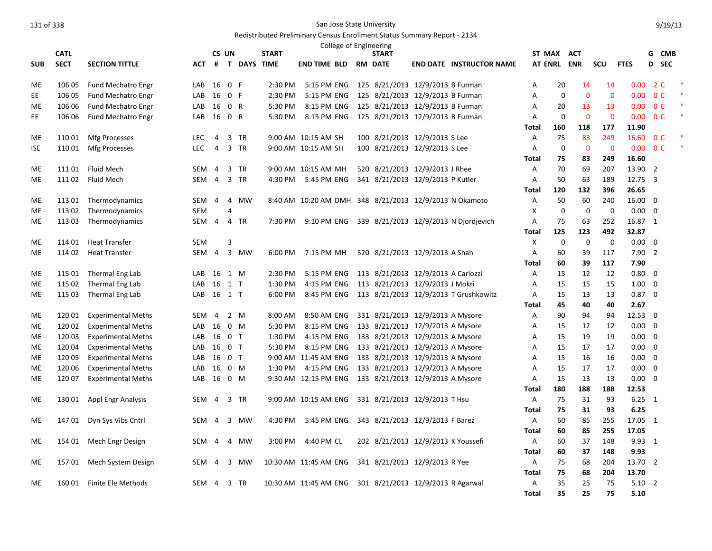## Redistributed Preliminary Census Enrollment Status Summary Report - 2134

|                 |             |                           |            |                |                |                               |              | College of Engineering                                 |                                    |                                       |                   |             |                |                |                         |                               |                |   |
|-----------------|-------------|---------------------------|------------|----------------|----------------|-------------------------------|--------------|--------------------------------------------------------|------------------------------------|---------------------------------------|-------------------|-------------|----------------|----------------|-------------------------|-------------------------------|----------------|---|
|                 | <b>CATL</b> |                           |            |                | CS UN          |                               | <b>START</b> |                                                        | <b>START</b>                       |                                       | ST MAX            |             | <b>ACT</b>     |                |                         |                               | G CMB          |   |
| <b>SUB</b>      | <b>SECT</b> | <b>SECTION TITTLE</b>     | <b>ACT</b> | #              |                | <b>T DAYS TIME</b>            |              | END TIME BLD                                           | <b>RM DATE</b>                     | <b>END DATE INSTRUCTOR NAME</b>       | AT ENRL ENR       |             |                | SCU            | <b>FTES</b>             |                               | D SEC          |   |
| ME              | 106 05      | Fund Mechatro Engr        | LAB        | 16             | 0 F            |                               | 2:30 PM      | 5:15 PM ENG                                            | 125 8/21/2013 12/9/2013 B Furman   |                                       | Α                 | 20          | 14             | 14             | 0.00                    |                               | 2 C            |   |
| EE.             | 106 05      | <b>Fund Mechatro Engr</b> | LAB        | 16             | 0 F            |                               | 2:30 PM      | 5:15 PM ENG                                            | 125 8/21/2013 12/9/2013 B Furman   |                                       | A                 | $\mathbf 0$ | $\mathbf{0}$   | $\mathbf{0}$   | 0.00                    |                               | 0 <sup>C</sup> | 慢 |
| ME              | 106 06      | Fund Mechatro Engr        | LAB        | 16             |                | 0 R                           | 5:30 PM      | 8:15 PM ENG                                            | 125 8/21/2013 12/9/2013 B Furman   |                                       | Α                 | 20          | 13             | 13             | 0.00                    |                               | 0 <sup>C</sup> | × |
| EE.             | 106 06      | Fund Mechatro Engr        | LAB        | 16             |                | 0 R                           | 5:30 PM      | 8:15 PM ENG                                            | 125 8/21/2013 12/9/2013 B Furman   |                                       | A                 | 0           | $\mathbf{0}$   | $\overline{0}$ | 0.00                    |                               | 0 <sup>C</sup> | 慢 |
|                 |             |                           |            |                |                |                               |              |                                                        |                                    |                                       | <b>Total</b>      | 160         | 118            | 177            | 11.90                   |                               |                |   |
| ME.             | 110 01      | <b>Mfg Processes</b>      | <b>LEC</b> | $\overline{4}$ |                | 3 TR                          |              | 9:00 AM 10:15 AM SH                                    | 100 8/21/2013 12/9/2013 S Lee      |                                       | A                 | 75          | 83             | 249            | 16.60                   |                               | 0 <sup>C</sup> |   |
| <b>ISE</b>      | 110 01      | Mfg Processes             | <b>LEC</b> | $\overline{4}$ |                | 3 TR                          |              | 9:00 AM 10:15 AM SH                                    | 100 8/21/2013 12/9/2013 S Lee      |                                       | A                 | $\mathbf 0$ | $\overline{0}$ | $\mathbf 0$    | 0.00 <sub>1</sub>       |                               | 0 <sup>C</sup> |   |
|                 |             |                           |            |                |                |                               |              |                                                        |                                    |                                       | Total             | 75          | 83             | 249            | 16.60                   |                               |                |   |
| ME.             | 111 01      | <b>Fluid Mech</b>         | <b>SEM</b> | $\overline{4}$ | 3              | <b>TR</b>                     |              | 9:00 AM 10:15 AM MH                                    | 520 8/21/2013 12/9/2013 J Rhee     |                                       | A                 | 70          | 69             | 207            | 13.90 2                 |                               |                |   |
| <b>ME</b>       | 11102       | <b>Fluid Mech</b>         | <b>SEM</b> | $\overline{4}$ |                | 3 TR                          | 4:30 PM      | 5:45 PM ENG                                            | 341 8/21/2013 12/9/2013 P Kutler   |                                       | A                 | 50          | 63             | 189            | 12.75 3                 |                               |                |   |
|                 |             |                           |            |                |                |                               |              |                                                        |                                    |                                       | <b>Total</b>      | 120         | 132            | 396            | 26.65                   |                               |                |   |
| ME.             | 113 01      | Thermodynamics            | <b>SEM</b> | $\overline{4}$ |                | 4 MW                          |              | 8:40 AM 10:20 AM DMH 348 8/21/2013 12/9/2013 N Okamoto |                                    |                                       | Α                 | 50          | 60             | 240            | 16.00                   | $\overline{0}$                |                |   |
| ME              | 113 02      | Thermodynamics            | <b>SEM</b> |                | 4              |                               |              |                                                        |                                    |                                       | X                 | 0           | $\mathbf 0$    | 0              | 0.00                    | $\mathbf 0$                   |                |   |
| ME.             | 113 03      | Thermodynamics            | SEM        | $\overline{4}$ |                | 4 TR                          | 7:30 PM      | 9:10 PM ENG                                            |                                    | 339 8/21/2013 12/9/2013 N Diordievich | A                 | 75          | 63             | 252            | 16.87 1                 |                               |                |   |
|                 |             |                           |            |                |                |                               |              |                                                        |                                    |                                       | Total             | 125         | 123            | 492            | 32.87                   |                               |                |   |
| ME.             | 114 01      | <b>Heat Transfer</b>      | <b>SEM</b> |                | 3              |                               |              |                                                        |                                    |                                       | X                 | 0           | $\mathbf 0$    | $\mathbf 0$    | 0.00                    | $\overline{0}$                |                |   |
| ME              | 114 02      | <b>Heat Transfer</b>      | SEM        | $\overline{4}$ |                | 3 MW                          | 6:00 PM      | 7:15 PM MH                                             | 520 8/21/2013 12/9/2013 A Shah     |                                       | Α                 | 60          | 39             | 117            | 7.90                    | $\overline{2}$                |                |   |
|                 |             |                           |            |                |                |                               |              |                                                        |                                    |                                       | <b>Total</b>      | 60          | 39             | 117            | 7.90                    |                               |                |   |
| ME              | 115 01      | Thermal Eng Lab           | LAB        | 16             |                | 1 M                           | 2:30 PM      | 5:15 PM ENG                                            | 113 8/21/2013 12/9/2013 A Carlozzi |                                       | Α                 | 15          | 12             | 12             | 0.80                    | $\mathbf 0$                   |                |   |
| ME              | 115 02      | Thermal Eng Lab           | LAB        | 16             | $1$ T          |                               | 1:30 PM      | 4:15 PM ENG                                            | 113 8/21/2013 12/9/2013 J Mokri    |                                       | A                 | 15          | 15             | 15             | 1.00                    | $\mathbf 0$                   |                |   |
| ME              | 115 03      | Thermal Eng Lab           | LAB        | 16 1 T         |                |                               | 6:00 PM      | 8:45 PM ENG                                            |                                    | 113 8/21/2013 12/9/2013 T Grushkowitz | Α                 | 15          | 13             | 13             | 0.87                    | $\overline{\mathbf{0}}$       |                |   |
|                 |             |                           |            |                |                |                               |              |                                                        |                                    |                                       | <b>Total</b>      | 45          | 40             | 40             | 2.67                    |                               |                |   |
| ME              | 12001       | <b>Experimental Meths</b> | <b>SEM</b> | $\overline{4}$ |                | 2 M                           | 8:00 AM      | 8:50 AM ENG                                            | 331 8/21/2013 12/9/2013 A Mysore   |                                       | Α                 | 90          | 94             | 94             | 12.53 0                 |                               |                |   |
| ME.             | 120 02      | <b>Experimental Meths</b> | LAB        | 16             |                | $0 \quad M$                   | 5:30 PM      | 8:15 PM ENG                                            | 133 8/21/2013 12/9/2013 A Mysore   |                                       | A                 | 15          | 12             | 12             | 0.00                    | $\mathbf 0$                   |                |   |
| ME.             | 120 03      | <b>Experimental Meths</b> | LAB        | 16             |                | 0 <sub>T</sub>                | 1:30 PM      | 4:15 PM ENG                                            | 133 8/21/2013 12/9/2013 A Mysore   |                                       | A                 | 15          | 19             | 19             | 0.00                    | $\overline{0}$                |                |   |
| <b>ME</b>       | 120 04      | <b>Experimental Meths</b> | LAB        | 16             | 0 <sub>T</sub> |                               | 5:30 PM      | 8:15 PM ENG                                            | 133 8/21/2013 12/9/2013 A Mysore   |                                       | A                 | 15          | 17             | 17             | 0.00                    | $\overline{0}$<br>$\mathbf 0$ |                |   |
| ME<br><b>ME</b> | 120 05      | <b>Experimental Meths</b> | LAB        | 16             |                | 0 <sub>T</sub><br>$0 \quad M$ |              | 9:00 AM 11:45 AM ENG<br>4:15 PM ENG                    | 133 8/21/2013 12/9/2013 A Mysore   |                                       | Α<br>A            | 15<br>15    | 16<br>17       | 16<br>17       | 0.00<br>0.00            | $\mathbf 0$                   |                |   |
|                 | 120 06      | <b>Experimental Meths</b> | LAB        | 16             |                |                               | 1:30 PM      |                                                        | 133 8/21/2013 12/9/2013 A Mysore   |                                       |                   |             |                |                |                         |                               |                |   |
| ME              | 120 07      | <b>Experimental Meths</b> | LAB        | 16             |                | 0 M                           |              | 9:30 AM 12:15 PM ENG                                   | 133 8/21/2013 12/9/2013 A Mysore   |                                       | Α<br><b>Total</b> | 15<br>180   | 13<br>188      | 13<br>188      | $0.00 \quad 0$<br>12.53 |                               |                |   |
| ME              | 130 01      |                           | SEM        | 4              |                | 3 TR                          |              | 9:00 AM 10:15 AM ENG                                   | 331 8/21/2013 12/9/2013 T Hsu      |                                       | Α                 | 75          | 31             | 93             | $6.25$ 1                |                               |                |   |
|                 |             | <b>Appl Engr Analysis</b> |            |                |                |                               |              |                                                        |                                    |                                       | <b>Total</b>      | 75          | 31             | 93             | 6.25                    |                               |                |   |
| ME              | 147 01      | Dyn Sys Vibs Cntrl        | SEM        | 4              | 3              | MW                            | 4:30 PM      | 5:45 PM ENG                                            | 343 8/21/2013 12/9/2013 F Barez    |                                       | A                 | 60          | 85             | 255            | 17.05 1                 |                               |                |   |
|                 |             |                           |            |                |                |                               |              |                                                        |                                    |                                       | <b>Total</b>      | 60          | 85             | 255            | 17.05                   |                               |                |   |
| ME              | 154 01      | Mech Engr Design          | SEM        | 4              | 4              | MW                            | 3:00 PM      | 4:40 PM CL                                             | 202 8/21/2013 12/9/2013 K Youssefi |                                       | Α                 | 60          | 37             | 148            | 9.93 1                  |                               |                |   |
|                 |             |                           |            |                |                |                               |              |                                                        |                                    |                                       | <b>Total</b>      | 60          | 37             | 148            | 9.93                    |                               |                |   |
| ME.             | 15701       | Mech System Design        | SEM        | 4              |                | 3 MW                          |              | 10:30 AM 11:45 AM ENG                                  | 341 8/21/2013 12/9/2013 R Yee      |                                       | A                 | 75          | 68             | 204            | 13.70 2                 |                               |                |   |
|                 |             |                           |            |                |                |                               |              |                                                        |                                    |                                       | <b>Total</b>      | 75          | 68             | 204            | 13.70                   |                               |                |   |
| ME              |             | 160 01 Finite Ele Methods | SEM        | 4              |                | 3 TR                          |              | 10:30 AM 11:45 AM ENG                                  | 301 8/21/2013 12/9/2013 R Agarwal  |                                       | Α                 | 35          | 25             | 75             | $5.10$ 2                |                               |                |   |
|                 |             |                           |            |                |                |                               |              |                                                        |                                    |                                       | <b>Total</b>      | 35          | 25             | 75             | 5.10                    |                               |                |   |
|                 |             |                           |            |                |                |                               |              |                                                        |                                    |                                       |                   |             |                |                |                         |                               |                |   |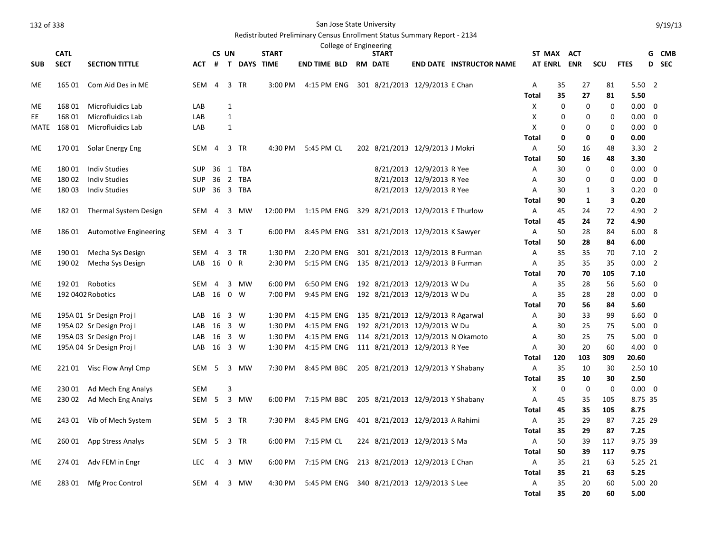|            |             |                               |            |                |                |               |              | College of Engineering      |                                   |                           |                                   |                   |            |              |             |                         |                         |            |
|------------|-------------|-------------------------------|------------|----------------|----------------|---------------|--------------|-----------------------------|-----------------------------------|---------------------------|-----------------------------------|-------------------|------------|--------------|-------------|-------------------------|-------------------------|------------|
|            | <b>CATL</b> |                               |            |                | CS UN          |               | <b>START</b> |                             | <b>START</b>                      |                           |                                   |                   | ST MAX ACT |              |             |                         | G                       | <b>CMB</b> |
| <b>SUB</b> | <b>SECT</b> | <b>SECTION TITTLE</b>         | <b>ACT</b> |                |                | # T DAYS TIME |              | <b>END TIME BLD RM DATE</b> |                                   |                           | <b>END DATE INSTRUCTOR NAME</b>   | <b>AT ENRL</b>    |            | <b>ENR</b>   | SCU         | <b>FTES</b>             |                         | D SEC      |
| ME         | 165 01      | Com Aid Des in ME             | SEM 4      |                |                | 3 TR          | 3:00 PM      | 4:15 PM ENG                 | 301 8/21/2013 12/9/2013 E Chan    |                           |                                   | Α                 | 35         | 27           | 81          | 5.502                   |                         |            |
|            |             |                               |            |                |                |               |              |                             |                                   |                           |                                   | <b>Total</b>      | 35         | 27           | 81          | 5.50                    |                         |            |
| ME         | 168 01      | Microfluidics Lab             | LAB        |                | $\mathbf{1}$   |               |              |                             |                                   |                           |                                   | X                 | 0          | $\mathbf 0$  | 0           | $0.00 \quad 0$          |                         |            |
| EE         | 168 01      | Microfluidics Lab             | LAB        |                | $\mathbf{1}$   |               |              |                             |                                   |                           |                                   | х                 | 0          | 0            | 0           | $0.00 \quad 0$          |                         |            |
| MATE       | 168 01      | Microfluidics Lab             | LAB        |                | $\mathbf{1}$   |               |              |                             |                                   |                           |                                   | X                 | 0          | 0            | 0           | $0.00 \quad 0$          |                         |            |
|            |             |                               |            |                |                |               |              |                             |                                   |                           |                                   | Total             | 0          | 0            | 0           | 0.00                    |                         |            |
| ME         |             | 170 01 Solar Energy Eng       | SEM 4      |                |                | 3 TR          | 4:30 PM      | 5:45 PM CL                  | 202 8/21/2013 12/9/2013 J Mokri   |                           |                                   | Α                 | 50         | 16           | 48          | $3.30\quad 2$           |                         |            |
|            |             |                               |            |                |                |               |              |                             |                                   |                           |                                   | Total             | 50         | 16           | 48          | 3.30                    |                         |            |
| <b>ME</b>  | 18001       | <b>Indiv Studies</b>          | <b>SUP</b> | 36             |                | 1 TBA         |              |                             |                                   | 8/21/2013 12/9/2013 R Yee |                                   | Α                 | 30         | $\mathbf 0$  | 0           | $0.00 \quad 0$          |                         |            |
| <b>ME</b>  | 18002       | <b>Indiv Studies</b>          | <b>SUP</b> |                |                | 36 2 TBA      |              |                             |                                   | 8/21/2013 12/9/2013 R Yee |                                   | A                 | 30         | $\mathbf 0$  | $\mathbf 0$ | 0.00                    | $\overline{0}$          |            |
| ME         | 18003       | <b>Indiv Studies</b>          | SUP        |                |                | 36 3 TBA      |              |                             |                                   | 8/21/2013 12/9/2013 R Yee |                                   | Α                 | 30         | 1            | 3           | $0.20 \quad 0$          |                         |            |
|            |             |                               |            |                |                |               |              |                             |                                   |                           |                                   | Total             | 90         | $\mathbf{1}$ | 3           | 0.20                    |                         |            |
| ME         | 18201       | Thermal System Design         | SEM        | $\overline{4}$ |                | 3 MW          |              | 12:00 PM   1:15 PM ENG      | 329 8/21/2013 12/9/2013 E Thurlow |                           |                                   | A                 | 45         | 24           | 72          | 4.90 2                  |                         |            |
|            |             |                               |            |                |                |               |              |                             |                                   |                           |                                   | Total             | 45         | 24           | 72          | 4.90                    |                         |            |
| ME         | 186 01      | <b>Automotive Engineering</b> | SEM 4      |                | 3 <sub>T</sub> |               | 6:00 PM      | 8:45 PM ENG                 | 331 8/21/2013 12/9/2013 K Sawyer  |                           |                                   | A                 | 50         | 28           | 84          | 6.008                   |                         |            |
|            |             |                               |            |                |                |               |              |                             |                                   |                           |                                   | <b>Total</b>      | 50         | 28           | 84          | 6.00                    |                         |            |
| ME         | 190 01      | Mecha Sys Design              | <b>SEM</b> | 4              |                | 3 TR          | 1:30 PM      | 2:20 PM ENG                 | 301 8/21/2013 12/9/2013 B Furman  |                           |                                   | A                 | 35         | 35           | 70          | $7.10$ 2                |                         |            |
| <b>ME</b>  | 190 02      | Mecha Sys Design              | LAB 16 0 R |                |                |               | 2:30 PM      | 5:15 PM ENG                 | 135 8/21/2013 12/9/2013 B Furman  |                           |                                   | A                 | 35         | 35           | 35          | 0.00 2                  |                         |            |
|            |             |                               |            |                |                |               |              |                             |                                   |                           |                                   | <b>Total</b>      | 70         | 70           | 105         | 7.10                    |                         |            |
| ME.        |             | 192 01 Robotics               | <b>SEM</b> | $\overline{4}$ |                | 3 MW          | 6:00 PM      | 6:50 PM ENG                 | 192 8/21/2013 12/9/2013 W Du      |                           |                                   | Α                 | 35         | 28           | 56          | $5.60 \quad 0$          |                         |            |
| ME         |             | 192 0402 Robotics             | LAB        | 16             | 0 W            |               | 7:00 PM      | 9:45 PM ENG                 | 192 8/21/2013 12/9/2013 W Du      |                           |                                   | Α                 | 35         | 28           | 28          | $0.00 \quad 0$          |                         |            |
|            |             |                               |            |                |                |               |              |                             |                                   |                           |                                   | <b>Total</b>      | 70         | 56           | 84          | 5.60                    |                         |            |
| ME         |             | 195A 01 Sr Design Proj I      | LAB        | 16             | 3 W            |               | 1:30 PM      | 4:15 PM ENG                 | 135 8/21/2013 12/9/2013 R Agarwal |                           |                                   | Α                 | 30         | 33           | 99          | $6.60 \quad 0$          |                         |            |
| ME         |             | 195A 02 Sr Design Proj I      | LAB        | 16             | 3 W            |               | 1:30 PM      | 4:15 PM ENG                 | 192 8/21/2013 12/9/2013 W Du      |                           |                                   | Α                 | 30         | 25           | 75          | 5.00                    | $\overline{\mathbf{0}}$ |            |
| ME         |             | 195A 03 Sr Design Proj I      | LAB        | 16             | 3 W            |               | 1:30 PM      | 4:15 PM ENG                 |                                   |                           | 114 8/21/2013 12/9/2013 N Okamoto | А                 | 30<br>30   | 25<br>20     | 75          | $5.00 \quad 0$          |                         |            |
| <b>ME</b>  |             | 195A 04 Sr Design Proj I      | LAB        | 16             | 3 W            |               | 1:30 PM      | 4:15 PM ENG                 | 111 8/21/2013 12/9/2013 R Yee     |                           |                                   | Α<br><b>Total</b> | 120        | 103          | 60<br>309   | $4.00 \quad 0$<br>20.60 |                         |            |
| ME         |             | 221 01 Visc Flow Anyl Cmp     | SEM 5      |                |                | 3 MW          | 7:30 PM      | 8:45 PM BBC                 | 205 8/21/2013 12/9/2013 Y Shabany |                           |                                   | A                 | 35         | 10           | 30          | 2.50 10                 |                         |            |
|            |             |                               |            |                |                |               |              |                             |                                   |                           |                                   | <b>Total</b>      | 35         | 10           | 30          | 2.50                    |                         |            |
| ME         | 230 01      | Ad Mech Eng Analys            | <b>SEM</b> |                | 3              |               |              |                             |                                   |                           |                                   | X                 | 0          | $\mathbf 0$  | $\mathbf 0$ | $0.00 \quad 0$          |                         |            |
| ME         | 230 02      | Ad Mech Eng Analys            | SEM 5      |                |                | 3 MW          | 6:00 PM      | 7:15 PM BBC                 | 205 8/21/2013 12/9/2013 Y Shabany |                           |                                   | Α                 | 45         | 35           | 105         | 8.75 35                 |                         |            |
|            |             |                               |            |                |                |               |              |                             |                                   |                           |                                   | <b>Total</b>      | 45         | 35           | 105         | 8.75                    |                         |            |
| ME         | 243 01      | Vib of Mech System            | SEM 5      |                |                | 3 TR          | 7:30 PM      | 8:45 PM ENG                 | 401 8/21/2013 12/9/2013 A Rahimi  |                           |                                   | A                 | 35         | 29           | 87          | 7.25 29                 |                         |            |
|            |             |                               |            |                |                |               |              |                             |                                   |                           |                                   | <b>Total</b>      | 35         | 29           | 87          | 7.25                    |                         |            |
| ME         | 260 01      | App Stress Analys             | SEM 5      |                |                | 3 TR          | 6:00 PM      | 7:15 PM CL                  | 224 8/21/2013 12/9/2013 S Ma      |                           |                                   | A                 | 50         | 39           | 117         | 9.75 39                 |                         |            |
|            |             |                               |            |                |                |               |              |                             |                                   |                           |                                   | <b>Total</b>      | 50         | 39           | 117         | 9.75                    |                         |            |
| ME         | 274 01      | Adv FEM in Engr               | <b>LEC</b> | 4              | 3              | MW            | 6:00 PM      | 7:15 PM ENG                 | 213 8/21/2013 12/9/2013 E Chan    |                           |                                   | A                 | 35         | 21           | 63          | 5.25 21                 |                         |            |
|            |             |                               |            |                |                |               |              |                             |                                   |                           |                                   | <b>Total</b>      | 35         | 21           | 63          | 5.25                    |                         |            |
| ME         | 283 01      | Mfg Proc Control              | SEM 4      |                |                | 3 MW          | 4:30 PM      | 5:45 PM ENG                 | 340 8/21/2013 12/9/2013 S Lee     |                           |                                   | Α                 | 35         | 20           | 60          | 5.00 20                 |                         |            |
|            |             |                               |            |                |                |               |              |                             |                                   |                           |                                   | Total             | 35         | 20           | 60          | 5.00                    |                         |            |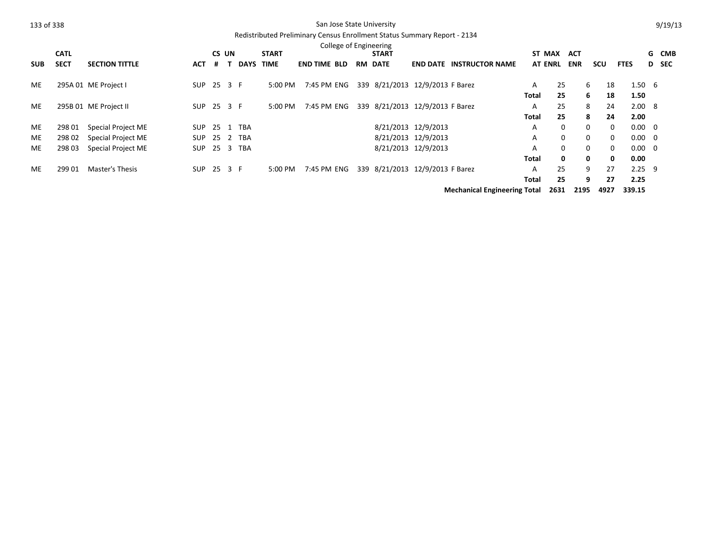| 133 of 338 |             |                        |            |        | San Jose State University |                                                                          |                        |  |                                 |                     |                                     |                |             |            |              | 9/19/13        |  |       |  |
|------------|-------------|------------------------|------------|--------|---------------------------|--------------------------------------------------------------------------|------------------------|--|---------------------------------|---------------------|-------------------------------------|----------------|-------------|------------|--------------|----------------|--|-------|--|
|            |             |                        |            |        |                           | Redistributed Preliminary Census Enrollment Status Summary Report - 2134 |                        |  |                                 |                     |                                     |                |             |            |              |                |  |       |  |
|            |             |                        |            |        |                           |                                                                          | College of Engineering |  |                                 |                     |                                     |                |             |            |              |                |  |       |  |
|            | <b>CATL</b> |                        |            | CS UN  |                           | <b>START</b>                                                             |                        |  | <b>START</b>                    |                     |                                     |                | ST MAX      | <b>ACT</b> |              |                |  | G CMB |  |
| <b>SUB</b> | <b>SECT</b> | <b>SECTION TITTLE</b>  | <b>ACT</b> | #      | <b>DAYS</b>               | <b>TIME</b>                                                              | <b>END TIME BLD</b>    |  | <b>RM DATE</b>                  |                     | <b>END DATE INSTRUCTOR NAME</b>     | <b>AT ENRL</b> |             | <b>ENR</b> | scu          | <b>FTES</b>    |  | D SEC |  |
| ME         |             | 295A 01 ME Project I   | <b>SUP</b> | 25 3 F |                           | 5:00 PM                                                                  | 7:45 PM ENG            |  | 339 8/21/2013 12/9/2013 F Barez |                     |                                     | A              | 25          | 6          | 18           | $1.50\t6$      |  |       |  |
|            |             |                        |            |        |                           |                                                                          |                        |  |                                 |                     |                                     | Total          | 25          | 6          | 18           | 1.50           |  |       |  |
| ME         |             | 295B 01 ME Project II  | SUP        | 25 3 F |                           | 5:00 PM                                                                  | 7:45 PM ENG            |  | 339 8/21/2013 12/9/2013 F Barez |                     |                                     | A              | 25          | 8          | 24           | 2.008          |  |       |  |
|            |             |                        |            |        |                           |                                                                          |                        |  |                                 |                     |                                     | Total          | 25          | 8          | 24           | 2.00           |  |       |  |
| ME         | 298 01      | Special Project ME     | SUP        |        | 25 1 TBA                  |                                                                          |                        |  |                                 | 8/21/2013 12/9/2013 |                                     | A              | $\Omega$    | $\Omega$   | $\mathbf{0}$ | $0.00 \quad 0$ |  |       |  |
| ME         | 298 02      | Special Project ME     | SUP        |        | 25 2 TBA                  |                                                                          |                        |  |                                 | 8/21/2013 12/9/2013 |                                     | A              | $\mathbf 0$ | 0          | 0            | $0.00 \quad 0$ |  |       |  |
| ME.        | 298 03      | Special Project ME     | <b>SUP</b> |        | 25 3 TBA                  |                                                                          |                        |  |                                 | 8/21/2013 12/9/2013 |                                     | A              | $\mathbf 0$ | 0          | $\mathbf{0}$ | $0.00 \quad 0$ |  |       |  |
|            |             |                        |            |        |                           |                                                                          |                        |  |                                 |                     |                                     | Total          | 0           | 0          | 0            | 0.00           |  |       |  |
| ME         | 299 01      | <b>Master's Thesis</b> | SUP        | 25 3 F |                           | 5:00 PM                                                                  | 7:45 PM ENG            |  | 339 8/21/2013 12/9/2013 F Barez |                     |                                     | A              | 25          | 9          | 27           | $2.25$ 9       |  |       |  |
|            |             |                        |            |        |                           |                                                                          |                        |  |                                 |                     |                                     | Total          | 25          | 9          | 27           | 2.25           |  |       |  |
|            |             |                        |            |        |                           |                                                                          |                        |  |                                 |                     | <b>Mechanical Engineering Total</b> |                | 2631        | 2195       | 4927         | 339.15         |  |       |  |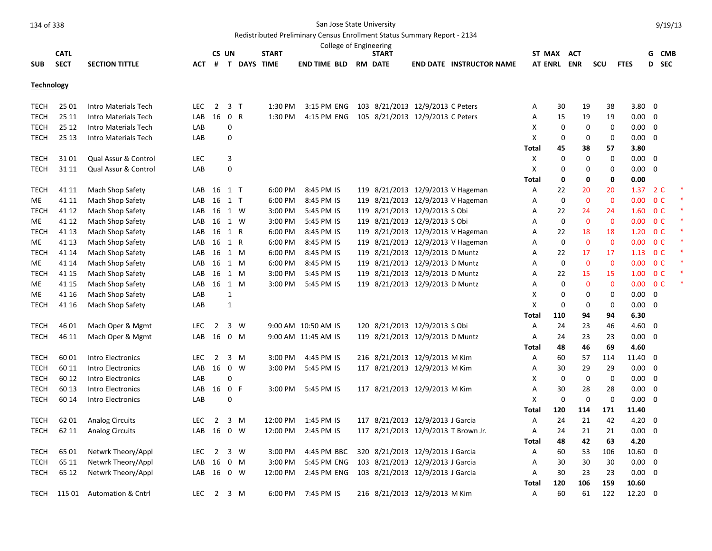| College of Engineering<br>CS UN<br>ST MAX ACT |             |                               |            |                |                |                    |              |                     |  |                                     |  |                                   |       |             |             |              |                 |                          |                |  |
|-----------------------------------------------|-------------|-------------------------------|------------|----------------|----------------|--------------------|--------------|---------------------|--|-------------------------------------|--|-----------------------------------|-------|-------------|-------------|--------------|-----------------|--------------------------|----------------|--|
|                                               | <b>CATL</b> |                               |            |                |                |                    | <b>START</b> |                     |  | <b>START</b>                        |  |                                   |       |             |             |              |                 |                          | G CMB          |  |
| <b>SUB</b>                                    | <b>SECT</b> | <b>SECTION TITTLE</b>         | <b>ACT</b> | #              |                | <b>T DAYS TIME</b> |              | <b>END TIME BLD</b> |  | <b>RM DATE</b>                      |  | <b>END DATE INSTRUCTOR NAME</b>   |       |             | AT ENRL ENR | SCU          | <b>FTES</b>     |                          | D SEC          |  |
| <b>Technology</b>                             |             |                               |            |                |                |                    |              |                     |  |                                     |  |                                   |       |             |             |              |                 |                          |                |  |
| <b>TECH</b>                                   | 25 01       | Intro Materials Tech          | <b>LEC</b> | $\overline{2}$ | $\overline{3}$ | $\mathsf{T}$       | 1:30 PM      | 3:15 PM ENG         |  | 103 8/21/2013 12/9/2013 C Peters    |  |                                   | Α     | 30          | 19          | 38           | 3.80            | $\overline{\mathbf{0}}$  |                |  |
| <b>TECH</b>                                   | 25 11       | Intro Materials Tech          | LAB        | 16             | 0 R            |                    | 1:30 PM      | 4:15 PM ENG         |  | 105 8/21/2013 12/9/2013 C Peters    |  |                                   | Α     | 15          | 19          | 19           | 0.00            | $\overline{\phantom{0}}$ |                |  |
| <b>TECH</b>                                   | 25 12       | Intro Materials Tech          | LAB        |                | 0              |                    |              |                     |  |                                     |  |                                   | X     | $\mathbf 0$ | $\mathbf 0$ | $\mathbf 0$  | 0.00            | - 0                      |                |  |
| <b>TECH</b>                                   | 25 13       | Intro Materials Tech          | LAB        |                | 0              |                    |              |                     |  |                                     |  |                                   | X     | 0           | 0           | 0            | 0.00            | $\overline{\mathbf{0}}$  |                |  |
|                                               |             |                               |            |                |                |                    |              |                     |  |                                     |  |                                   | Total | 45          | 38          | 57           | 3.80            |                          |                |  |
| <b>TECH</b>                                   | 3101        | Qual Assur & Control          | LEC        |                | 3              |                    |              |                     |  |                                     |  |                                   | X     | $\mathbf 0$ | $\mathbf 0$ | $\mathbf 0$  | $0.00 \t 0$     |                          |                |  |
| <b>TECH</b>                                   | 31 11       | Qual Assur & Control          | LAB        |                | 0              |                    |              |                     |  |                                     |  |                                   | Χ     | $\mathbf 0$ | 0           | 0            | 0.00            | $\overline{\mathbf{0}}$  |                |  |
|                                               |             |                               |            |                |                |                    |              |                     |  |                                     |  |                                   | Total | 0           | 0           | 0            | 0.00            |                          |                |  |
| <b>TECH</b>                                   | 41 11       | Mach Shop Safety              | LAB        | 16             | $1$ T          |                    | 6:00 PM      | 8:45 PM IS          |  |                                     |  | 119 8/21/2013 12/9/2013 V Hageman | Α     | 22          | 20          | 20           | 1.37            |                          | 2 C            |  |
| ME                                            | 41 11       | Mach Shop Safety              | LAB        | 16             | 1 T            |                    | 6:00 PM      | 8:45 PM IS          |  |                                     |  | 119 8/21/2013 12/9/2013 V Hageman | Α     | 0           | $\mathbf 0$ | $\mathbf 0$  | 0.00            |                          | 0 <sup>C</sup> |  |
| <b>TECH</b>                                   | 41 12       | Mach Shop Safety              | LAB        | 16             | 1 W            |                    | 3:00 PM      | 5:45 PM IS          |  | 119 8/21/2013 12/9/2013 S Obi       |  |                                   | Α     | 22          | 24          | 24           | 1.60            |                          | 0 <sup>C</sup> |  |
| ME.                                           | 41 12       | Mach Shop Safety              | LAB        | 16             |                | 1 W                | 3:00 PM      | 5:45 PM IS          |  | 119 8/21/2013 12/9/2013 S Obi       |  |                                   | Α     | $\mathbf 0$ | $\mathbf 0$ | $\mathbf{0}$ | 0.00            |                          | 0 <sup>C</sup> |  |
| <b>TECH</b>                                   | 41 13       | Mach Shop Safety              | LAB        | 16             | 1 R            |                    | 6:00 PM      | 8:45 PM IS          |  |                                     |  | 119 8/21/2013 12/9/2013 V Hageman | A     | 22          | 18          | 18           | 1.20 $0 \, C$   |                          |                |  |
| ME                                            | 41 13       | Mach Shop Safety              | LAB        | 16             | 1 R            |                    | 6:00 PM      | 8:45 PM IS          |  |                                     |  | 119 8/21/2013 12/9/2013 V Hageman | Α     | 0           | $\mathbf 0$ | $\mathbf 0$  | 0.00            |                          | 0 <sup>C</sup> |  |
| <b>TECH</b>                                   | 41 14       | Mach Shop Safety              | LAB        | 16             |                | 1 M                | 6:00 PM      | 8:45 PM IS          |  | 119 8/21/2013 12/9/2013 D Muntz     |  |                                   | A     | 22          | 17          | 17           | 1.13            |                          | 0 <sup>C</sup> |  |
| ME                                            | 41 14       | Mach Shop Safety              | LAB        | 16             |                | 1 M                | 6:00 PM      | 8:45 PM IS          |  | 119 8/21/2013 12/9/2013 D Muntz     |  |                                   | Α     | 0           | $\mathbf 0$ | $\mathbf 0$  | 0.00            |                          | 0 <sup>C</sup> |  |
| <b>TECH</b>                                   | 41 15       | Mach Shop Safety              | LAB        | 16             |                | 1 M                | 3:00 PM      | 5:45 PM IS          |  | 119 8/21/2013 12/9/2013 D Muntz     |  |                                   | Α     | 22          | 15          | 15           | 1.00            |                          | 0 <sup>C</sup> |  |
| ME.                                           | 41 15       | Mach Shop Safety              | LAB        | 16             | 1 M            |                    | 3:00 PM      | 5:45 PM IS          |  | 119 8/21/2013 12/9/2013 D Muntz     |  |                                   | A     | $\Omega$    | 0           | $\bf{0}$     | 0.00            |                          | 0 <sup>C</sup> |  |
| ME                                            | 41 16       | Mach Shop Safety              | LAB        |                | $\mathbf{1}$   |                    |              |                     |  |                                     |  |                                   | X     | $\mathbf 0$ | 0           | 0            | 0.00            | $\mathbf 0$              |                |  |
| TECH                                          | 41 16       | Mach Shop Safety              | LAB        |                | $\mathbf{1}$   |                    |              |                     |  |                                     |  |                                   | X     | $\mathbf 0$ | 0           | 0            | 0.00            | $\overline{\mathbf{0}}$  |                |  |
|                                               |             |                               |            |                |                |                    |              |                     |  |                                     |  |                                   | Total | 110         | 94          | 94           | 6.30            |                          |                |  |
| <b>TECH</b>                                   | 46 01       | Mach Oper & Mgmt              | <b>LEC</b> | $\overline{2}$ |                | 3 W                |              | 9:00 AM 10:50 AM IS |  | 120 8/21/2013 12/9/2013 S Obi       |  |                                   | Α     | 24          | 23          | 46           | 4.60            | $\overline{\mathbf{0}}$  |                |  |
| <b>TECH</b>                                   | 46 11       | Mach Oper & Mgmt              | LAB        | 16             |                | 0 M                |              | 9:00 AM 11:45 AM IS |  | 119 8/21/2013 12/9/2013 D Muntz     |  |                                   | Α     | 24          | 23          | 23           | 0.00            | $\overline{\phantom{0}}$ |                |  |
|                                               |             |                               |            |                |                |                    |              |                     |  |                                     |  |                                   | Total | 48          | 46          | 69           | 4.60            |                          |                |  |
| <b>TECH</b>                                   | 6001        | Intro Electronics             | <b>LEC</b> | $\overline{2}$ | 3              | M                  | 3:00 PM      | 4:45 PM IS          |  | 216 8/21/2013 12/9/2013 M Kim       |  |                                   | Α     | 60          | 57          | 114          | 11.40           | $\overline{\mathbf{0}}$  |                |  |
| TECH                                          | 60 11       | Intro Electronics             | LAB        | 16             |                | $0 \quad W$        | 3:00 PM      | 5:45 PM IS          |  | 117 8/21/2013 12/9/2013 M Kim       |  |                                   | Α     | 30          | 29          | 29           | 0.00            | $\overline{\mathbf{0}}$  |                |  |
| <b>TECH</b>                                   | 60 12       | Intro Electronics             | LAB        |                | $\Omega$       |                    |              |                     |  |                                     |  |                                   | х     | 0           | 0           | 0            | $0.00 \ 0$      |                          |                |  |
| <b>TECH</b>                                   | 60 13       | Intro Electronics             | LAB        | 16             | 0 F            |                    | 3:00 PM      | 5:45 PM IS          |  | 117 8/21/2013 12/9/2013 M Kim       |  |                                   | A     | 30          | 28          | 28           | 0.00            | $\overline{\mathbf{0}}$  |                |  |
| <b>TECH</b>                                   | 60 14       | Intro Electronics             | LAB        |                | 0              |                    |              |                     |  |                                     |  |                                   | X     | 0           | $\mathbf 0$ | $\mathbf 0$  | 0.00            | $\overline{\mathbf{0}}$  |                |  |
|                                               |             |                               |            |                |                |                    |              |                     |  |                                     |  |                                   | Total | 120         | 114         | 171          | 11.40           |                          |                |  |
| <b>TECH</b>                                   | 62 01       | <b>Analog Circuits</b>        | <b>LEC</b> | $\overline{2}$ | 3              | M                  | 12:00 PM     | 1:45 PM IS          |  | 117 8/21/2013 12/9/2013 J Garcia    |  |                                   | Α     | 24          | 21          | 42           | 4.20            | $\overline{\mathbf{0}}$  |                |  |
| TECH                                          | 62 11       | <b>Analog Circuits</b>        | LAB        | 16             |                | $0 \quad W$        | 12:00 PM     | 2:45 PM IS          |  | 117 8/21/2013 12/9/2013 T Brown Jr. |  |                                   | Α     | 24          | 21          | 21           | $0.00 \quad 0$  |                          |                |  |
|                                               |             |                               |            |                |                |                    |              |                     |  |                                     |  |                                   | Total | 48          | 42          | 63           | 4.20            |                          |                |  |
| TECH                                          | 65 01       | Netwrk Theory/Appl            | <b>LEC</b> | $\overline{2}$ |                | 3 W                | 3:00 PM      | 4:45 PM BBC         |  | 320 8/21/2013 12/9/2013 J Garcia    |  |                                   | A     | 60          | 53          | 106          | $10.60 \quad 0$ |                          |                |  |
| <b>TECH</b>                                   | 65 11       | Netwrk Theory/Appl            | LAB        | 16             |                | $0 \t M$           | 3:00 PM      | 5:45 PM ENG         |  | 103 8/21/2013 12/9/2013 J Garcia    |  |                                   | Α     | 30          | 30          | 30           | $0.00 \quad 0$  |                          |                |  |
| TECH                                          | 65 12       | Netwrk Theory/Appl            | LAB        | 16             |                | 0 W                | 12:00 PM     | 2:45 PM ENG         |  | 103 8/21/2013 12/9/2013 J Garcia    |  |                                   | Α     | 30          | 23          | 23           | 0.00            | $\overline{\phantom{0}}$ |                |  |
|                                               |             |                               |            |                |                |                    |              |                     |  |                                     |  |                                   | Total | 120         | 106         | 159          | 10.60           |                          |                |  |
| TECH                                          | 115 01      | <b>Automation &amp; Cntrl</b> | <b>LEC</b> | 2              |                | 3 M                | 6:00 PM      | 7:45 PM IS          |  | 216 8/21/2013 12/9/2013 M Kim       |  |                                   | A     | 60          | 61          | 122          | 12.20           | - 0                      |                |  |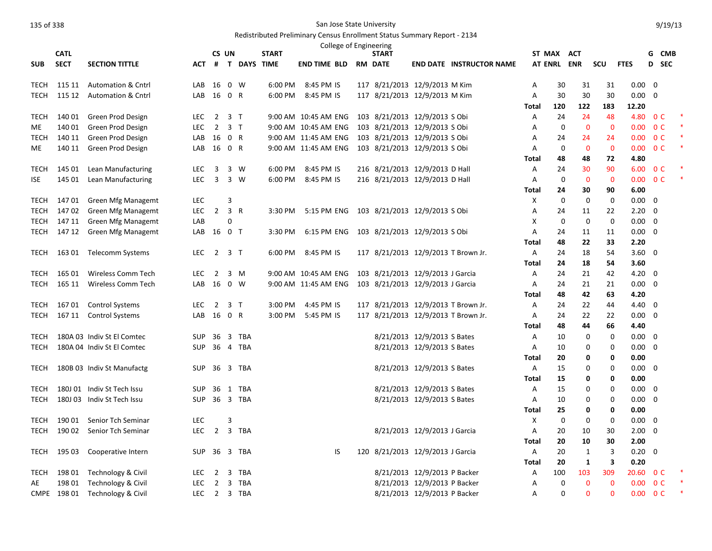|             |             |                                          |            |                      |                |                    |              | College of Engineering                    |                                  |                              |                                     |            |             |              |             |                |                |                |  |
|-------------|-------------|------------------------------------------|------------|----------------------|----------------|--------------------|--------------|-------------------------------------------|----------------------------------|------------------------------|-------------------------------------|------------|-------------|--------------|-------------|----------------|----------------|----------------|--|
|             | <b>CATL</b> |                                          |            |                      | CS UN          |                    | <b>START</b> |                                           | <b>START</b>                     |                              |                                     |            | ST MAX ACT  |              |             |                | G              | CMB            |  |
| <b>SUB</b>  | <b>SECT</b> | <b>SECTION TITTLE</b>                    | <b>ACT</b> | #                    |                | <b>T DAYS TIME</b> |              | <b>END TIME BLD</b>                       | <b>RM DATE</b>                   |                              | <b>END DATE INSTRUCTOR NAME</b>     |            | AT ENRL ENR |              | <b>SCU</b>  | <b>FTES</b>    |                | D SEC          |  |
| <b>TECH</b> | 115 11      | <b>Automation &amp; Cntrl</b>            | LAB        | 16                   |                | $0 \quad W$        | 6:00 PM      | 8:45 PM IS                                | 117 8/21/2013 12/9/2013 M Kim    |                              |                                     | Α          | 30          | 31           | 31          | $0.00 \quad 0$ |                |                |  |
| TECH        | 115 12      | <b>Automation &amp; Cntrl</b>            | LAB        | 16                   | 0 R            |                    | 6:00 PM      | 8:45 PM IS                                | 117 8/21/2013 12/9/2013 M Kim    |                              |                                     | Α          | 30          | 30           | 30          | 0.00           | 0              |                |  |
|             |             |                                          |            |                      |                |                    |              |                                           |                                  |                              |                                     | Total      | 120         | 122          | 183         | 12.20          |                |                |  |
| <b>TECH</b> | 140 01      | Green Prod Design                        | <b>LEC</b> | $\overline{2}$       |                | 3 <sub>T</sub>     |              | 9:00 AM 10:45 AM ENG                      | 103 8/21/2013 12/9/2013 S Obi    |                              |                                     | Α          | 24          | 24           | 48          | 4.80           |                | 0 <sup>C</sup> |  |
| ME.         | 140 01      | Green Prod Design                        | <b>LEC</b> | $\overline{2}$       |                | 3T                 |              | 9:00 AM 10:45 AM ENG                      | 103 8/21/2013 12/9/2013 S Obi    |                              |                                     | А          | 0           | $\mathbf 0$  | $\mathbf 0$ | 0.00           |                | 0 <sup>C</sup> |  |
| <b>TECH</b> | 140 11      | Green Prod Design                        | LAB        | 16                   | 0 R            |                    |              | 9:00 AM 11:45 AM ENG                      | 103 8/21/2013 12/9/2013 S Obi    |                              |                                     | A          | 24          | 24           | 24          | 0.00           |                | 0 <sup>C</sup> |  |
| ME          | 140 11      | Green Prod Design                        | LAB        | 16 0 R               |                |                    |              | 9:00 AM 11:45 AM ENG                      | 103 8/21/2013 12/9/2013 S Obi    |                              |                                     | Α          | 0           | $\mathbf{0}$ | $\mathbf 0$ | $0.00 \t 0 C$  |                |                |  |
|             |             |                                          |            |                      |                |                    |              |                                           |                                  |                              |                                     | Total      | 48          | 48           | 72          | 4.80           |                |                |  |
| TECH        | 145 01      | Lean Manufacturing                       | <b>LEC</b> | 3                    |                | 3 W                | 6:00 PM      | 8:45 PM IS                                | 216 8/21/2013 12/9/2013 D Hall   |                              |                                     | Α          | 24          | 30           | 90          | 6.00           |                | 0 <sup>C</sup> |  |
| <b>ISE</b>  | 145 01      | Lean Manufacturing                       | LEC.       | $\overline{3}$       |                | 3 W                | 6:00 PM      | 8:45 PM IS                                | 216 8/21/2013 12/9/2013 D Hall   |                              |                                     | Α          | 0           | $\mathbf{0}$ | $\mathbf 0$ | 0.00           |                | 0 <sup>C</sup> |  |
|             |             |                                          |            |                      |                |                    |              |                                           |                                  |                              |                                     | Total      | 24          | 30           | 90          | 6.00           |                |                |  |
| TECH        | 147 01      | Green Mfg Managemt                       | <b>LEC</b> |                      | 3              |                    |              |                                           |                                  |                              |                                     | X          | $\mathbf 0$ | $\mathbf 0$  | 0           | $0.00\,$       | $\Omega$       |                |  |
| <b>TECH</b> | 14702       | Green Mfg Managemt                       | <b>LEC</b> | $\overline{2}$       | 3 R            |                    | 3:30 PM      | 5:15 PM ENG 103 8/21/2013 12/9/2013 S Obi |                                  |                              |                                     | Α          | 24          | 11           | 22          | 2.20           | $\mathbf 0$    |                |  |
| TECH        | 147 11      | Green Mfg Managemt                       | LAB        |                      | 0              |                    |              |                                           |                                  |                              |                                     | Х          | 0           | 0            | 0           | $0.00\,$       | 0              |                |  |
| TECH        | 147 12      | Green Mfg Managemt                       | LAB        | 16 0 T               |                |                    | 3:30 PM      | 6:15 PM ENG                               | 103 8/21/2013 12/9/2013 S Obi    |                              |                                     | Α          | 24          | 11           | 11          | $0.00 \quad 0$ |                |                |  |
|             |             |                                          |            |                      |                |                    |              |                                           |                                  |                              |                                     | Total      | 48          | 22           | 33          | 2.20           |                |                |  |
| TECH        |             | 163 01 Telecomm Systems                  | <b>LEC</b> |                      | 2 3 T          |                    | 6:00 PM      | 8:45 PM IS                                |                                  |                              | 117 8/21/2013 12/9/2013 T Brown Jr. | Α          | 24          | 18           | 54          | $3.60 \quad 0$ |                |                |  |
|             | 165 01      |                                          |            |                      |                |                    |              |                                           |                                  |                              |                                     | Total      | 24          | 18           | 54          | 3.60           |                |                |  |
| TECH        | 165 11      | Wireless Comm Tech<br>Wireless Comm Tech | LEC.       | $\overline{2}$<br>16 |                | 3 M<br>$0 \quad W$ |              | 9:00 AM 10:45 AM ENG                      | 103 8/21/2013 12/9/2013 J Garcia |                              |                                     | A          | 24          | 21           | 42<br>21    | 4.20<br>0.00   | 0              |                |  |
| <b>TECH</b> |             |                                          | LAB        |                      |                |                    |              | 9:00 AM 11:45 AM ENG                      | 103 8/21/2013 12/9/2013 J Garcia |                              |                                     | Α          | 24          | 21<br>42     | 63          | 4.20           | 0              |                |  |
| TECH        | 16701       | <b>Control Systems</b>                   | <b>LEC</b> | $\overline{2}$       |                | 3 <sub>T</sub>     | 3:00 PM      | 4:45 PM IS                                |                                  |                              | 117 8/21/2013 12/9/2013 T Brown Jr. | Total<br>Α | 48<br>24    | 22           | 44          | 4.40           | $\mathbf 0$    |                |  |
| TECH        |             | 167 11 Control Systems                   | LAB        | 16                   | 0 R            |                    | 3:00 PM      | 5:45 PM IS                                |                                  |                              | 117 8/21/2013 12/9/2013 T Brown Jr. | Α          | 24          | 22           | 22          | 0.00           | 0              |                |  |
|             |             |                                          |            |                      |                |                    |              |                                           |                                  |                              |                                     | Total      | 48          | 44           | 66          | 4.40           |                |                |  |
| TECH        |             | 180A 03 Indiv St El Comtec               | <b>SUP</b> | 36                   | $\overline{3}$ | TBA                |              |                                           |                                  | 8/21/2013 12/9/2013 S Bates  |                                     | Α          | 10          | 0            | 0           | $0.00\,$       | 0              |                |  |
| TECH        |             | 180A 04 Indiv St El Comtec               | <b>SUP</b> |                      |                | 36 4 TBA           |              |                                           |                                  | 8/21/2013 12/9/2013 S Bates  |                                     | A          | 10          | $\Omega$     | $\mathbf 0$ | $0.00\,$       | $\mathbf 0$    |                |  |
|             |             |                                          |            |                      |                |                    |              |                                           |                                  |                              |                                     | Total      | 20          | 0            | 0           | 0.00           |                |                |  |
| TECH        |             | 180B 03 Indiv St Manufactg               | SUP        |                      |                | 36 3 TBA           |              |                                           |                                  | 8/21/2013 12/9/2013 S Bates  |                                     | A          | 15          | $\Omega$     | 0           | $0.00\,$       | - 0            |                |  |
|             |             |                                          |            |                      |                |                    |              |                                           |                                  |                              |                                     | Total      | 15          | 0            | 0           | 0.00           |                |                |  |
| TECH        |             | 180J 01 Indiv St Tech Issu               | <b>SUP</b> | 36                   |                | 1 TBA              |              |                                           |                                  | 8/21/2013 12/9/2013 S Bates  |                                     | Α          | 15          | 0            | 0           | $0.00\,$       | 0              |                |  |
| <b>TECH</b> |             | 180J 03 Indiv St Tech Issu               | <b>SUP</b> |                      |                | 36 3 TBA           |              |                                           |                                  | 8/21/2013 12/9/2013 S Bates  |                                     | Α          | 10          | 0            | 0           | 0.00           | $\mathbf 0$    |                |  |
|             |             |                                          |            |                      |                |                    |              |                                           |                                  |                              |                                     | Total      | 25          | 0            | 0           | 0.00           |                |                |  |
| TECH        | 190 01      | Senior Tch Seminar                       | LEC        |                      | 3              |                    |              |                                           |                                  |                              |                                     | X          | 0           | $\Omega$     | 0           | $0.00\,$       | 0              |                |  |
| TECH        | 190 02      | Senior Tch Seminar                       | <b>LEC</b> | $\overline{2}$       |                | 3 TBA              |              |                                           |                                  | 8/21/2013 12/9/2013 J Garcia |                                     | Α          | 20          | 10           | 30          | 2.00           | 0              |                |  |
|             |             |                                          |            |                      |                |                    |              |                                           |                                  |                              |                                     | Total      | 20          | 10           | 30          | 2.00           |                |                |  |
| TECH        | 195 03      | Cooperative Intern                       | SUP        |                      |                | 36 3 TBA           |              | IS                                        | 120 8/21/2013 12/9/2013 J Garcia |                              |                                     | Α          | 20          | $\mathbf{1}$ | 3           | 0.20           | $\overline{0}$ |                |  |
|             |             |                                          |            |                      |                |                    |              |                                           |                                  |                              |                                     | Total      | 20          | 1            | 3           | 0.20           |                |                |  |
| <b>TECH</b> | 198 01      | Technology & Civil                       | <b>LEC</b> | $\overline{2}$       | 3              | TBA                |              |                                           |                                  | 8/21/2013 12/9/2013 P Backer |                                     | Α          | 100         | 103          | 309         | 20.60          |                | 0 <sup>C</sup> |  |
| AE          | 198 01      | Technology & Civil                       | <b>LEC</b> | $\overline{2}$       |                | 3 TBA              |              |                                           |                                  | 8/21/2013 12/9/2013 P Backer |                                     | Α          | 0           | $\mathbf 0$  | $\mathbf 0$ | 0.00           |                | 0 <sup>C</sup> |  |
|             | CMPE 198 01 | Technology & Civil                       | <b>LEC</b> |                      |                | 2 3 TBA            |              |                                           |                                  | 8/21/2013 12/9/2013 P Backer |                                     | A          | 0           | $\Omega$     | $\Omega$    | $0.00 \t 0 C$  |                |                |  |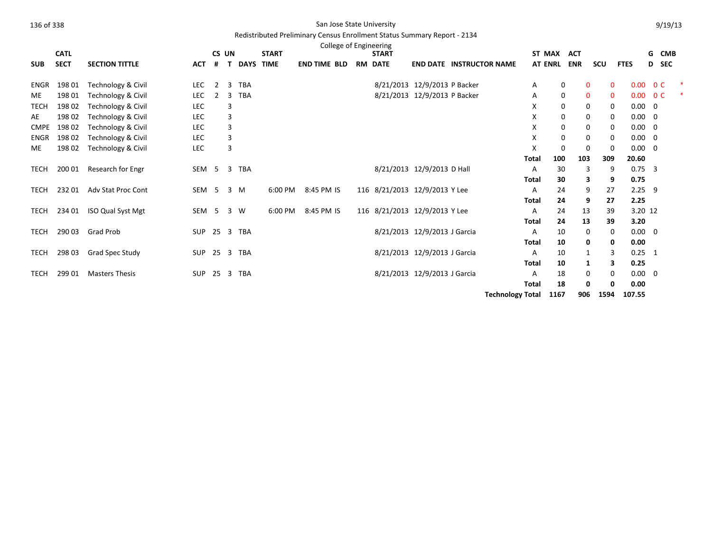## Redistributed Preliminary Census Enrollment Status Summary Report - 2134

|             | <b>CATL</b> |                           |                  | CS UN        |    |             | <b>START</b> | College of Engineering | <b>START</b>                  |                                 |              | ST MAX         | <b>ACT</b>      |              |                       | G | <b>CMB</b>     |  |
|-------------|-------------|---------------------------|------------------|--------------|----|-------------|--------------|------------------------|-------------------------------|---------------------------------|--------------|----------------|-----------------|--------------|-----------------------|---|----------------|--|
| <b>SUB</b>  | <b>SECT</b> | <b>SECTION TITTLE</b>     | <b>ACT</b>       | #            | T. | <b>DAYS</b> | <b>TIME</b>  | <b>END TIME BLD</b>    | <b>RM DATE</b>                | <b>END DATE INSTRUCTOR NAME</b> |              | <b>AT ENRL</b> | <b>ENR</b>      | scu          | <b>FTES</b>           |   | D SEC          |  |
| ENGR        | 198 01      | Technology & Civil        | LEC              | $\mathbf{2}$ | 3  | <b>TBA</b>  |              |                        | 8/21/2013 12/9/2013 P Backer  |                                 | Α            | 0              | $\mathbf{0}$    | $\mathbf 0$  | 0.00                  |   | 0 <sup>C</sup> |  |
| ME          | 198 01      | Technology & Civil        | LEC              | 2            | 3  | <b>TBA</b>  |              |                        | 8/21/2013 12/9/2013 P Backer  |                                 | A            | 0              | $\mathbf{0}$    | $\mathbf{0}$ | 0.00                  |   | 0 <sup>C</sup> |  |
| <b>TECH</b> | 19802       | Technology & Civil        | <b>LEC</b>       |              | 3  |             |              |                        |                               |                                 | X            | 0              | 0               | 0            | $0.00 \quad 0$        |   |                |  |
| AE          | 198 02      | Technology & Civil        | <b>LEC</b>       |              | 3  |             |              |                        |                               |                                 | X            | 0              | 0               | 0            | $0.00 \quad 0$        |   |                |  |
| <b>CMPE</b> | 198 02      | Technology & Civil        | <b>LEC</b>       |              | 3  |             |              |                        |                               |                                 | X            | 0              | 0               | 0            | $0.00 \quad 0$        |   |                |  |
| <b>ENGR</b> | 198 02      | Technology & Civil        | <b>LEC</b>       |              | 3  |             |              |                        |                               |                                 | X            | 0              | $\mathbf 0$     | 0            | $0.00 \quad 0$        |   |                |  |
| <b>ME</b>   | 198 02      | Technology & Civil        | LEC              |              | 3  |             |              |                        |                               |                                 | X            | 0              | $\mathbf 0$     | $\mathbf 0$  | $0.00 \quad 0$        |   |                |  |
|             |             |                           |                  |              |    |             |              |                        |                               |                                 | Total        | 100            | 103             | 309          | 20.60                 |   |                |  |
| TECH        | 200 01      | Research for Engr         | SEM 5            |              |    | 3 TBA       |              |                        | 8/21/2013 12/9/2013 D Hall    |                                 | Α            | 30             | 3               | 9            | $0.75$ 3              |   |                |  |
|             |             |                           |                  |              |    |             |              |                        |                               |                                 | Total        | 30             | 3               | 9            | 0.75                  |   |                |  |
| TECH        | 23201       | <b>Adv Stat Proc Cont</b> | SEM <sub>5</sub> |              |    | 3 M         | 6:00 PM      | 8:45 PM IS             | 116 8/21/2013 12/9/2013 Y Lee |                                 | Α            | 24             | 9               | 27           | $2.25$ 9              |   |                |  |
|             |             |                           |                  |              |    |             |              |                        |                               |                                 | Total        | 24             | 9               | 27           | 2.25                  |   |                |  |
| TECH        | 234 01      | <b>ISO Qual Syst Mgt</b>  | SEM <sub>5</sub> |              |    | 3 W         | 6:00 PM      | 8:45 PM IS             | 116 8/21/2013 12/9/2013 Y Lee |                                 | A            | 24             | 13              | 39           | 3.20 12               |   |                |  |
|             |             |                           |                  |              |    |             |              |                        |                               |                                 | Total        | 24             | 13              | 39           | 3.20                  |   |                |  |
| TECH        | 290 03      | <b>Grad Prob</b>          | <b>SUP</b>       |              |    | 25 3 TBA    |              |                        | 8/21/2013 12/9/2013 J Garcia  |                                 | A            | 10             | 0               | 0            | $0.00 \quad 0$        |   |                |  |
|             |             |                           |                  |              |    |             |              |                        |                               |                                 | Total        | 10             | 0               | 0            | 0.00                  |   |                |  |
| TECH        | 29803       | Grad Spec Study           | <b>SUP</b>       |              |    | 25 3 TBA    |              |                        | 8/21/2013 12/9/2013 J Garcia  |                                 | A            | 10             | 1               | 3            | $0.25 \quad 1$        |   |                |  |
|             |             |                           |                  |              |    |             |              |                        |                               |                                 | Total        | 10             | 1               | З            | 0.25                  |   |                |  |
| TECH        | 299 01      | <b>Masters Thesis</b>     | <b>SUP</b>       |              |    | 25 3 TBA    |              |                        | 8/21/2013 12/9/2013 J Garcia  |                                 | Α            | 18             | 0               | 0            | $0.00 \quad 0$        |   |                |  |
|             |             |                           |                  |              |    |             |              |                        |                               | Tochnology Total 1167           | <b>Total</b> | 18             | 0<br><b>OOC</b> | 0<br>1504    | 0.00<br><b>107 EE</b> |   |                |  |

**Technology Total 1167 906 1594 107.55**